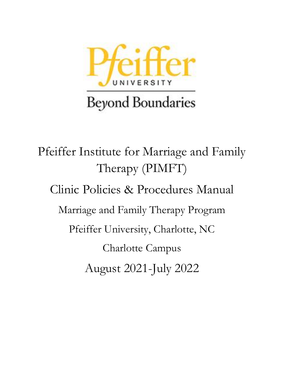

Pfeiffer Institute for Marriage and Family Therapy (PIMFT) Clinic Policies & Procedures Manual Marriage and Family Therapy Program Pfeiffer University, Charlotte, NC Charlotte Campus August 2021-July 2022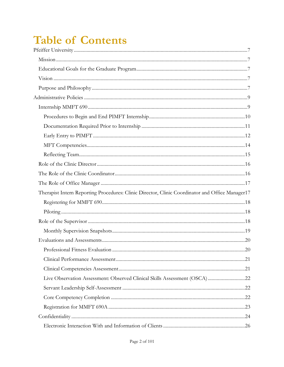# **Table of Contents**

| Therapist Intern Reporting Procedures: Clinic Director, Clinic Coordinator and Office Manager17 |  |
|-------------------------------------------------------------------------------------------------|--|
|                                                                                                 |  |
|                                                                                                 |  |
|                                                                                                 |  |
|                                                                                                 |  |
|                                                                                                 |  |
|                                                                                                 |  |
|                                                                                                 |  |
|                                                                                                 |  |
| Live Observation Assessment: Observed Clinical Skills Assessment (OSCA)22                       |  |
|                                                                                                 |  |
|                                                                                                 |  |
|                                                                                                 |  |
|                                                                                                 |  |
|                                                                                                 |  |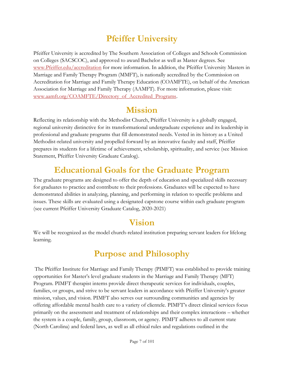# <span id="page-6-0"></span>**Pfeiffer University**

Pfeiffer University is accredited by The Southern Association of Colleges and Schools Commission on Colleges (SACSCOC), and approved to award Bachelor as well as Master degrees. See [www.Pfeiffer.edu/accreditation](http://www.pfeiffer.edu/accreditation) for more information. In addition, the Pfeiffer University Masters in Marriage and Family Therapy Program (MMFT), is nationally accredited by the Commission on Accreditation for Marriage and Family Therapy Education (COAMFTE), on behalf of the American Association for Marriage and Family Therapy (AAMFT). For more information, please visit: www.aamft.org/COAMFTE/Directory of Accredited Programs.

### **Mission**

<span id="page-6-1"></span>Reflecting its relationship with the Methodist Church, Pfeiffer University is a globally engaged, regional university distinctive for its transformational undergraduate experience and its leadership in professional and graduate programs that fill demonstrated needs. Vested in its history as a United Methodist-related university and propelled forward by an innovative faculty and staff, Pfeiffer prepares its students for a lifetime of achievement, scholarship, spirituality, and service (see Mission Statement, Pfeiffer University Graduate Catalog).

# **Educational Goals for the Graduate Program**

<span id="page-6-2"></span>The graduate programs are designed to offer the depth of education and specialized skills necessary for graduates to practice and contribute to their professions. Graduates will be expected to have demonstrated abilities in analyzing, planning, and performing in relation to specific problems and issues. These skills are evaluated using a designated capstone course within each graduate program (see current Pfeiffer University Graduate Catalog, 2020-2021)

# **Vision**

<span id="page-6-3"></span>We will be recognized as the model church-related institution preparing servant leaders for lifelong learning.

# **Purpose and Philosophy**

<span id="page-6-4"></span>The Pfeiffer Institute for Marriage and Family Therapy (PIMFT) was established to provide training opportunities for Master's level graduate students in the Marriage and Family Therapy (MFT) Program. PIMFT therapist interns provide direct therapeutic services for individuals, couples, families, or groups, and strive to be servant leaders in accordance with Pfeiffer University's greater mission, values, and vision. PIMFT also serves our surrounding communities and agencies by offering affordable mental health care to a variety of clientele. PIMFT's direct clinical services focus primarily on the assessment and treatment of relationships and their complex interactions – whether the system is a couple, family, group, classroom, or agency. PIMFT adheres to all current state (North Carolina) and federal laws, as well as all ethical rules and regulations outlined in the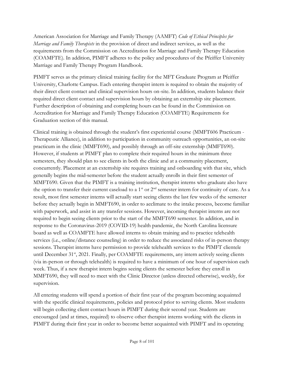American Association for Marriage and Family Therapy (AAMFT) *Code of Ethical Principles for Marriage and Family Therapists* in the provision of direct and indirect services, as well as the requirements from the Commission on Accreditation for Marriage and Family Therapy Education (COAMFTE). In addition, PIMFT adheres to the policy and procedures of the Pfeiffer University Marriage and Family Therapy Program Handbook.

PIMFT serves as the primary clinical training facility for the MFT Graduate Program at Pfeiffer University, Charlotte Campus. Each entering therapist intern is required to obtain the majority of their direct client contact and clinical supervision hours on-site. In addition, students balance their required direct client contact and supervision hours by obtaining an externship site placement. Further description of obtaining and completing hours can be found in the [Commission on](#page-38-0)  [Accreditation for Marriage and Family Therapy Education \(COAMFTE\) Requirements for](#page-38-0)  [Graduation](#page-38-0) section of this manual.

Clinical training is obtained through the student's first experiential course (MMFT606 Practicum - Therapeutic Alliance), in addition to participation in community outreach opportunities, an on-site practicum in the clinic (MMFT690), and possibly through an off-site externship (MMFT690). However, if students at PIMFT plan to complete their required hours in the minimum three semesters, they should plan to see clients in both the clinic and at a community placement, concurrently. Placement at an externship site requires training and onboarding with that site, which generally begins the mid-semester before the student actually enrolls in their first semester of MMFT690. Given that the PIMFT is a training institution, therapist interns who graduate also have the option to transfer their current caseload to a 1<sup>st</sup> or  $2<sup>nd</sup>$  semester intern for continuity of care. As a result, most first semester interns will actually start seeing clients the last few weeks of the semester before they actually begin in MMFT690, in order to acclimate to the intake process, become familiar with paperwork, and assist in any transfer sessions. However, incoming therapist interns are not required to begin seeing clients prior to the start of the MMFT690 semester. In addition, and in response to the Coronavirus-2019 (COVID-19) health pandemic, the North Carolina licensure board as well as COAMFTE have allowed interns to obtain training and to practice telehealth services (i.e., online/distance counseling) in order to reduce the associated risks of in-person therapy sessions. Therapist interns have permission to provide telehealth services to the PIMFT clientele until December 31<sup>st</sup>, 2021. Finally, per COAMFTE requirements, any intern actively seeing clients (via in-person or through telehealth) is required to have a minimum of one hour of supervision each week. Thus, if a new therapist intern begins seeing clients the semester before they enroll in MMFT690, they will need to meet with the Clinic Director (unless directed otherwise), weekly, for supervision.

All entering students will spend a portion of their first year of the program becoming acquainted with the specific clinical requirements, policies and protocol prior to serving clients. Most students will begin collecting client contact hours in PIMFT during their second year. Students are encouraged (and at times, required) to observe other therapist interns working with the clients in PIMFT during their first year in order to become better acquainted with PIMFT and its operating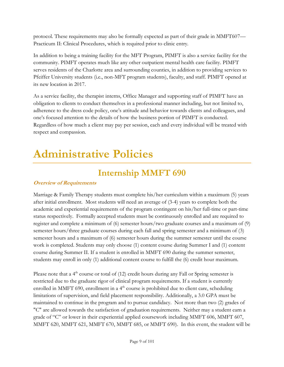protocol. These requirements may also be formally expected as part of their grade in MMFT607— Practicum II: Clinical Procedures, which is required prior to clinic entry.

In addition to being a training facility for the MFT Program, PIMFT is also a service facility for the community. PIMFT operates much like any other outpatient mental health care facility. PIMFT serves residents of the Charlotte area and surrounding counties, in addition to providing services to Pfeiffer University students (i.e., non-MFT program students), faculty, and staff. PIMFT opened at its new location in 2017.

As a service facility, the therapist interns, Office Manager and supporting staff of PIMFT have an obligation to clients to conduct themselves in a professional manner including, but not limited to, adherence to the dress code policy, one's attitude and behavior towards clients and colleagues, and one's focused attention to the details of how the business portion of PIMFT is conducted. Regardless of how much a client may pay per session, each and every individual will be treated with respect and compassion.

# <span id="page-8-1"></span><span id="page-8-0"></span>**Administrative Policies**

# **Internship MMFT 690**

### **Overview of Requirements**

Marriage & Family Therapy students must complete his/her curriculum within a maximum (5) years after initial enrollment. Most students will need an average of (3-4) years to complete both the academic and experiential requirements of the program contingent on his/her full-time or part-time status respectively. Formally accepted students must be continuously enrolled and are required to register and complete a minimum of (6) semester hours/two graduate courses and a maximum of (9) semester hours/three graduate courses during each fall and spring semester and a minimum of (3) semester hours and a maximum of (6) semester hours during the summer semester until the course work is completed. Students may only choose (1) content course during Summer I and (1) content course during Summer II. If a student is enrolled in MMFT 690 during the summer semester, students may enroll in only (1) additional content course to fulfill the (6) credit hour maximum.

Please note that a 4<sup>th</sup> course or total of (12) credit hours during any Fall or Spring semester is restricted due to the graduate rigor of clinical program requirements. If a student is currently enrolled in MMFT 690, enrollment in a 4<sup>th</sup> course is prohibited due to client care, scheduling limitations of supervision, and field placement responsibility. Additionally, a 3.0 GPA must be maintained to continue in the program and to pursue candidacy. Not more than two (2) grades of "C" are allowed towards the satisfaction of graduation requirements. Neither may a student earn a grade of "C" or lower in their experiential applied coursework including MMFT 606, MMFT 607, MMFT 620, MMFT 621, MMFT 670, MMFT 685, or MMFT 690). In this event, the student will be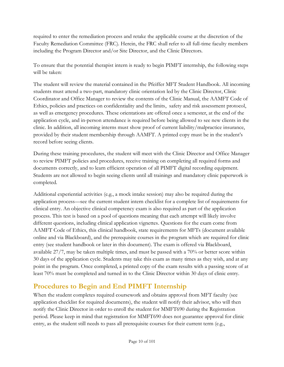required to enter the remediation process and retake the applicable course at the discretion of the Faculty Remediation Committee (FRC). Herein, the FRC shall refer to all full-time faculty members including the Program Director and/or Site Director, and the Clinic Directors.

To ensure that the potential therapist intern is ready to begin PIMFT internship, the following steps will be taken:

The student will review the material contained in the Pfeiffer MFT Student Handbook. All incoming students must attend a two-part, mandatory clinic orientation led by the Clinic Director, Clinic Coordinator and Office Manager to review the contents of the Clinic Manual, the AAMFT Code of Ethics, policies and practices on confidentiality and the limits, safety and risk assessment protocol, as well as emergency procedures. These orientations are offered once a semester, at the end of the application cycle, and in-person attendance is required before being allowed to see new clients in the clinic. In addition, all incoming interns must show proof of current liability/malpractice insurance, provided by their student membership through AAMFT. A printed copy must be in the student's record before seeing clients.

During these training procedures, the student will meet with the Clinic Director and Office Manager to review PIMFT policies and procedures, receive training on completing all required forms and documents correctly, and to learn efficient operation of all PIMFT digital recording equipment. Students are not allowed to begin seeing clients until all trainings and mandatory clinic paperwork is completed.

Additional experiential activities (e.g., a mock intake session) may also be required during the application process—see the current student intern checklist for a complete list of requirements for clinical entry. An objective clinical competency exam is also required as part of the application process. This test is based on a pool of questions meaning that each attempt will likely involve different questions, including clinical application vignettes. Questions for the exam come from AAMFT Code of Ethics, this clinical handbook, state requirements for MFTs (document available online and via Blackboard), and the prerequisite courses in the program which are required for clinic entry (see student handbook or later in this document). The exam is offered via Blackboard, available 27/7, may be taken multiple times, and must be passed with a 70% or better score within 30 days of the application cycle. Students may take this exam as many times as they wish, and at any point in the program. Once completed, a printed copy of the exam results with a passing score of at least 70% must be completed and turned in to the Clinic Director within 30 days of clinic entry.

### <span id="page-9-0"></span>**Procedures to Begin and End PIMFT Internship**

When the student completes required coursework and obtains approval from MFT faculty (see application checklist for required documents), the student will notify their advisor, who will then notify the Clinic Director in order to enroll the student for MMFT690 during the Registration period. Please keep in mind that registration for MMFT690 does not guarantee approval for clinic entry, as the student still needs to pass all prerequisite courses for their current term (e.g.,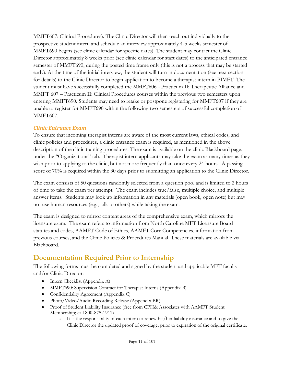MMFT607: Clinical Procedures). The Clinic Director will then reach out individually to the prospective student intern and schedule an interview approximately 4-5 weeks semester of MMFT690 begins (see clinic calendar for specific dates). The student may contact the Clinic Director approximately 8 weeks prior (see clinic calendar for start dates) to the anticipated entrance semester of MMFT690, during the posted time frame only (this is not a process that may be started early). At the time of the initial interview, the student will turn in documentation (see next section for details) to the Clinic Director to begin application to become a therapist intern in PIMFT. The student must have successfully completed the MMFT606 - Practicum II: Therapeutic Alliance and MMFT 607 – Practicum II: Clinical Procedures courses within the previous two semesters upon entering MMFT690. Students may need to retake or postpone registering for MMFT607 if they are unable to register for MMFT690 within the following two semesters of successful completion of MMFT607.

#### *Clinic Entrance Exam*

To ensure that incoming therapist interns are aware of the most current laws, ethical codes, and clinic policies and procedures, a clinic entrance exam is required, as mentioned in the above description of the clinic training procedures. The exam is available on the clinic Blackboard page, under the "Organizations" tab. Therapist intern applicants may take the exam as many times as they wish prior to applying to the clinic, but not more frequently than once every 24 hours. A passing score of 70% is required within the 30 days prior to submitting an application to the Clinic Director.

The exam consists of 50 questions randomly selected from a question pool and is limited to 2 hours of time to take the exam per attempt. The exam includes true/false, multiple choice, and multiple answer items. Students may look up information in any materials (open book, open note) but may not use human resources (e.g., talk to others) while taking the exam.

The exam is designed to mirror content areas of the comprehensive exam, which mirrors the licensure exam. The exam refers to information from North Caroline MFT Licensure Board statutes and codes, AAMFT Code of Ethics, AAMFT Core Competencies, information from previous courses, and the Clinic Policies & Procedures Manual. These materials are available via Blackboard.

### <span id="page-10-0"></span>**Documentation Required Prior to Internship**

The following forms must be completed and signed by the student and applicable MFT faculty and/or Clinic Director:

- Intern Checklist (Appendix A)
- MMFT690: Supervision Contract for Therapist Interns (Appendix B)
- Confidentiality Agreement (Appendix C)
- Photo/Video/Audio Recording Release (Appendix BR)
- Proof of Student Liability Insurance (free from CPH& Associates with AAMFT Student Membership; call 800-875-1911)
	- o It is the responsibility of each intern to renew his/her liability insurance and to give the Clinic Director the updated proof of coverage, prior to expiration of the original certificate.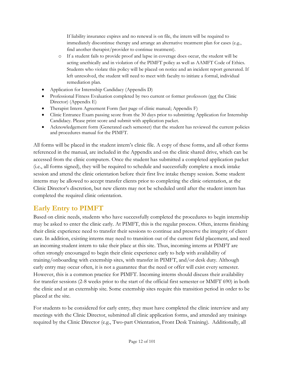If liability insurance expires and no renewal is on file, the intern will be required to immediately discontinue therapy and arrange an alternative treatment plan for cases (e.g., find another therapist/provider to continue treatment).

- o If a student fails to provide proof and lapse in coverage does occur, the student will be acting unethically and in violation of the PIMFT policy as well as AAMFT Code of Ethics. Students who violate this policy will be placed on notice and an incident report generated. If left unresolved, the student will need to meet with faculty to initiate a formal, individual remediation plan.
- Application for Internship Candidacy (Appendix D)
- Professional Fitness Evaluation completed by two current or former professors (not the Clinic Director) (Appendix E)
- Therapist Intern Agreement Form (last page of clinic manual; Appendix F)
- Clinic Entrance Exam passing score from the 30 days prior to submitting Application for Internship Candidacy. Please print score and submit with application packet.
- Acknowledgement form (Generated each semester) that the student has reviewed the current policies and procedures manual for the PIMFT.

All forms will be placed in the student intern's clinic file. A copy of these forms, and all other forms referenced in the manual, are included in the Appendix and on the clinic shared drive, which can be accessed from the clinic computers. Once the student has submitted a completed application packet (i.e., all forms signed), they will be required to schedule and successfully complete a mock intake session and attend the clinic orientation before their first live intake therapy session. Some student interns may be allowed to accept transfer clients prior to completing the clinic orientation, at the Clinic Director's discretion, but new clients may not be scheduled until after the student intern has completed the required clinic orientation.

### <span id="page-11-0"></span>**Early Entry to PIMFT**

Based on clinic needs, students who have successfully completed the procedures to begin internship may be asked to enter the clinic early. At PIMFT, this is the regular process. Often, interns finishing their clinic experience need to transfer their sessions to continue and preserve the integrity of client care. In addition, existing interns may need to transition out of the current field placement, and need an incoming student intern to take their place at this site. Thus, incoming interns at PIMFT are often strongly encouraged to begin their clinic experience early to help with availability of training/onboarding with externship sites, with transfer in PIMFT, and/or desk duty. Although early entry may occur often, it is not a guarantee that the need or offer will exist every semester. However, this is a common practice for PIMFT. Incoming interns should discuss their availability for transfer sessions (2-8 weeks prior to the start of the official first semester or MMFT 690) in both the clinic and at an externship site. Some externship sites require this transition period in order to be placed at the site.

For students to be considered for early entry, they must have completed the clinic interview and any meetings with the Clinic Director, submitted all clinic application forms, and attended any trainings required by the Clinic Director (e.g., Two-part Orientation, Front Desk Training). Additionally, all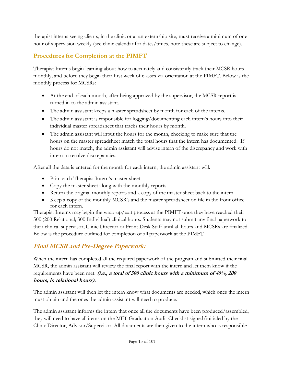therapist interns seeing clients, in the clinic or at an externship site, must receive a minimum of one hour of supervision weekly (see clinic calendar for dates/times, note these are subject to change).

### **Procedures for Completion at the PIMFT**

Therapist Interns begin learning about how to accurately and consistently track their MCSR hours monthly, and before they begin their first week of classes via orientation at the PIMFT. Below is the monthly process for MCSRs:

- At the end of each month, after being approved by the supervisor, the MCSR report is turned in to the admin assistant.
- The admin assistant keeps a master spreadsheet by month for each of the interns.
- The admin assistant is responsible for logging/documenting each intern's hours into their individual master spreadsheet that tracks their hours by month.
- The admin assistant will input the hours for the month, checking to make sure that the hours on the master spreadsheet match the total hours that the intern has documented. If hours do not match, the admin assistant will advise intern of the discrepancy and work with intern to resolve discrepancies.

After all the data is entered for the month for each intern, the admin assistant will:

- Print each Therapist Intern's master sheet
- Copy the master sheet along with the monthly reports
- Return the original monthly reports and a copy of the master sheet back to the intern
- Keep a copy of the monthly MCSR's and the master spreadsheet on file in the front office for each intern.

Therapist Interns may begin the wrap-up/exit process at the PIMFT once they have reached their 500 (200 Relational; 300 Individual) clinical hours. Students may not submit any final paperwork to their clinical supervisor, Clinic Director or Front Desk Staff until all hours and MCSRs are finalized. Below is the procedure outlined for completion of all paperwork at the PIMFT

### **Final MCSR and Pre-Degree Paperwork:**

When the intern has completed all the required paperwork of the program and submitted their final MCSR, the admin assistant will review the final report with the intern and let them know if the requirements have been met. **(i.e., a total of 500 clinic hours with a minimum of 40%, 200 hours, in relational hours).**

The admin assistant will then let the intern know what documents are needed, which ones the intern must obtain and the ones the admin assistant will need to produce.

The admin assistant informs the intern that once all the documents have been produced/assembled, they will need to have all items on the MFT Graduation Audit Checklist signed/initialed by the Clinic Director, Advisor/Supervisor. All documents are then given to the intern who is responsible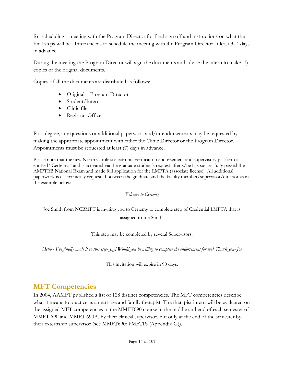for scheduling a meeting with the Program Director for final sign off and instructions on what the final steps will be. Intern needs to schedule the meeting with the Program Director at least 3–4 days in advance.

During the meeting the Program Director will sign the documents and advise the intern to make (3) copies of the original documents.

Copies of all the documents are distributed as follows:

- Original Program Director
- Student/Intern
- Clinic file
- Registrar Office

Post-degree, any questions or additional paperwork and/or endorsements may be requested by making the appropriate appointment with either the Clinic Director or the Program Director. Appointments must be requested at least (7) days in advance.

Please note that the new North Carolina electronic verification endorsement and supervisory platform is entitled "Certemy," and is activated via the graduate student's request after s/he has successfully passed the AMFTRB National Exam and made full application for the LMFTA (associate license). All additional paperwork is electronically requested between the graduate and the faculty member/supervisor/director as in the example below:

#### *Welcome to Certemy,*

Joe Smith from NCBMFT is inviting you to Certemy to complete step of Credential LMFTA that is assigned to Joe Smith.

This step may be completed by several Supervisors.

Hello - I've finally made it to this step-yay! Would you be willing to complete the endorsement for me? Thank you-Joe

This invitation will expire in 90 days.

### <span id="page-13-0"></span>**MFT Competencies**

In 2004, AAMFT published a list of 128 distinct competencies. The MFT competencies describe what it means to practice as a marriage and family therapist. The therapist intern will be evaluated on the assigned MFT competencies in the MMFT690 course in the middle and end of each semester of MMFT 690 and MMFT 690A, by their clinical supervisor, but only at the end of the semester by their externship supervisor (see MMFT690: PMFTPs (Appendix G)).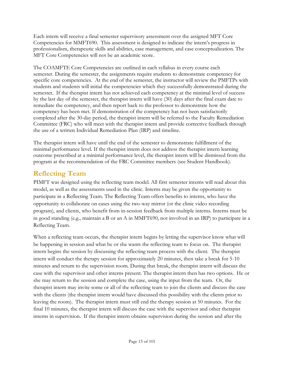Each intern will receive a final semester supervisory assessment over the assigned MFT Core Competencies for MMFT690. This assessment is designed to indicate the intern's progress in professionalism, therapeutic skills and abilities, case management, and case conceptualization. The MFT Core Competencies will not be an academic score.

The COAMFTE Core Competencies are outlined in each syllabus in every course each semester. During the semester, the assignments require students to demonstrate competency for specific core competencies. At the end of the semester, the instructor will review the PMFTPs with students and students will initial the competencies which they successfully demonstrated during the semester. If the therapist intern has not achieved each competency at the minimal level of success by the last day of the semester, the therapist intern will have (30) days after the final exam date to remediate the competency, and then report back to the professor to demonstrate how the competency has been met. If demonstration of the competency has not been satisfactorily completed after the 30-day period, the therapist intern will be referred to the Faculty Remediation Committee (FRC) who will meet with the therapist intern and provide corrective feedback through the use of a written Individual Remediation Plan (IRP) and timeline.

The therapist intern will have until the end of the semester to demonstrate fulfillment of the minimal performance level. If the therapist intern does not address the therapist intern learning outcome prescribed at a minimal performance level, the therapist intern will be dismissed from the program at the recommendation of the FRC Committee members (see Student Handbook).

### <span id="page-14-0"></span>**Reflecting Team**

PIMFT was designed using the reflecting team model. All first semester interns will read about this model, as well as the assessments used in the clinic. Interns may be given the opportunity to participate in a Reflecting Team. The Reflecting Team offers benefits to interns, who have the opportunity to collaborate on cases using the two-way mirror (or the clinic video recording program), and clients, who benefit from in-session feedback from multiple interns. Interns must be in good standing (e.g., maintain a B or an A in MMFT690, not involved in an IRP) to participate in a Reflecting Team.

When a reflecting team occurs, the therapist intern begins by letting the supervisor know what will be happening in session and what he or she wants the reflecting team to focus on. The therapist intern begins the session by discussing the reflecting team process with the client. The therapist intern will conduct the therapy session for approximately 20 minutes, then take a break for 5-10 minutes and return to the supervision room. During that break, the therapist intern will discuss the case with the supervisor and other interns present. The therapist intern then has two options. He or she may return to the session and complete the case, using the input from the team. Or, the therapist intern may invite some or all of the reflecting team to join the clients and discuss the case with the clients (the therapist intern would have discussed this possibility with the clients prior to leaving the room). The therapist intern must still end the therapy session at 50 minutes. For the final 10 minutes, the therapist intern will discuss the case with the supervisor and other therapist interns in supervision. If the therapist intern obtains supervision during the session and after the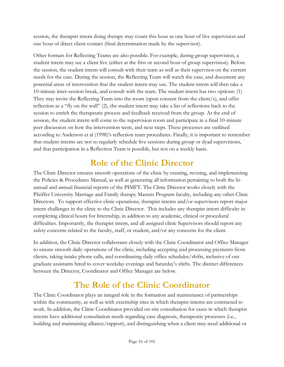session, the therapist intern doing therapy may count this hour as one hour of live supervision and one hour of direct client contact (final determination made by the supervisor).

Other formats for Reflecting Teams are also possible. For example, during group supervision, a student intern may see a client live (either at the first or second hour of group supervision). Before the session, the student intern will consult with their team as well as their supervisor on the current needs for the case. During the session, the Reflecting Team will watch the case, and document any potential areas of intervention that the student intern may use. The student intern will then take a 10-minute inter-session break, and consult with the team. The student intern has two options: (1) They may invite the Reflecting Team into the room (upon consent from the client/s), and offer reflection as a "fly on the wall" (2), the student intern may take a list of reflections back to the session to enrich the therapeutic process and feedback received from the group. At the end of session, the student intern will come to the supervision room and participate in a final 10-minute peer discussion on how the intervention went, and next steps. These processes are outlined according to Anderson et al (1998)'s reflection team procedures. Finally, it is important to remember that student interns are not to regularly schedule live sessions during group or dyad supervisions, and that participation in a Reflection Team is possible, but not on a weekly basis.

# **Role of the Clinic Director**

<span id="page-15-0"></span>The Clinic Director ensures smooth operations of the clinic by creating, revising, and implementing the Policies & Procedures Manual, as well as generating all information pertaining to both the biannual and annual financial reports of the PIMFT. The Clinic Director works closely with the Pfeiffer University Marriage and Family therapy Masters Program faculty, including any other Clinic Directors. To support effective clinic operations, therapist interns and/or supervisors report major intern challenges in the clinic to the Clinic Director. This includes any therapist intern difficulty in completing clinical hours for Internship, in addition to any academic, clinical or procedural difficulties. Importantly, the therapist intern, and all assigned clinic Supervisors should report any safety concerns related to the faculty, staff, or student, and/or any concerns for the client.

In addition, the Clinic Director collaborates closely with the Clinic Coordinator and Office Manager to ensure smooth daily operations of the clinic, including accepting and processing payments from clients, taking intake phone calls, and coordinating daily office schedules/shifts, inclusive of our graduate assistants hired to cover weekday evenings and Saturday's shifts. The distinct differences between the Director, Coordinator and Office Manager are below.

# **The Role of the Clinic Coordinator**

<span id="page-15-1"></span>The Clinic Coordinator plays an integral role in the formation and maintenance of partnerships within the community, as well as with externship sites in which therapist interns are contracted to work. In addition, the Clinic Coordinator provided on-site consultation for cases in which therapist interns have additional consultation needs regarding case diagnosis, therapeutic processes (i.e., building and maintaining alliance/rapport), and distinguishing when a client may need additional or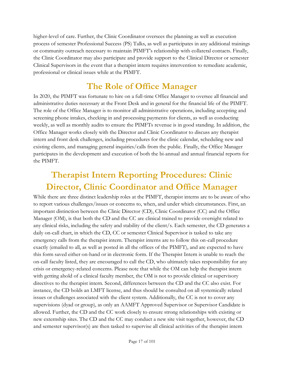higher-level of care. Further, the Clinic Coordinator oversees the planning as well as execution process of semester Professional Success (PS) Talks, as well as participates in any additional trainings or community outreach necessary to maintain PIMFT's relationship with collateral contacts. Finally, the Clinic Coordinator may also participate and provide support to the Clinical Director or semester Clinical Supervisors in the event that a therapist intern requires intervention to remediate academic, professional or clinical issues while at the PIMFT.

# **The Role of Office Manager**

<span id="page-16-0"></span>In 2020, the PIMFT was fortunate to hire on a full-time Office Manager to oversee all financial and administrative duties necessary at the Front Desk and in general for the financial life of the PIMFT. The role of the Office Manager is to monitor all administrative operations, including accepting and screening phone intakes, checking in and processing payments for clients, as well as conducting weekly, as well as monthly audits to ensure the PIMFTs revenue is in good standing. In addition, the Office Manager works closely with the Director and Clinic Coordinator to discuss any therapist intern and front desk challenges, including procedures for the clinic calendar, scheduling new and existing clients, and managing general inquiries/calls from the public. Finally, the Office Manager participates in the development and execution of both the bi-annual and annual financial reports for the PIMFT.

# <span id="page-16-1"></span>**Therapist Intern Reporting Procedures: Clinic Director, Clinic Coordinator and Office Manager**

While there are three distinct leadership roles at the PIMFT, therapist interns are to be aware of who to report various challenges/issues or concerns to, when, and under which circumstances. First, an important distinction between the Clinic Director (CD), Clinic Coordinator (CC) and the Office Manager (OM), is that both the CD and the CC are clinical trained to provide oversight related to any clinical risks, including the safety and stability of the client/s. Each semester, the CD generates a daily on-call chart, in which the CD, CC or semester Clinical Supervisor is tasked to take any emergency calls from the therapist intern. Therapist interns are to follow this on-call procedure exactly (emailed to all, as well as posted in all the offices of the PIMFT), and are expected to have this form saved either on-hand or in electronic form. If the Therapist Intern is unable to reach the on-call faculty listed, they are encouraged to call the CD, who ultimately takes responsibility for any crisis or emergency-related concerns. Please note that while the OM can help the therapist intern with getting ahold of a clinical faculty member, the OM is not to provide clinical or supervisory directives to the therapist intern. Second, differences between the CD and the CC also exist. For instance, the CD holds an LMFT license, and thus should be consulted on all systemically related issues or challenges associated with the client system. Additionally, the CC is not to cover any supervisions (dyad or group), as only an AAMFT Approved Supervisor or Supervisor Candidate is allowed. Further, the CD and the CC work closely to ensure strong relationships with existing or new externship sites. The CD and the CC may conduct a new site visit together, however, the CD and semester supervisor(s) are then tasked to supervise all clinical activities of the therapist intern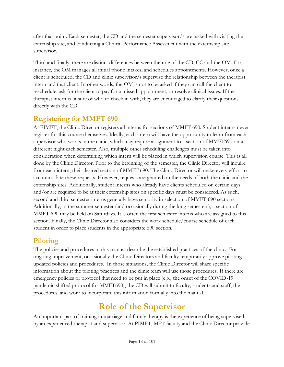after that point. Each semester, the CD and the semester supervisor/s are tasked with visiting the externship site, and conducting a Clinical Performance Assessment with the externship site supervisor.

Third and finally, there are distinct differences between the role of the CD, CC and the OM. For instance, the OM manages all initial phone intakes, and schedules appointments. However, once a client is scheduled, the CD and clinic supervisor/s supervise the relationship between the therapist intern and that client. In other words, the OM is not to be asked if they can call the client to reschedule, ask for the client to pay for a missed appointment, or resolve clinical issues. If the therapist intern is unsure of who to check in with, they are encouraged to clarify their questions directly with the CD.

### <span id="page-17-0"></span>**Registering for MMFT 690**

At PIMFT, the Clinic Director registers all interns for sections of MMFT 690. Student interns never register for this course themselves. Ideally, each intern will have the opportunity to learn from each supervisor who works in the clinic, which may require assignment to a section of MMFT690 on a different night each semester. Also, multiple other scheduling challenges must be taken into consideration when determining which intern will be placed in which supervision course. This is all done by the Clinic Director. Prior to the beginning of the semester, the Clinic Director will inquire from each intern, their desired section of MMFT 690. The Clinic Director will make every effort to accommodate these requests. However, requests are granted on the needs of both the clinic and the externship sites. Additionally, student interns who already have clients scheduled on certain days and/or are required to be at their externship sites on specific days must be considered. As such, second and third semester interns generally have seniority in selection of MMFT 690 sections. Additionally, in the summer semester (and occasionally during the long semesters), a section of MMFT 690 may be held on Saturdays. It is often the first semester interns who are assigned to this section. Finally, the Clinic Director also considers the work schedule/course schedule of each student in order to place students in the appropriate 690 section.

### <span id="page-17-1"></span>**Piloting**

The policies and procedures in this manual describe the established practices of the clinic. For ongoing improvement, occasionally the Clinic Directors and faculty temporarily approve piloting updated policies and procedures. In those situations, the Clinic Director will share specific information about the piloting practices and the clinic team will use those procedures. If there are emergency policies or protocol that need to be put in place (e.g., the onset of the COVID-19 pandemic shifted protocol for MMFT690), the CD will submit to faculty, students and staff, the procedures, and work to incorporate this information formally into the manual.

# **Role of the Supervisor**

<span id="page-17-2"></span>An important part of training in marriage and family therapy is the experience of being supervised by an experienced therapist and supervisor. At PIMFT, MFT faculty and the Clinic Director provide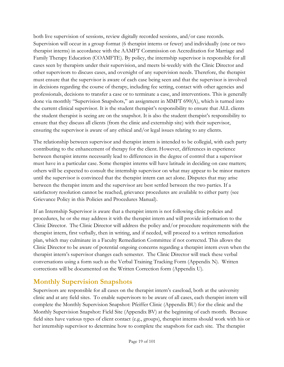both live supervision of sessions, review digitally recorded sessions, and/or case records. Supervision will occur in a group format (6 therapist interns or fewer) and individually (one or two therapist interns) in accordance with the AAMFT Commission on Accreditation for Marriage and Family Therapy Education (COAMFTE). By policy, the internship supervisor is responsible for all cases seen by therapists under their supervision, and meets bi-weekly with the Clinic Director and other supervisors to discuss cases, and oversight of any supervision needs. Therefore, the therapist must ensure that the supervisor is aware of each case being seen and that the supervisor is involved in decisions regarding the course of therapy, including fee setting, contact with other agencies and professionals, decisions to transfer a case or to terminate a case, and interventions. This is generally done via monthly "Supervision Snapshots," an assignment in MMFT 690(A), which is turned into the current clinical supervisor. It is the student therapist's responsibility to ensure that ALL clients the student therapist is seeing are on the snapshot. It is also the student therapist's responsibility to ensure that they discuss all clients (from the clinic and externship site) with their supervisor, ensuring the supervisor is aware of any ethical and/or legal issues relating to any clients.

The relationship between supervisor and therapist intern is intended to be collegial, with each party contributing to the enhancement of therapy for the client. However, differences in experience between therapist interns necessarily lead to differences in the degree of control that a supervisor must have in a particular case. Some therapist interns will have latitude in deciding on case matters; others will be expected to consult the internship supervisor on what may appear to be minor matters until the supervisor is convinced that the therapist intern can act alone. Disputes that may arise between the therapist intern and the supervisor are best settled between the two parties. If a satisfactory resolution cannot be reached, grievance procedures are available to either party (see [Grievance Policy](#page-33-1) in this Policies and Procedures Manual).

If an Internship Supervisor is aware that a therapist intern is not following clinic policies and procedures, he or she may address it with the therapist intern and will provide information to the Clinic Director. The Clinic Director will address the policy and/or procedure requirements with the therapist intern, first verbally, then in writing, and if needed, will proceed to a written remediation plan, which may culminate in a Faculty Remediation Committee if not corrected. This allows the Clinic Director to be aware of potential ongoing concerns regarding a therapist intern even when the therapist intern's supervisor changes each semester. The Clinic Director will track these verbal conversations using a form such as the Verbal Training Tracking Form (Appendix N). Written corrections will be documented on the Written Correction form (Appendix U).

### <span id="page-18-0"></span>**Monthly Supervision Snapshots**

Supervisors are responsible for all cases on the therapist intern's caseload, both at the university clinic and at any field sites. To enable supervisors to be aware of all cases, each therapist intern will complete the Monthly Supervision Snapshot: Pfeiffer Clinic (Appendix BU) for the clinic and the Monthly Supervision Snapshot: Field Site (Appendix BV) at the beginning of each month. Because field sites have various types of client contact (e.g., groups), therapist interns should work with his or her internship supervisor to determine how to complete the snapshots for each site. The therapist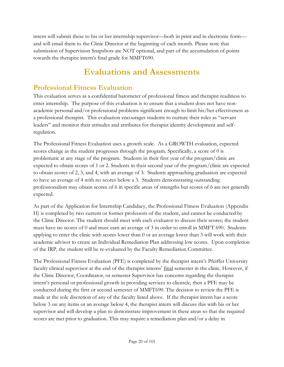intern will submit these to his or her internship supervisor—both in print and in electronic form and will email them to the Clinic Director at the beginning of each month. Please note that submission of Supervision Snapshots are NOT optional, and part of the accumulation of points towards the therapist intern's final grade for MMFT690.

# **Evaluations and Assessments**

### <span id="page-19-1"></span><span id="page-19-0"></span>**Professional Fitness Evaluation**

This evaluation serves as a confidential barometer of professional fitness and therapist readiness to enter internship. The purpose of this evaluation is to ensure that a student does not have nonacademic personal and/or professional problems significant enough to limit his/her effectiveness as a professional therapist. This evaluation encourages students to nurture their roles as "servant leaders" and monitor their attitudes and attributes for therapist identity development and selfregulation.

The Professional Fitness Evaluation uses a growth scale. As a GROWTH evaluation, expected scores change as the student progresses through the program. Specifically, a score of 0 is problematic at any stage of the program. Students in their first year of the program/clinic are expected to obtain scores of 1 or 2. Students in their second year of the program/clinic are expected to obtain scores of 2, 3, and 4, with an average of 3. Students approaching graduation are expected to have an average of 4 with no scores below a 3. Students demonstrating outstanding professionalism may obtain scores of 6 in specific areas of strengths but scores of 6 are not generally expected.

As part of the Application for Internship Candidacy, the Professional Fitness Evaluation (Appendix H) is completed by two current or former professors of the student, and cannot be conducted by the Clinic Director. The student should meet with each evaluator to discuss their scores; the student must have no scores of 0 and must earn an average of 3 in order to enroll in MMFT 690. Students applying to enter the clinic with scores lower than 0 or an average lower than 3 will work with their academic advisor to create an Individual Remediation Plan addressing low scores. Upon completion of the IRP, the student will be re-evaluated by the Faculty Remediation Committee.

The Professional Fitness Evaluation (PFE) is completed by the therapist intern's Pfeiffer University faculty clinical supervisor at the end of the therapist interns' final semester in the clinic. However, if the Clinic Director, Coordinator, or semester Supervisor has concerns regarding the therapist intern's personal or professional growth in providing services to clientele, then a PFE may be conducted during the first or second semester of MMFT690. The decision to review the PFE is made at the sole discretion of any of the faculty listed above. If the therapist intern has a score below 3 on any items or an average below 4, the therapist intern will discuss this with his or her supervisor and will develop a plan to demonstrate improvement in these areas so that the required scores are met prior to graduation. This may require a remediation plan and/or a delay in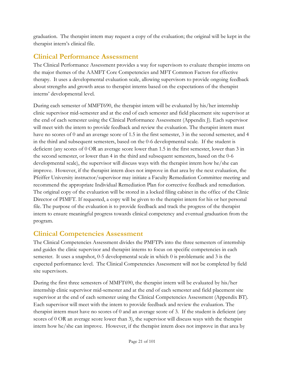graduation. The therapist intern may request a copy of the evaluation; the original will be kept in the therapist intern's clinical file.

### <span id="page-20-0"></span>**Clinical Performance Assessment**

The Clinical Performance Assessment provides a way for supervisors to evaluate therapist interns on the major themes of the AAMFT Core Competencies and MFT Common Factors for effective therapy. It uses a developmental evaluation scale, allowing supervisors to provide ongoing feedback about strengths and growth areas to therapist interns based on the expectations of the therapist interns' developmental level.

During each semester of MMFT690, the therapist intern will be evaluated by his/her internship clinic supervisor mid-semester and at the end of each semester and field placement site supervisor at the end of each semester using the Clinical Performance Assessment (Appendix J). Each supervisor will meet with the intern to provide feedback and review the evaluation. The therapist intern must have no scores of 0 and an average score of 1.5 in the first semester, 3 in the second semester, and 4 in the third and subsequent semesters, based on the 0-6 developmental scale. If the student is deficient (any scores of 0 OR an average score lower than 1.5 in the first semester, lower than 3 in the second semester, or lower than 4 in the third and subsequent semesters, based on the 0-6 developmental scale), the supervisor will discuss ways with the therapist intern how he/she can improve. However, if the therapist intern does not improve in that area by the next evaluation, the Pfeiffer University instructor/supervisor may initiate a Faculty Remediation Committee meeting and recommend the appropriate Individual Remediation Plan for corrective feedback and remediation. The original copy of the evaluation will be stored in a locked filing cabinet in the office of the Clinic Director of PIMFT. If requested, a copy will be given to the therapist intern for his or her personal file. The purpose of the evaluation is to provide feedback and track the progress of the therapist intern to ensure meaningful progress towards clinical competency and eventual graduation from the program.

### <span id="page-20-1"></span>**Clinical Competencies Assessment**

The Clinical Competencies Assessment divides the PMFTPs into the three semesters of internship and guides the clinic supervisor and therapist interns to focus on specific competencies in each semester. It uses a snapshot, 0-5 developmental scale in which 0 is problematic and 3 is the expected performance level. The Clinical Competencies Assessment will not be completed by field site supervisors.

During the first three semesters of MMFT690, the therapist intern will be evaluated by his/her internship clinic supervisor mid-semester and at the end of each semester and field placement site supervisor at the end of each semester using the Clinical Competencies Assessment (Appendix BT). Each supervisor will meet with the intern to provide feedback and review the evaluation. The therapist intern must have no scores of 0 and an average score of 3. If the student is deficient (any scores of 0 OR an average score lower than 3), the supervisor will discuss ways with the therapist intern how he/she can improve. However, if the therapist intern does not improve in that area by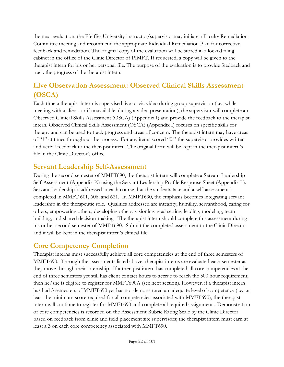the next evaluation, the Pfeiffer University instructor/supervisor may initiate a Faculty Remediation Committee meeting and recommend the appropriate Individual Remediation Plan for corrective feedback and remediation. The original copy of the evaluation will be stored in a locked filing cabinet in the office of the Clinic Director of PIMFT*.* If requested, a copy will be given to the therapist intern for his or her personal file. The purpose of the evaluation is to provide feedback and track the progress of the therapist intern.

### <span id="page-21-0"></span>**Live Observation Assessment: Observed Clinical Skills Assessment (OSCA)**

Each time a therapist intern is supervised live or via video during group supervision (i.e., while meeting with a client, or if unavailable, during a video presentation), the supervisor will complete an Observed Clinical Skills Assessment (OSCA) (Appendix I) and provide the feedback to the therapist intern. Observed Clinical Skills Assessment (OSCA) (Appendix I) focuses on specific skills for therapy and can be used to track progress and areas of concern. The therapist intern may have areas of "1" at times throughout the process. For any items scored "0," the supervisor provides written and verbal feedback to the therapist intern. The original form will be kept in the therapist intern's file in the Clinic Director's office.

### <span id="page-21-1"></span>**Servant Leadership Self-Assessment**

During the second semester of MMFT690, the therapist intern will complete a Servant Leadership Self-Assessment (Appendix K) using the Servant Leadership Profile Response Sheet (Appendix L). Servant Leadership is addressed in each course that the students take and a self-assessment is completed in MMFT 601, 606, and 621. In MMFT690, the emphasis becomes integrating servant leadership in the therapeutic role. Qualities addressed are integrity, humility, servanthood, caring for others, empowering others, developing others, visioning, goal setting, leading, modeling, teambuilding, and shared decision-making. The therapist intern should complete this assessment during his or her second semester of MMFT690. Submit the completed assessment to the Clinic Director and it will be kept in the therapist intern's clinical file.

### <span id="page-21-2"></span>**Core Competency Completion**

Therapist interns must successfully achieve all core competencies at the end of three semesters of MMFT690. Through the assessments listed above, therapist interns are evaluated each semester as they move through their internship. If a therapist intern has completed all core competencies at the end of three semesters yet still has client contact hours to accrue to reach the 500 hour requirement, then he/she is eligible to register for MMFT690A (see next section). However, if a therapist intern has had 3 semesters of MMFT690 yet has not demonstrated an adequate level of competency (i.e., at least the minimum score required for all competencies associated with MMFT690), the therapist intern will continue to register for MMFT690 and complete all required assignments. Demonstration of core competencies is recorded on the Assessment Rubric Rating Scale by the Clinic Director based on feedback from clinic and field placement site supervisors; the therapist intern must earn at least a 3 on each core competency associated with MMFT690.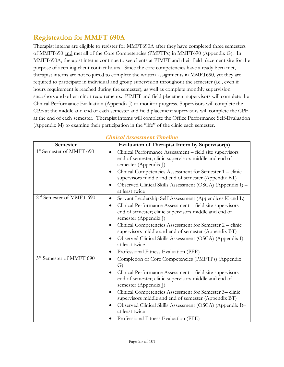### <span id="page-22-0"></span>**Registration for MMFT 690A**

Therapist interns are eligible to register for MMFT690A after they have completed three semesters of MMFT690 and met all of the Core Competencies (PMFTPs) in MMFT690 (Appendix G). In MMFT690A, therapist interns continue to see clients at PIMFT and their field placement site for the purpose of accruing client contact hours. Since the core competencies have already been met, therapist interns are not required to complete the written assignments in MMFT690, yet they are required to participate in individual and group supervision throughout the semester (i.e., even if hours requirement is reached during the semester), as well as complete monthly supervision snapshots and other minor requirements. PIMFT and field placement supervisors will complete the Clinical Performance Evaluation (Appendix J) to monitor progress. Supervisors will complete the CPE at the middle and end of each semester and field placement supervisors will complete the CPE at the end of each semester. Therapist interns will complete the Office Performance Self-Evaluation (Appendix M) to examine their participation in the "life" of the clinic each semester.

| Semester                             | Evaluation of Therapist Intern by Supervisor(s)                                                                                                                                                                                                                                                                                                                                                                                                                     |
|--------------------------------------|---------------------------------------------------------------------------------------------------------------------------------------------------------------------------------------------------------------------------------------------------------------------------------------------------------------------------------------------------------------------------------------------------------------------------------------------------------------------|
| 1 <sup>st</sup> Semester of MMFT 690 | Clinical Performance Assessment - field site supervisors<br>end of semester; clinic supervisors middle and end of<br>semester (Appendix J)<br>Clinical Competencies Assessment for Semester 1 – clinic<br>supervisors middle and end of semester (Appendix BT)<br>Observed Clinical Skills Assessment (OSCA) (Appendix I) -<br>at least twice                                                                                                                       |
| 2 <sup>nd</sup> Semester of MMFT 690 | Servant Leadership Self-Assessment (Appendices K and L)<br>٠<br>Clinical Performance Assessment - field site supervisors<br>$\bullet$<br>end of semester; clinic supervisors middle and end of<br>semester (Appendix J)<br>Clinical Competencies Assessment for Semester 2 – clinic<br>supervisors middle and end of semester (Appendix BT)<br>Observed Clinical Skills Assessment (OSCA) (Appendix I) -<br>at least twice<br>Professional Fitness Evaluation (PFE) |
| 3rd Semester of MMFT 690             | Completion of Core Competencies (PMFTPs) (Appendix<br>$\bullet$<br>G)<br>Clinical Performance Assessment – field site supervisors<br>end of semester; clinic supervisors middle and end of<br>semester (Appendix J)<br>Clinical Competencies Assessment for Semester 3– clinic<br>supervisors middle and end of semester (Appendix BT)<br>Observed Clinical Skills Assessment (OSCA) (Appendix I)-<br>at least twice<br>Professional Fitness Evaluation (PFE)       |

#### *Clinical Assessment Timeline*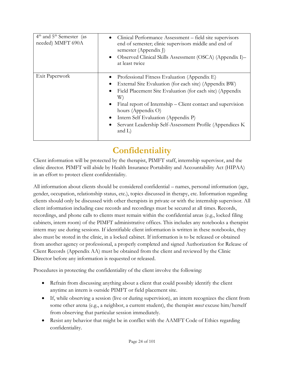| $4th$ and $5th$ Semester (as<br>needed) MMFT 690A | Clinical Performance Assessment – field site supervisors<br>$\bullet$<br>end of semester; clinic supervisors middle and end of<br>semester (Appendix J)<br>Observed Clinical Skills Assessment (OSCA) (Appendix I)–<br>$\bullet$<br>at least twice                                                                                                                                                                                               |
|---------------------------------------------------|--------------------------------------------------------------------------------------------------------------------------------------------------------------------------------------------------------------------------------------------------------------------------------------------------------------------------------------------------------------------------------------------------------------------------------------------------|
| Exit Paperwork                                    | Professional Fitness Evaluation (Appendix E)<br>External Site Evaluation (for each site) (Appendix BW)<br>$\bullet$<br>Field Placement Site Evaluation (for each site) (Appendix<br>$\bullet$<br>W)<br>Final report of Internship – Client contact and supervision<br>$\bullet$<br>hours (Appendix O)<br>Intern Self Evaluation (Appendix P)<br>$\bullet$<br>Servant Leadership Self-Assessment Profile (Appendices K)<br>$\bullet$<br>and $L$ ) |

# **Confidentiality**

<span id="page-23-0"></span>Client information will be protected by the therapist, PIMFT staff, internship supervisor, and the clinic director. PIMFT will abide by Health Insurance Portability and Accountability Act (HIPAA) in an effort to protect client confidentiality.

All information about clients should be considered confidential – names, personal information (age, gender, occupation, relationship status, etc.), topics discussed in therapy, etc. Information regarding clients should only be discussed with other therapists in private or with the internship supervisor. All client information including case records and recordings must be secured at all times. Records, recordings, and phone calls to clients must remain within the confidential areas (e.g., locked filing cabinets, intern room) of the PIMFT administrative offices. This includes any notebooks a therapist intern may use during sessions. If identifiable client information is written in these notebooks, they also must be stored in the clinic, in a locked cabinet. If information is to be released or obtained from another agency or professional, a properly completed and signed Authorization for Release of Client Records (Appendix AA) must be obtained from the client and reviewed by the Clinic Director before any information is requested or released.

Procedures in protecting the confidentiality of the client involve the following:

- Refrain from discussing anything about a client that could possibly identify the client anytime an intern is outside PIMFT or field placement site.
- If, while observing a session (live or during supervision), an intern recognizes the client from some other arena (e.g., a neighbor, a current student), the therapist *must* excuse him/herself from observing that particular session immediately.
- Resist any behavior that might be in conflict with the AAMFT Code of Ethics regarding confidentiality.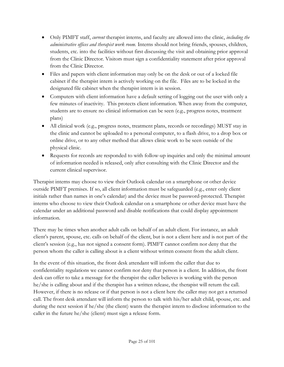- Only PIMFT staff, *current* therapist interns, and faculty are allowed into the clinic, *including the administrative offices and therapist work room.* Interns should not bring friends, spouses, children, students, etc. into the facilities without first discussing the visit and obtaining prior approval from the Clinic Director. Visitors must sign a confidentiality statement after prior approval from the Clinic Director.
- Files and papers with client information may only be on the desk or out of a locked file cabinet if the therapist intern is actively working on the file. Files are to be locked in the designated file cabinet when the therapist intern is in session.
- Computers with client information have a default setting of logging out the user with only a few minutes of inactivity. This protects client information. When away from the computer, students are to ensure no clinical information can be seen (e.g., progress notes, treatment plans)
- All clinical work (e.g., progress notes, treatment plans, records or recordings) MUST stay in the clinic and cannot be uploaded to a personal computer, to a flash drive, to a drop box or online drive, or to any other method that allows clinic work to be seen outside of the physical clinic.
- Requests for records are responded to with follow-up inquiries and only the minimal amount of information needed is released, only after consulting with the Clinic Director and the current clinical supervisor.

Therapist interns may choose to view their Outlook calendar on a smartphone or other device outside PIMFT premises. If so, all client information must be safeguarded (e.g., enter only client initials rather than names in one's calendar) and the device must be password-protected. Therapist interns who choose to view their Outlook calendar on a smartphone or other device must have the calendar under an additional password and disable notifications that could display appointment information.

There may be times when another adult calls on behalf of an adult client. For instance, an adult client's parent, spouse, etc. calls on behalf of the client, but is not a client here and is not part of the client's session (e.g., has not signed a consent form). PIMFT cannot confirm nor deny that the person whom the caller is calling about is a client without written consent from the adult client.

In the event of this situation, the front desk attendant will inform the caller that due to confidentiality regulations we cannot confirm nor deny that person is a client. In addition, the front desk can offer to take a message for the therapist the caller believes is working with the person he/she is calling about and if the therapist has a written release, the therapist will return the call. However, if there is no release or if that person is not a client here the caller may not get a returned call. The front desk attendant will inform the person to talk with his/her adult child, spouse, etc. and during the next session if he/she (the client) wants the therapist intern to disclose information to the caller in the future he/she (client) must sign a release form.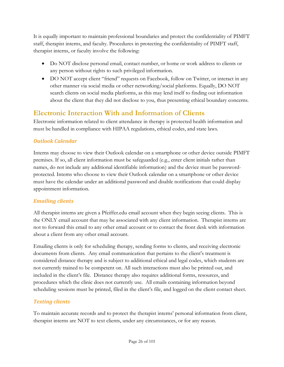It is equally important to maintain professional boundaries and protect the confidentiality of PIMFT staff, therapist interns, and faculty. Procedures in protecting the confidentiality of PIMFT staff, therapist interns, or faculty involve the following:

- Do NOT disclose personal email, contact number, or home or work address to clients or any person without rights to such privileged information.
- DO NOT accept client "friend" requests on Facebook, follow on Twitter, or interact in any other manner via social media or other networking/social platforms. Equally, DO NOT search clients on social media platforms, as this may lend itself to finding out information about the client that they did not disclose to you, thus presenting ethical boundary concerns.

### <span id="page-25-0"></span>**Electronic Interaction With and Information of Clients**

Electronic information related to client attendance in therapy is protected health information and must be handled in compliance with HIPAA regulations, ethical codes, and state laws.

### *Outlook Calendar*

Interns may choose to view their Outlook calendar on a smartphone or other device outside PIMFT premises. If so, all client information must be safeguarded (e.g., enter client initials rather than names, do not include any additional identifiable information) and the device must be passwordprotected. Interns who choose to view their Outlook calendar on a smartphone or other device must have the calendar under an additional password and disable notifications that could display appointment information.

### *Emailing clients*

All therapist interns are given a Pfeiffer.edu email account when they begin seeing clients. This is the ONLY email account that may be associated with any client information. Therapist interns are not to forward this email to any other email account or to contact the front desk with information about a client from any other email account.

Emailing clients is only for scheduling therapy, sending forms to clients, and receiving electronic documents from clients. Any email communication that pertains to the client's treatment is considered distance therapy and is subject to additional ethical and legal codes, which students are not currently trained to be competent on. All such interactions must also be printed out, and included in the client's file. Distance therapy also requires additional forms, resources, and procedures which the clinic does not currently use. All emails containing information beyond scheduling sessions must be printed, filed in the client's file, and logged on the client contact sheet.

### *Texting clients*

To maintain accurate records and to protect the therapist interns' personal information from client, therapist interns are NOT to text clients, under any circumstances, or for any reason.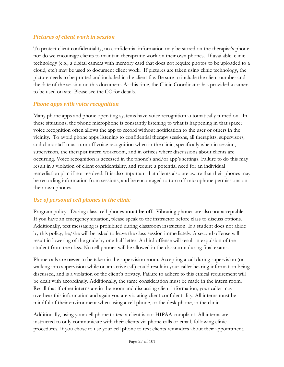#### *Pictures of client work in session*

To protect client confidentiality, no confidential information may be stored on the therapist's phone nor do we encourage clients to maintain therapeutic work on their own phones. If available, clinic technology (e.g., a digital camera with memory card that does not require photos to be uploaded to a cloud, etc.) may be used to document client work. If pictures are taken using clinic technology, the picture needs to be printed and included in the client file. Be sure to include the client number and the date of the session on this document. At this time, the Clinic Coordinator has provided a camera to be used on site. Please see the CC for details.

#### *Phone apps with voice recognition*

Many phone apps and phone operating systems have voice recognition automatically turned on. In these situations, the phone microphone is constantly listening to what is happening in that space; voice recognition often allows the app to record without notification to the user or others in the vicinity. To avoid phone apps listening to confidential therapy sessions, all therapists, supervisors, and clinic staff must turn off voice recognition when in the clinic, specifically when in session, supervision, the therapist intern workroom, and in offices where discussions about clients are occurring. Voice recognition is accessed in the phone's and/or app's settings. Failure to do this may result in a violation of client confidentiality, and require a potential need for an individual remediation plan if not resolved. It is also important that clients also are aware that their phones may be recording information from sessions, and be encouraged to turn off microphone permissions on their own phones.

### *Use of personal cell phones in the clinic*

Program policy: During class, cell phones **must be off**. Vibrating phones are also not acceptable. If you have an emergency situation, please speak to the instructor before class to discuss options. Additionally, text messaging is prohibited during classroom instruction. If a student does not abide by this policy, he/she will be asked to leave the class session immediately. A second offense will result in lowering of the grade by one-half letter. A third offense will result in expulsion of the student from the class. No cell phones will be allowed in the classroom during final exams.

Phone calls are **never** to be taken in the supervision room. Accepting a call during supervision (or walking into supervision while on an active call) could result in your caller hearing information being discussed, and is a violation of the client's privacy. Failure to adhere to this ethical requirement will be dealt with accordingly. Additionally, the same consideration must be made in the intern room. Recall that if other interns are in the room and discussing client information, your caller may overhear this information and again you are violating client confidentiality. All interns must be mindful of their environment when using a cell phone, or the desk phone, in the clinic.

Additionally, using your cell phone to text a client is not HIPAA compliant. All interns are instructed to only communicate with their clients via phone calls or email, following clinic procedures. If you chose to use your cell phone to text clients reminders about their appointment,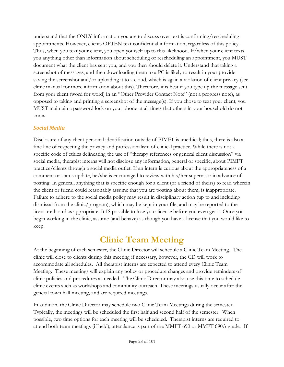understand that the ONLY information you are to discuss over text is confirming/rescheduling appointments. However, clients OFTEN text confidential information, regardless of this policy. Thus, when you text your client, you open yourself up to this likelihood. If/when your client texts you anything other than information about scheduling or rescheduling an appointment, you MUST document what the client has sent you, and you then should delete it. Understand that taking a screenshot of messages, and then downloading them to a PC is likely to result in your provider saving the screenshot and/or uploading it to a cloud, which is again a violation of client privacy (see clinic manual for more information about this). Therefore, it is best if you type up the message sent from your client (word for word) in an "Other Provider Contact Note" (not a progress note), as opposed to taking and printing a screenshot of the message(s). If you chose to text your client, you MUST maintain a password lock on your phone at all times that others in your household do not know.

### *Social Media*

Disclosure of any client personal identification outside of PIMFT is unethical; thus, there is also a fine line of respecting the privacy and professionalism of clinical practice. While there is not a specific code of ethics delineating the use of "therapy references or general client discussion" via social media, therapist interns will not disclose any information, general or specific, about PIMFT practice/clients through a social media outlet. If an intern is curious about the appropriateness of a comment or status update, he/she is encouraged to review with his/her supervisor in advance of posting. In general, anything that is specific enough for a client (or a friend of theirs) to read wherein the client or friend could reasonably assume that you are posting about them, is inappropriate. Failure to adhere to the social media policy may result in disciplinary action (up to and including dismissal from the clinic/program), which may be kept in your file, and may be reported to the licensure board as appropriate. It IS possible to lose your license before you even get it. Once you begin working in the clinic, assume (and behave) as though you have a license that you would like to keep.

# **Clinic Team Meeting**

<span id="page-27-0"></span>At the beginning of each semester, the Clinic Director will schedule a Clinic Team Meeting. The clinic will close to clients during this meeting if necessary, however, the CD will work to accommodate all schedules. All therapist interns are expected to attend every Clinic Team Meeting. These meetings will explain any policy or procedure changes and provide reminders of clinic policies and procedures as needed. The Clinic Director may also use this time to schedule clinic events such as workshops and community outreach. These meetings usually occur after the general town hall meeting, and are required meetings.

In addition, the Clinic Director may schedule two Clinic Team Meetings during the semester. Typically, the meetings will be scheduled the first half and second half of the semester. When possible, two time options for each meeting will be scheduled. Therapist interns are required to attend both team meetings (if held); attendance is part of the MMFT 690 or MMFT 690A grade. If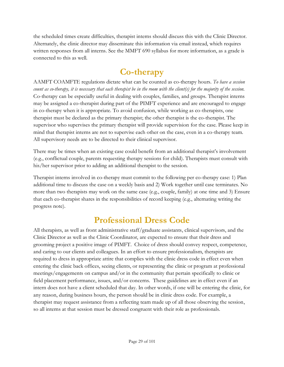the scheduled times create difficulties, therapist interns should discuss this with the Clinic Director. Alternately, the clinic director may disseminate this information via email instead, which requires written responses from all interns. See the MMFT 690 syllabus for more information, as a grade is connected to this as well.

### **Co-therapy**

<span id="page-28-0"></span>AAMFT COAMFTE regulations dictate what can be counted as co-therapy hours. *To have a session count as co-therapy, it is necessary that each therapist be in the room with the client(s) for the majority of the session.* Co-therapy can be especially useful in dealing with couples, families, and groups. Therapist interns may be assigned a co-therapist during part of the PIMFT experience and are encouraged to engage in co-therapy when it is appropriate. To avoid confusion, while working as co-therapists, one therapist must be declared as the primary therapist; the other therapist is the co-therapist. The supervisor who supervises the primary therapist will provide supervision for the case. Please keep in mind that therapist interns are not to supervise each other on the case, even in a co-therapy team. All supervisory needs are to be directed to their clinical supervisor.

There may be times when an existing case could benefit from an additional therapist's involvement (e.g., conflictual couple, parents requesting therapy sessions for child). Therapists must consult with his/her supervisor prior to adding an additional therapist to the session.

Therapist interns involved in co-therapy must commit to the following per co-therapy case: 1) Plan additional time to discuss the case on a weekly basis and 2) Work together until case terminates. No more than two therapists may work on the same case (e.g., couple, family) at one time and 3) Ensure that each co-therapist shares in the responsibilities of record keeping (e.g., alternating writing the progress note).

# **Professional Dress Code**

<span id="page-28-1"></span>All therapists, as well as front administrative staff/graduate assistants, clinical supervisors, and the Clinic Director as well as the Clinic Coordinator, are expected to ensure that their dress and grooming project a positive image of PIMFT. Choice of dress should convey respect, competence, and caring to our clients and colleagues. In an effort to ensure professionalism, therapists are required to dress in appropriate attire that complies with the clinic dress code in effect even when entering the clinic back offices, seeing clients, or representing the clinic or program at professional meetings/engagements on campus and/or in the community that pertain specifically to clinic or field placement performance, issues, and/or concerns. These guidelines are in effect even if an intern does not have a client scheduled that day. In other words, if one will be entering the clinic, for any reason, during business hours, the person should be in clinic dress code. For example, a therapist may request assistance from a reflecting team made up of all those observing the session, so all interns at that session must be dressed congruent with their role as professionals.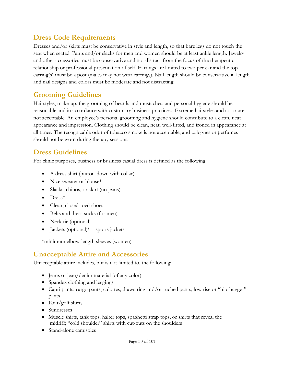### <span id="page-29-0"></span>**Dress Code Requirements**

Dresses and/or skirts must be conservative in style and length, so that bare legs do not touch the seat when seated. Pants and/or slacks for men and women should be at least ankle length. Jewelry and other accessories must be conservative and not distract from the focus of the therapeutic relationship or professional presentation of self. Earrings are limited to two per ear and the top earring(s) must be a post (males may not wear earrings). Nail length should be conservative in length and nail designs and colors must be moderate and not distracting.

### <span id="page-29-1"></span>**Grooming Guidelines**

Hairstyles, make-up, the grooming of beards and mustaches, and personal hygiene should be reasonable and in accordance with customary business practices. Extreme hairstyles and color are not acceptable. An employee's personal grooming and hygiene should contribute to a clean, neat appearance and impression. Clothing should be clean, neat, well-fitted, and ironed in appearance at all times. The recognizable odor of tobacco smoke is not acceptable, and colognes or perfumes should not be worn during therapy sessions.

### <span id="page-29-2"></span>**Dress Guidelines**

For clinic purposes, business or business casual dress is defined as the following:

- A dress shirt (button-down with collar)
- Nice sweater or blouse\*
- Slacks, chinos, or skirt (no jeans)
- $\bullet$  Dress<sup>\*</sup>
- Clean, closed-toed shoes
- Belts and dress socks (for men)
- Neck tie (optional)
- Jackets (optional) $*$  sports jackets

\*minimum elbow-length sleeves (women)

### <span id="page-29-3"></span>**Unacceptable Attire and Accessories**

Unacceptable attire includes, but is not limited to, the following:

- Jeans or jean/denim material (of any color)
- Spandex clothing and leggings
- Capri pants, cargo pants, culottes, drawstring and/or ruched pants, low rise or "hip-hugger" pants
- Knit/golf shirts
- Sundresses
- Muscle shirts, tank tops, halter tops, spaghetti strap tops, or shirts that reveal the midriff; "cold shoulder" shirts with cut-outs on the shoulders
- Stand-alone camisoles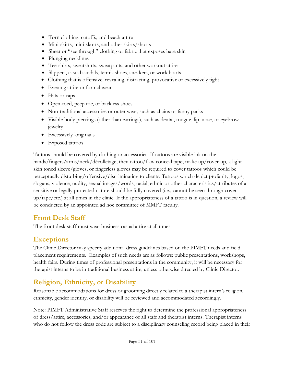- Torn clothing, cutoffs, and beach attire
- Mini-skirts, mini-skorts, and other skirts/shorts
- Sheer or "see through" clothing or fabric that exposes bare skin
- Plunging necklines
- Tee-shirts, sweatshirts, sweatpants, and other workout attire
- Slippers, casual sandals, tennis shoes, sneakers, or work boots
- Clothing that is offensive, revealing, distracting, provocative or excessively tight
- Evening attire or formal wear
- Hats or caps
- Open-toed, peep toe, or backless shoes
- Non-traditional accessories or outer wear, such as chains or fanny packs
- Visible body piercings (other than earrings), such as dental, tongue, lip, nose, or eyebrow jewelry
- Excessively long nails
- Exposed tattoos

Tattoos should be covered by clothing or accessories. If tattoos are visible ink on the hands/fingers/arms/neck/décolletage, then tattoo/flaw conceal tape, make-up/cover-up, a light skin toned sleeve/gloves, or fingerless gloves may be required to cover tattoos which could be perceptually disturbing/offensive/discriminating to clients. Tattoos which depict profanity, logos, slogans, violence, nudity, sexual images/words, racial, ethnic or other characteristics/attributes of a sensitive or legally protected nature should be fully covered (i.e., cannot be seen through coverup/tape/etc.) at all times in the clinic. If the appropriateness of a tattoo is in question, a review will be conducted by an appointed ad hoc committee of MMFT faculty.

### <span id="page-30-0"></span>**Front Desk Staff**

The front desk staff must wear business casual attire at all times.

### <span id="page-30-1"></span>**Exceptions**

The Clinic Director may specify additional dress guidelines based on the PIMFT needs and field placement requirements. Examples of such needs are as follows: public presentations, workshops, health fairs. During times of professional presentations in the community, it will be necessary for therapist interns to be in traditional business attire, unless otherwise directed by Clinic Director.

### <span id="page-30-2"></span>**Religion, Ethnicity, or Disability**

Reasonable accommodations for dress or grooming directly related to a therapist intern's religion, ethnicity, gender identity, or disability will be reviewed and accommodated accordingly.

Note: PIMFT Administrative Staff reserves the right to determine the professional appropriateness of dress/attire, accessories, and/or appearance of all staff and therapist interns. Therapist interns who do not follow the dress code are subject to a disciplinary counseling record being placed in their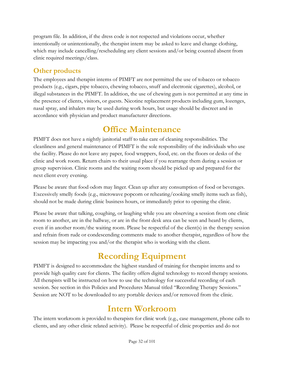program file. In addition, if the dress code is not respected and violations occur, whether intentionally or unintentionally, the therapist intern may be asked to leave and change clothing, which may include cancelling/rescheduling any client sessions and/or being counted absent from clinic required meetings/class.

### <span id="page-31-0"></span>**Other products**

The employees and therapist interns of PIMFT are not permitted the use of tobacco or tobacco products (e.g., cigars, pipe tobacco, chewing tobacco, snuff and electronic cigarettes), alcohol, or illegal substances in the PIMFT. In addition, the use of chewing gum is not permitted at any time in the presence of clients, visitors, or guests. Nicotine replacement products including gum, lozenges, nasal spray, and inhalers may be used during work hours, but usage should be discreet and in accordance with physician and product manufacturer directions.

# **Office Maintenance**

<span id="page-31-1"></span>PIMFT does not have a nightly janitorial staff to take care of cleaning responsibilities. The cleanliness and general maintenance of PIMFT is the sole responsibility of the individuals who use the facility. Please do not leave any paper, food wrappers, food, etc. on the floors or desks of the clinic and work room. Return chairs to their usual place if you rearrange them during a session or group supervision. Clinic rooms and the waiting room should be picked up and prepared for the next client every evening.

Please be aware that food odors may linger. Clean up after any consumption of food or beverages. Excessively smelly foods (e.g., microwave popcorn or reheating/cooking smelly items such as fish), should not be made during clinic business hours, or immediately prior to opening the clinic.

Please be aware that talking, coughing, or laughing while you are observing a session from one clinic room to another, are in the hallway, or are in the front desk area can be seen and heard by clients, even if in another room/the waiting room. Please be respectful of the client(s) in the therapy session and refrain from rude or condescending comments made to another therapist, regardless of how the session may be impacting you and/or the therapist who is working with the client.

# **Recording Equipment**

<span id="page-31-2"></span>PIMFT is designed to accommodate the highest standard of training for therapist interns and to provide high quality care for clients. The facility offers digital technology to record therapy sessions. All therapists will be instructed on how to use the technology for successful recording of each session. See section in this Policies and Procedures Manual titled "Recording Therapy Sessions." Session are NOT to be downloaded to any portable devices and/or removed from the clinic.

### **Intern Workroom**

<span id="page-31-3"></span>The intern workroom is provided to therapists for clinic work (e.g., case management, phone calls to clients, and any other clinic related activity). Please be respectful of clinic properties and do not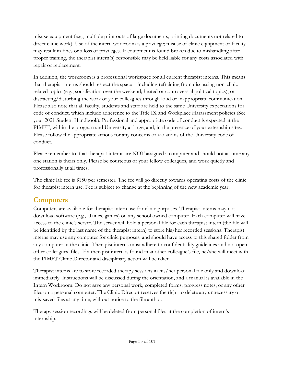misuse equipment (e.g., multiple print outs of large documents, printing documents not related to direct clinic work). Use of the intern workroom is a privilege; misuse of clinic equipment or facility may result in fines or a loss of privileges. If equipment is found broken due to mishandling after proper training, the therapist intern(s) responsible may be held liable for any costs associated with repair or replacement.

In addition, the workroom is a professional workspace for all current therapist interns. This means that therapist interns should respect the space—including refraining from discussing non-clinic related topics (e.g., socialization over the weekend; heated or controversial political topics), or distracting/disturbing the work of your colleagues through loud or inappropriate communication. Please also note that all faculty, students and staff are held to the same University expectations for code of conduct, which include adherence to the Title IX and Workplace Harassment policies (See your 2021 Student Handbook). Professional and appropriate code of conduct is expected at the PIMFT, within the program and University at large, and, in the presence of your externship sites. Please follow the appropriate actions for any concerns or violations of the University code of conduct.

Please remember to, that therapist interns are NOT assigned a computer and should not assume any one station is theirs only. Please be courteous of your fellow colleagues, and work quietly and professionally at all times.

The clinic lab fee is \$150 per semester. The fee will go directly towards operating costs of the clinic for therapist intern use. Fee is subject to change at the beginning of the new academic year.

### <span id="page-32-0"></span>**Computers**

Computers are available for therapist intern use for clinic purposes. Therapist interns may not download software (e.g., iTunes, games) on any school owned computer. Each computer will have access to the clinic's server. The server will hold a personal file for each therapist intern (the file will be identified by the last name of the therapist intern) to store his/her recorded sessions. Therapist interns may use any computer for clinic purposes, and should have access to this shared folder from any computer in the clinic. Therapist interns must adhere to confidentiality guidelines and not open other colleagues' files. If a therapist intern is found in another colleague's file, he/she will meet with the PIMFT Clinic Director and disciplinary action will be taken.

Therapist interns are to store recorded therapy sessions in his/her personal file only and download immediately. Instructions will be discussed during the orientation, and a manual is available in the Intern Workroom. Do not save any personal work, completed forms, progress notes, or any other files on a personal computer. The Clinic Director reserves the right to delete any unnecessary or mis-saved files at any time, without notice to the file author.

Therapy session recordings will be deleted from personal files at the completion of intern's internship.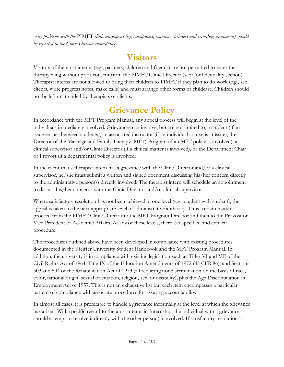*Any problems with the* PIMFT *clinic equipment (e.g., computers, monitors, printers and recording equipment) should be reported to the Clinic Director immediately.*

# **Visitors**

<span id="page-33-0"></span>Visitors of therapist interns (e.g., partners, children and friends) are not permitted to enter the therapy wing without prior consent from the PIMFT Clinic Director (see [Confidentiality](#page-23-0) section). Therapist interns are not allowed to bring their children to PIMFT if they plan to do work (e.g., see clients, write progress notes, make calls) and must arrange other forms of childcare. Children should not be left unattended by therapists or clients.

# **Grievance Policy**

<span id="page-33-1"></span>In accordance with the MFT Program Manual, any appeal process will begin at the level of the individuals immediately involved. Grievances can involve, but are not limited to, a student (if an issue ensues between students), an associated instructor (if an individual course is at issue), the Director of the Marriage and Family Therapy (MFT) Program (if an MFT policy is involved), a clinical supervisor and/or Clinic Director (if a clinical matter is involved), or the Department Chair or Provost (if a departmental policy is involved).

In the event that a therapist intern has a grievance with the Clinic Director and/or a clinical supervisor, he/she must submit a written and signed document discussing his/her concern directly to the administrative person(s) directly involved. The therapist intern will schedule an appointment to discuss his/her concerns with the Clinic Director and/or clinical supervisor.

Where satisfactory resolution has not been achieved at one level (e.g., student with student), the appeal is taken to the next appropriate level of administrative authority. Thus, certain matters proceed from the PIMFT Clinic Director to the MFT Program Director and then to the Provost or Vice-President of Academic Affairs. At any of these levels, there is a specified and explicit procedure.

The procedures outlined above have been developed in compliance with existing procedures documented in the Pfeiffer University Student Handbook and the MFT Program Manual. In addition, the university is in compliance with existing legislation such as Titles VI and VII of the Civil Rights Act of 1964, Title IX of the Education Amendments of 1972 (45 CFR 86), and Sections 503 and 504 of the Rehabilitation Act of 1973 (all requiring nondiscrimination on the basis of race, color, national origin, sexual orientation, religion, sex, or disability), plus the Age Discrimination in Employment Act of 1957. This is not an exhaustive list but each item encompasses a particular pattern of compliance with associate procedures for assuring accountability.

In almost all cases, it is preferable to handle a grievance informally at the level at which the grievance has arisen. With specific regard to therapist interns in Internship, the individual with a grievance should attempt to resolve it directly with the other person(s) involved. If satisfactory resolution is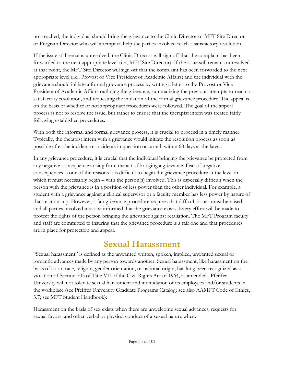not reached, the individual should bring the grievance to the Clinic Director or MFT Site Director or Program Director who will attempt to help the parties involved reach a satisfactory resolution.

If the issue still remains unresolved, the Clinic Director will sign off that the complaint has been forwarded to the next appropriate level (i.e., MFT Site Director). If the issue still remains unresolved at that point, the MFT Site Director will sign off that the complaint has been forwarded to the next appropriate level (i.e., Provost or Vice President of Academic Affairs) and the individual with the grievance should initiate a formal grievance process by writing a letter to the Provost or Vice President of Academic Affairs outlining the grievance, summarizing the previous attempts to reach a satisfactory resolution, and requesting the initiation of the formal grievance procedure. The appeal is on the basis of whether or not appropriate procedures were followed. The goal of the appeal process is not to resolve the issue, but rather to ensure that the therapist intern was treated fairly following established procedures.

With both the informal and formal grievance process, it is crucial to proceed in a timely manner. Typically, the therapist intern with a grievance would initiate the resolution process as soon as possible after the incident or incidents in question occurred, within 60 days at the latest.

In any grievance procedure, it is crucial that the individual bringing the grievance be protected from any negative consequence arising from the act of bringing a grievance. Fear of negative consequences is one of the reasons it is difficult to begin the grievance procedure at the level in which it must necessarily begin – with the person(s) involved. This is especially difficult when the person with the grievance is in a position of less power than the other individual. For example, a student with a grievance against a clinical supervisor or a faculty member has less power by nature of that relationship. However, a fair grievance procedure requires that difficult issues must be raised and all parties involved must be informed that the grievance exists. Every effort will be made to protect the rights of the person bringing the grievance against retaliation. The MFT Program faculty and staff are committed to insuring that the grievance procedure is a fair one and that procedures are in place for protection and appeal.

# **Sexual Harassment**

<span id="page-34-0"></span>"Sexual harassment" is defined as the unwanted written, spoken, implied, unwanted sexual or romantic advances made by any person towards another. Sexual harassment, like harassment on the basis of color, race, religion, gender orientation, or national origin, has long been recognized as a violation of Section 703 of Title VII of the Civil Rights Act of 1964, as amended. Pfeiffer University will not tolerate sexual harassment and intimidation of its employees and/or students in the workplace (see Pfeiffer University Graduate Programs Catalog; see also AAMFT Code of Ethics, 3.7; see MFT Student Handbook):

Harassment on the basis of sex exists when there are unwelcome sexual advances, requests for sexual favors, and other verbal or physical conduct of a sexual nature when: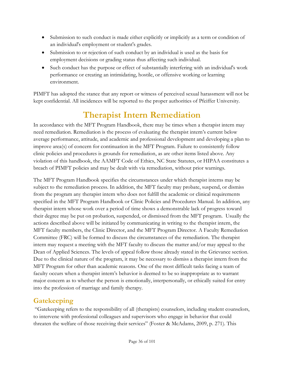- Submission to such conduct is made either explicitly or implicitly as a term or condition of an individual's employment or student's grades.
- Submission to or rejection of such conduct by an individual is used as the basis for employment decisions or grading status thus affecting such individual.
- Such conduct has the purpose or effect of substantially interfering with an individual's work performance or creating an intimidating, hostile, or offensive working or learning environment.

PIMFT has adopted the stance that any report or witness of perceived sexual harassment will not be kept confidential. All incidences will be reported to the proper authorities of Pfeiffer University.

# **Therapist Intern Remediation**

<span id="page-35-0"></span>In accordance with the MFT Program Handbook, there may be times when a therapist intern may need remediation. Remediation is the process of evaluating the therapist intern's current below average performance, attitude, and academic and professional development and developing a plan to improve area(s) of concern for continuation in the MFT Program. Failure to consistently follow clinic policies and procedures is grounds for remediation, as are other items listed above. Any violation of this handbook, the AAMFT Code of Ethics, NC State Statutes, or HIPAA constitutes a breach of PIMFT policies and may be dealt with via remediation, without prior warnings.

The MFT Program Handbook specifies the circumstances under which therapist interns may be subject to the remediation process. In addition, the MFT faculty may probate, suspend, or dismiss from the program any therapist intern who does not fulfill the academic or clinical requirements specified in the MFT Program Handbook or Clinic Policies and Procedures Manual. In addition, any therapist intern whose work over a period of time shows a demonstrable lack of progress toward their degree may be put on probation, suspended, or dismissed from the MFT program. Usually the actions described above will be initiated by communicating in writing to the therapist intern, the MFT faculty members, the Clinic Director, and the MFT Program Director. A Faculty Remediation Committee (FRC) will be formed to discuss the circumstances of the remediation. The therapist intern may request a meeting with the MFT faculty to discuss the matter and/or may appeal to the Dean of Applied Sciences. The levels of appeal follow those already stated in the Grievance section. Due to the clinical nature of the program, it may be necessary to dismiss a therapist intern from the MFT Program for other than academic reasons. One of the most difficult tasks facing a team of faculty occurs when a therapist intern's behavior is deemed to be so inappropriate as to warrant major concern as to whether the person is emotionally, interpersonally, or ethically suited for entry into the profession of marriage and family therapy.

### <span id="page-35-1"></span>**Gatekeeping**

"Gatekeeping refers to the responsibility of all (therapists) counselors, including student counselors, to intervene with professional colleagues and supervisors who engage in behavior that could threaten the welfare of those receiving their services" (Foster & McAdams, 2009, p. 271). This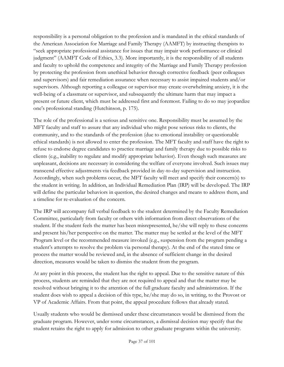responsibility is a personal obligation to the profession and is mandated in the ethical standards of the American Association for Marriage and Family Therapy (AAMFT) by instructing therapists to "seek appropriate professional assistance for issues that may impair work performance or clinical judgment" (AAMFT Code of Ethics, 3.3). More importantly, it is the responsibility of all students and faculty to uphold the competence and integrity of the Marriage and Family Therapy profession by protecting the profession from unethical behavior through corrective feedback (peer colleagues and supervisors) and fair remediation assurance when necessary to assist impaired students and/or supervisors. Although reporting a colleague or supervisor may create overwhelming anxiety, it is the well-being of a classmate or supervisor, and subsequently the ultimate harm that may impact a present or future client, which must be addressed first and foremost. Failing to do so may jeopardize one's professional standing (Hutchinson, p. 175).

The role of the professional is a serious and sensitive one. Responsibility must be assumed by the MFT faculty and staff to assure that any individual who might pose serious risks to clients, the community, and to the standards of the profession (due to emotional instability or questionable ethical standards) is not allowed to enter the profession. The MFT faculty and staff have the right to refuse to endorse degree candidates to practice marriage and family therapy due to possible risks to clients (e.g., inability to regulate and modify appropriate behavior). Even though such measures are unpleasant, decisions are necessary in considering the welfare of everyone involved. Such issues may transcend effective adjustments via feedback provided in day-to-day supervision and instruction. Accordingly, when such problems occur, the MFT faculty will meet and specify their concern(s) to the student in writing. In addition, an Individual Remediation Plan (IRP) will be developed. The IRP will define the particular behaviors in question, the desired changes and means to address them, and a timeline for re-evaluation of the concern.

The IRP will accompany full verbal feedback to the student determined by the Faculty Remediation Committee, particularly from faculty or others with information from direct observations of the student. If the student feels the matter has been misrepresented, he/she will reply to these concerns and present his/her perspective on the matter. The matter may be settled at the level of the MFT Program level or the recommended measure invoked (e.g., suspension from the program pending a student's attempts to resolve the problem via personal therapy). At the end of the stated time or process the matter would be reviewed and, in the absence of sufficient change in the desired direction, measures would be taken to dismiss the student from the program.

At any point in this process, the student has the right to appeal. Due to the sensitive nature of this process, students are reminded that they are not required to appeal and that the matter may be resolved without bringing it to the attention of the full graduate faculty and administration. If the student does wish to appeal a decision of this type, he/she may do so, in writing, to the Provost or VP of Academic Affairs. From that point, the appeal procedure follows that already stated.

Usually students who would be dismissed under these circumstances would be dismissed from the graduate program. However, under some circumstances, a dismissal decision may specify that the student retains the right to apply for admission to other graduate programs within the university.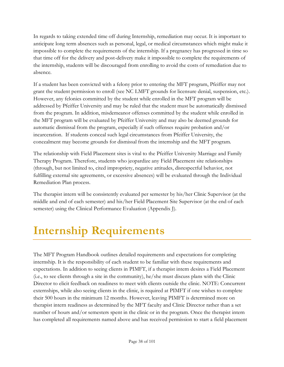In regards to taking extended time off during Internship, remediation may occur. It is important to anticipate long term absences such as personal, legal, or medical circumstances which might make it impossible to complete the requirements of the internship. If a pregnancy has progressed in time so that time off for the delivery and post-delivery make it impossible to complete the requirements of the internship, students will be discouraged from enrolling to avoid the costs of remediation due to absence.

If a student has been convicted with a felony prior to entering the MFT program, Pfeiffer may not grant the student permission to enroll (see NC LMFT grounds for licensure denial, suspension, etc.). However, any felonies committed by the student while enrolled in the MFT program will be addressed by Pfeiffer University and may be ruled that the student must be automatically dismissed from the program. In addition, misdemeanor offenses committed by the student while enrolled in the MFT program will be evaluated by Pfeiffer University and may also be deemed grounds for automatic dismissal from the program, especially if such offenses require probation and/or incarceration. If students conceal such legal circumstances from Pfeiffer University, the concealment may become grounds for dismissal from the internship and the MFT program.

The relationship with Field Placement sites is vital to the Pfeiffer University Marriage and Family Therapy Program. Therefore, students who jeopardize any Field Placement site relationships (through, but not limited to, cited impropriety, negative attitudes, disrespectful behavior, not fulfilling external site agreements, or excessive absences) will be evaluated through the Individual Remediation Plan process.

The therapist intern will be consistently evaluated per semester by his/her Clinic Supervisor (at the middle and end of each semester) and his/her Field Placement Site Supervisor (at the end of each semester) using the Clinical Performance Evaluation (Appendix J).

# **Internship Requirements**

The MFT Program Handbook outlines detailed requirements and expectations for completing internship. It is the responsibility of each student to be familiar with these requirements and expectations. In addition to seeing clients in PIMFT, if a therapist intern desires a Field Placement (i.e., to see clients through a site in the community), he/she must discuss plans with the Clinic Director to elicit feedback on readiness to meet with clients outside the clinic. NOTE: Concurrent externships, while also seeing clients in the clinic, is required at PIMFT if one wishes to complete their 500 hours in the minimum 12 months. However, leaving PIMFT is determined more on therapist intern readiness as determined by the MFT faculty and Clinic Director rather than a set number of hours and/or semesters spent in the clinic or in the program. Once the therapist intern has completed all requirements named above and has received permission to start a field placement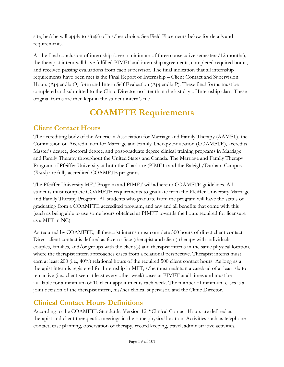site, he/she will apply to site(s) of his/her choice. See [Field Placements](#page-43-0) below for details and requirements.

At the final conclusion of internship (over a minimum of three consecutive semesters/12 months), the therapist intern will have fulfilled PIMFT and internship agreements, completed required hours, and received passing evaluations from each supervisor. The final indication that all internship requirements have been met is the Final Report of Internship – Client Contact and Supervision Hours (Appendix O) form and Intern Self Evaluation (Appendix P). These final forms must be completed and submitted to the Clinic Director no later than the last day of Internship class. These original forms are then kept in the student intern's file.

# **COAMFTE Requirements**

# **Client Contact Hours**

The accrediting body of the American Association for Marriage and Family Therapy (AAMFT), the Commission on Accreditation for Marriage and Family Therapy Education (COAMFTE), accredits Master's degree, doctoral degree, and post-graduate degree clinical training programs in Marriage and Family Therapy throughout the United States and Canada. The Marriage and Family Therapy Program of Pfeiffer University at both the Charlotte (PIMFT) and the Raleigh/Durham Campus (*Reach*) are fully accredited COAMFTE programs.

The Pfeiffer University MFT Program and PIMFT will adhere to COAMFTE guidelines. All students must complete COAMFTE requirements to graduate from the Pfeiffer University Marriage and Family Therapy Program. All students who graduate from the program will have the status of graduating from a COAMFTE accredited program, and any and all benefits that come with this (such as being able to use some hours obtained at PIMFT towards the hours required for licensure as a MFT in NC).

As required by COAMFTE, all therapist interns must complete 500 hours of direct client contact. Direct client contact is defined as face-to-face (therapist and client) therapy with individuals, couples, families, and/or groups with the client(s) and therapist interns in the same physical location, where the therapist intern approaches cases from a relational perspective. Therapist interns must earn at least 200 (i.e., 40%) relational hours of the required 500 client contact hours. As long as a therapist intern is registered for Internship in MFT, s/he must maintain a caseload of at least six to ten active (i.e., client seen at least every other week) cases at PIMFT at all times and must be available for a minimum of 10 client appointments each week. The number of minimum cases is a joint decision of the therapist intern, his/her clinical supervisor, and the Clinic Director.

## **Clinical Contact Hours Definitions**

According to the COAMFTE Standards, Version 12, "Clinical Contact Hours are defined as therapist and client therapeutic meetings in the same physical location. Activities such as telephone contact, case planning, observation of therapy, record keeping, travel, administrative activities,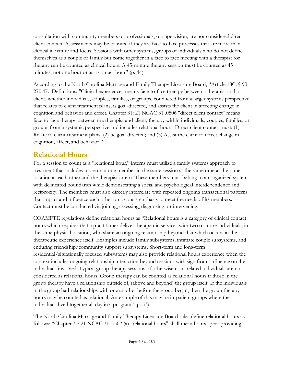consultation with community members or professionals, or supervision, are not considered direct client contact. Assessments may be counted if they are face-to-face processes that are more than clerical in nature and focus. Sessions with other systems, groups of individuals who do not define themselves as a couple or family but come together in a face to face meeting with a therapist for therapy can be counted as clinical hours. A 45-minute therapy session must be counted as 45 minutes, not one hour or as a contact hour" (p. 44).

According to the North Carolina Marriage and Family Therapy Licensure Board, "Article 18C. § 90- 270.47. Definitions. "Clinical experience" means face-to-face therapy between a therapist and a client, whether individuals, couples, families, or groups, conducted from a larger systems perspective that relates to client treatment plans, is goal-directed, and assists the client in affecting change in cognition and behavior and effect. Chapter 31: 21 NCAC 31 .0506 "direct client contact" means face-to-face therapy between the therapist and client, therapy within individuals, couples, families, or groups from a systemic perspective and includes relational hours. Direct client contact must: (1) Relate to client treatment plans; (2) be goal-directed; and (3) Assist the client to effect change in cognition, affect, and behavior."

#### **Relational Hours**

For a session to count as a "relational hour," interns must utilize a family systems approach to treatment that includes more than one member in the same session at the same time at the same location as each other and the therapist intern. These members must belong to an organized system with delineated boundaries while demonstrating a social and psychological interdependence and reciprocity. The members must also directly interrelate with repeated ongoing transactional patterns that impact and influence each other on a consistent basis to meet the needs of its members. Contact must be conducted via joining, assessing, diagnosing, or intervening.

COAMFTE regulations define relational hours as "Relational hours is a category of clinical contact hours which requires that a practitioner deliver therapeutic services with two or more individuals, in the same physical location, who share an ongoing relationship beyond that which occurs in the therapeutic experience itself. Examples include family subsystems, intimate couple subsystems, and enduring friendship/community support subsystems. Short-term and long-term residential/situationally focused subsystems may also provide relational hours experience when the context includes ongoing relationship interaction beyond sessions with significant influence on the individuals involved. Typical group therapy sessions of otherwise non- related individuals are not considered as relational hours. Group therapy can be counted as relational hours if those in the group therapy have a relationship outside of, (above and beyond) the group itself. If the individuals in the group had relationships with one another before the group began, then the group therapy hours may be counted as relational. An example of this may be in-patient groups where the individuals lived together all day in a program" (p. 53).

The North Carolina Marriage and Family Therapy Licensure Board rules define relational hours as follows: "Chapter 31: 21 NCAC 31 .0502 (a) "relational hours" shall mean hours spent providing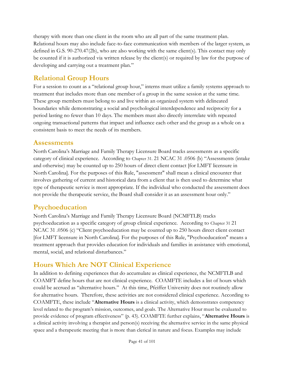therapy with more than one client in the room who are all part of the same treatment plan. Relational hours may also include face-to-face communication with members of the larger system, as defined in G.S. 90-270.47(2b), who are also working with the same client(s). This contact may only be counted if it is authorized via written release by the client(s) or required by law for the purpose of developing and carrying out a treatment plan."

## **Relational Group Hours**

For a session to count as a "relational group hour," interns must utilize a family systems approach to treatment that includes more than one member of a group in the same session at the same time. These group members must belong to and live within an organized system with delineated boundaries while demonstrating a social and psychological interdependence and reciprocity for a period lasting no fewer than 10 days. The members must also directly interrelate with repeated ongoing transactional patterns that impact and influence each other and the group as a whole on a consistent basis to meet the needs of its members.

#### **Assessments**

North Carolina's Marriage and Family Therapy Licensure Board tracks assessments as a specific category of clinical experience. According to Chapter 31. 21 NCAC 31 .0506 (b) "Assessments (intake and otherwise) may be counted up to 250 hours of direct client contact [for LMFT licensure in North Carolina]. For the purposes of this Rule, "assessment" shall mean a clinical encounter that involves gathering of current and historical data from a client that is then used to determine what type of therapeutic service is most appropriate. If the individual who conducted the assessment does not provide the therapeutic service, the Board shall consider it as an assessment hour only."

#### **Psychoeducation**

North Carolina's Marriage and Family Therapy Licensure Board (NCMFTLB) tracks psychoeducation as a specific category of group clinical experience. According to Chapter 31 21 NCAC 31 .0506 (c) "Client psychoeducation may be counted up to 250 hours direct client contact [for LMFT licensure in North Carolina]. For the purposes of this Rule, "Psychoeducation" means a treatment approach that provides education for individuals and families in assistance with emotional, mental, social, and relational disturbances."

### **Hours Which Are NOT Clinical Experience**

In addition to defining experiences that do accumulate as clinical experience, the NCMFTLB and COAMFT define hours that are not clinical experience. COAMFTE includes a list of hours which could be accrued as "alternative hours." At this time, Pfeiffer University does not routinely allow for alternative hours. Therefore, these activities are not considered clinical experience. According to COAMFTE, these include "**Alternative Hours** is a clinical activity, which demonstrates competency level related to the program's mission, outcomes, and goals. The Alternative Hour must be evaluated to provide evidence of program effectiveness" (p. 43). COAMFTE further explains, "**Alternative Hours** is a clinical activity involving a therapist and person(s) receiving the alternative service in the same physical space and a therapeutic meeting that is more than clerical in nature and focus. Examples may include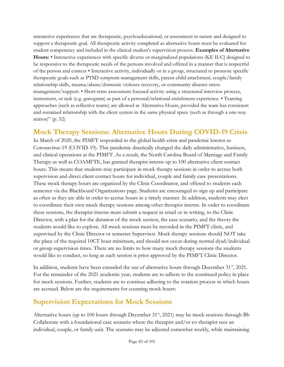interactive experiences that are therapeutic, psychoeducational, or assessment in nature and designed to support a therapeutic goal. All therapeutic activity completed as alternative hours must be evaluated for student competency and included in the clinical student's supervision process. **Examples of Alternative Hours:** • Interactive experiences with specific diverse or marginalized populations (KE II-C] designed to be responsive to the therapeutic needs of the persons involved and offered in a manner that is respectful of the person and context • Interactive activity, individually or in a group, structured to promote specific therapeutic goals such as PTSD symptom management skills, parent-child attachment, couple/family relationship skills, trauma/abuse/domestic violence recovery, or community disaster stress management/support. • Short-term assessment focused activity using a structured interview process, instrument, or task (e.g. genogram) as part of a personal/relational enrichment experience. • Teaming approaches (such as reflective teams) are allowed as Alternative Hours, provided the team has consistent and sustained relationship with the client system in the same physical space (such as through a one-way mirror)" (p. 52)

### **Mock Therapy Sessions: Alternative Hours During COVID-19 Crisis**

In March of 2020, the PIMFT responded to the global health crisis and pandemic known as Coronavirus-19 (COVID-19). This pandemic drastically changed the daily administrative, business, and clinical operations at the PIMFT. As a result, the North Carolina Board of Marriage and Family Therapy as well as COAMFTE, has granted therapist interns up to 100 alternative client contact hours. This means that students may participate in mock therapy sessions in order to accrue both supervision and direct client contact hours for individual, couple and family case presentations. These mock therapy hours are organized by the Clinic Coordinator, and offered to students each semester via the Blackboard Organizations page. Students are encouraged to sign up and participate as often as they are able in order to accrue hours in a timely manner. In addition, students may elect to coordinate their own mock therapy sessions among other therapist interns. In order to coordinate these sessions, the therapist interns must submit a request in email or in writing, to the Clinic Director, with a plan for the duration of the mock session, the case scenario, and the theory the students would like to explore. All mock sessions must be recorded in the PIMFT clinic, and supervised by the Clinic Director or semester Supervisor. Mock therapy sessions should NOT take the place of the required 10CT hour minimum, and should not occur during normal dyad/individual or group supervision times. There are no limits to how many mock therapy sessions the students would like to conduct, so long as each session is prior approved by the PIMFT Clinic Director.

In addition, students have been extended the use of alternative hours through December 31<sup>st</sup>, 2021. For the remainder of the 2021 academic year, students are to adhere to the continued policy in place for mock sessions. Further, students are to continue adhering to the rotation process in which hours are accrued. Below are the requirements for counting mock hours:

### **Supervision Expectations for Mock Sessions**

Alternative hours (up to 100 hours through December  $31<sup>st</sup>$ , 2021) may be mock sessions through Bb Collaborate with a foundational case scenario where the therapist and/or co-therapist sees an individual, couple, or family unit. The scenario may be adjusted somewhat weekly, while maintaining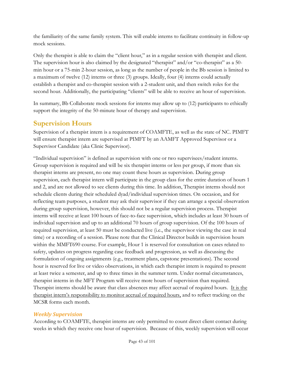the familiarity of the same family system. This will enable interns to facilitate continuity in follow-up mock sessions.

Only the therapist is able to claim the "client hour," as in a regular session with therapist and client. The supervision hour is also claimed by the designated "therapist" and/or "co-therapist" as a 50 min hour or a 75-min 2-hour session, as long as the number of people in the Bb session is limited to a maximum of twelve (12) interns or three (3) groups. Ideally, four (4) interns could actually establish a therapist and co-therapist session with a 2-student unit, and then switch roles for the second hour. Additionally, the participating "clients" will be able to receive an hour of supervision.

In summary, Bb Collaborate mock sessions for interns may allow up to (12) participants to ethically support the integrity of the 50-minute hour of therapy and supervision.

#### **Supervision Hours**

Supervision of a therapist intern is a requirement of COAMFTE, as well as the state of NC. PIMFT will ensure therapist intern are supervised at PIMFT by an AAMFT Approved Supervisor or a Supervisor Candidate (aka Clinic Supervisor).

"Individual supervision" is defined as supervision with one or two supervisees/student interns. Group supervision is required and will be six therapist interns or less per group, if more than six therapist interns are present, no one may count these hours as supervision. During group supervision, each therapist intern will participate in the group class for the entire duration of hours 1 and 2, and are not allowed to see clients during this time. In addition, Therapist interns should not schedule clients during their scheduled dyad/individual supervision times. On occasion, and for reflecting team purposes, a student may ask their supervisor if they can arrange a special observation during group supervision, however, this should not be a regular supervision process. Therapist interns will receive at least 100 hours of face-to-face supervision, which includes at least 30 hours of individual supervision and up to an additional 70 hours of group supervision. Of the 100 hours of required supervision, at least 50 must be conducted live (i.e., the supervisor viewing the case in real time) or a recording of a session. Please note that the Clinical Director builds in supervision hours within the MMFT690 course. For example, Hour 1 is reserved for consultation on cases related to safety, updates on progress regarding case feedback and progression, as well as discussing the formulation of ongoing assignments (e.g., treatment plans, capstone presentations). The second hour is reserved for live or video observations, in which each therapist intern is required to present at least twice a semester, and up to three times in the summer term. Under normal circumstances, therapist interns in the MFT Program will receive more hours of supervision than required. Therapist interns should be aware that class absences may affect accrual of required hours. It is the therapist intern's responsibility to monitor accrual of required hours, and to reflect tracking on the MCSR forms each month.

#### *Weekly Supervision*

According to COAMFTE, therapist interns are only permitted to count direct client contact during weeks in which they receive one hour of supervision. Because of this, weekly supervision will occur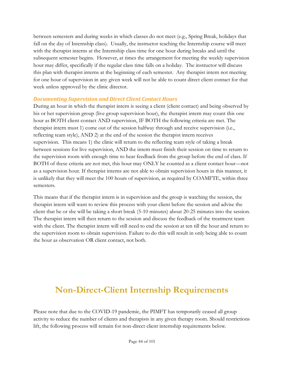between semesters and during weeks in which classes do not meet (e.g., Spring Break, holidays that fall on the day of Internship class). Usually, the instructor teaching the Internship course will meet with the therapist interns at the Internship class time for one hour during breaks and until the subsequent semester begins. However, at times the arrangement for meeting the weekly supervision hour may differ, specifically if the regular class time falls on a holiday. The instructor will discuss this plan with therapist interns at the beginning of each semester. Any therapist intern not meeting for one hour of supervision in any given week will not be able to count direct client contact for that week unless approved by the clinic director.

#### *Documenting Supervision and Direct Client Contact Hours*

During an hour in which the therapist intern is seeing a client (client contact) and being observed by his or her supervision group (live group supervision hour), the therapist intern may count this one hour as BOTH client contact AND supervision, IF BOTH the following criteria are met. The therapist intern must 1) come out of the session halfway through and receive supervision (i.e., reflecting team style), AND 2) at the end of the session the therapist intern receives supervision. This means 1) the clinic will return to the reflecting team style of taking a break between sessions for live supervision, AND the intern must finish their session on time to return to the supervision room with enough time to hear feedback from the group before the end of class. If BOTH of these criteria are not met, this hour may ONLY be counted as a client contact hour—not as a supervision hour. If therapist interns are not able to obtain supervision hours in this manner, it is unlikely that they will meet the 100 hours of supervision, as required by COAMFTE, within three semesters.

This means that if the therapist intern is in supervision and the group is watching the session, the therapist intern will want to review this process with your client before the session and advise the client that he or she will be taking a short break (5-10 minutes) about 20-25 minutes into the session. The therapist intern will then return to the session and discuss the feedback of the treatment team with the client. The therapist intern will still need to end the session at ten till the hour and return to the supervision room to obtain supervision. Failure to do this will result in only being able to count the hour as observation OR client contact, not both.

# <span id="page-43-0"></span>**Non-Direct-Client Internship Requirements**

Please note that due to the COVID-19 pandemic, the PIMFT has temporarily ceased all group activity to reduce the number of clients and therapists in any given therapy room. Should restrictions lift, the following process will remain for non-direct client internship requirements below.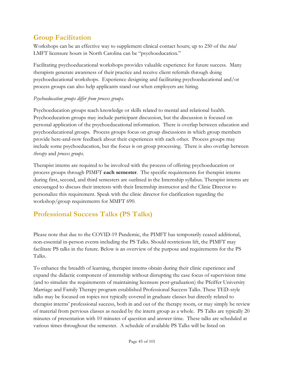### **Group Facilitation**

Workshops can be an effective way to supplement clinical contact hours; up to 250 of the *total* LMFT licensure hours in North Carolina can be "psychoeducation."

Facilitating psychoeducational workshops provides valuable experience for future success. Many therapists generate awareness of their practice and receive client referrals through doing psychoeducational workshops. Experience designing and facilitating psychoeducational and/or process groups can also help applicants stand out when employers are hiring.

#### *Psychoeducation groups differ from process groups.*

Psychoeducation groups teach knowledge or skills related to mental and relational health. Psychoeducation groups may include participant discussion, but the discussion is focused on personal application of the psychoeducational information. There is overlap between education and psychoeducational groups. Process groups focus on group discussions in which group members provide here-and-now feedback about their experiences with each other. Process groups may include some psychoeducation, but the focus is on group processing. There is also overlap between *therapy* and *process groups*.

Therapist interns are required to be involved with the process of offering psychoeducation or process groups through PIMFT **each semester**. The specific requirements for therapist interns during first, second, and third semesters are outlined in the Internship syllabus. Therapist interns are encouraged to discuss their interests with their Internship instructor and the Clinic Director to personalize this requirement. Speak with the clinic director for clarification regarding the workshop/group requirements for MMFT 690.

## **Professional Success Talks (PS Talks)**

Please note that due to the COVID-19 Pandemic, the PIMFT has temporarily ceased additional, non-essential in-person events including the PS Talks. Should restrictions lift, the PIMFT may facilitate PS talks in the future. Below is an overview of the purpose and requirements for the PS Talks.

To enhance the breadth of learning, therapist interns obtain during their clinic experience and expand the didactic component of internship without disrupting the case focus of supervision time (and to simulate the requirements of maintaining licensure post-graduation) the Pfeiffer University Marriage and Family Therapy program established Professional Success Talks. These TED-style talks may be focused on topics not typically covered in graduate classes but directly related to therapist interns' professional success, both in and out of the therapy room, or may simply be review of material from pervious classes as needed by the intern group as a whole. PS Talks are typically 20 minutes of presentation with 10 minutes of question and answer time. These talks are scheduled at various times throughout the semester. A schedule of available PS Talks will be listed on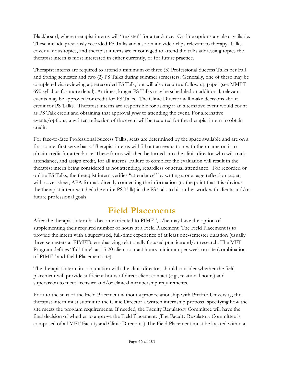Blackboard, where therapist interns will "register" for attendance. On-line options are also available. These include previously recorded PS Talks and also online video clips relevant to therapy. Talks cover various topics, and therapist interns are encouraged to attend the talks addressing topics the therapist intern is most interested in either currently, or for future practice.

Therapist interns are required to attend a minimum of three (3) Professional Success Talks per Fall and Spring semester and two (2) PS Talks during summer semesters. Generally, one of these may be completed via reviewing a prerecorded PS Talk, but will also require a follow up paper (see MMFT 690 syllabus for more detail). At times, longer PS Talks may be scheduled or additional, relevant events may be approved for credit for PS Talks. The Clinic Director will make decisions about credit for PS Talks. Therapist interns are responsible for asking if an alternative event would count as PS Talk credit and obtaining that approval *prior* to attending the event. For alternative events/options, a written reflection of the event will be required for the therapist intern to obtain credit.

For face-to-face Professional Success Talks, seats are determined by the space available and are on a first come, first serve basis. Therapist interns will fill out an evaluation with their name on it to obtain credit for attendance. These forms will then be turned into the clinic director who will track attendance, and assign credit, for all interns. Failure to complete the evaluation will result in the therapist intern being considered as not attending, regardless of actual attendance. For recorded or online PS Talks, the therapist intern verifies "attendance" by writing a one page reflection paper, with cover sheet, APA format, directly connecting the information (to the point that it is obvious the therapist intern watched the entire PS Talk) in the PS Talk to his or her work with clients and/or future professional goals.

# **Field Placements**

After the therapist intern has become oriented to PIMFT, s/he may have the option of supplementing their required number of hours at a Field Placement. The Field Placement is to provide the intern with a supervised, full-time experience of at least one-semester duration (usually three semesters at PIMFT), emphasizing relationally focused practice and/or research. The MFT Program defines "full-time" as 15-20 client contact hours minimum per week on site (combination of PIMFT and Field Placement site).

The therapist intern, in conjunction with the clinic director, should consider whether the field placement will provide sufficient hours of direct client contact (e.g., relational hours) and supervision to meet licensure and/or clinical membership requirements.

Prior to the start of the Field Placement without a prior relationship with Pfeiffer University, the therapist intern must submit to the Clinic Director a written internship proposal specifying how the site meets the program requirements. If needed, the Faculty Regulatory Committee will have the final decision of whether to approve the Field Placement. (The Faculty Regulatory Committee is composed of all MFT Faculty and Clinic Directors.) The Field Placement must be located within a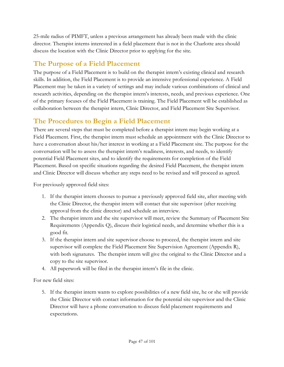25-mile radius of PIMFT, unless a previous arrangement has already been made with the clinic director*.* Therapist interns interested in a field placement that is not in the Charlotte area should discuss the location with the Clinic Director prior to applying for the site.

### **The Purpose of a Field Placement**

The purpose of a Field Placement is to build on the therapist intern's existing clinical and research skills. In addition, the Field Placement is to provide an intensive professional experience. A Field Placement may be taken in a variety of settings and may include various combinations of clinical and research activities, depending on the therapist intern's interests, needs, and previous experience. One of the primary focuses of the Field Placement is training. The Field Placement will be established as collaboration between the therapist intern, Clinic Director, and Field Placement Site Supervisor.

#### **The Procedures to Begin a Field Placement**

There are several steps that must be completed before a therapist intern may begin working at a Field Placement. First, the therapist intern must schedule an appointment with the Clinic Director to have a conversation about his/her interest in working at a Field Placement site. The purpose for the conversation will be to assess the therapist intern's readiness, interests, and needs, to identify potential Field Placement sites, and to identify the requirements for completion of the Field Placement. Based on specific situations regarding the desired Field Placement, the therapist intern and Clinic Director will discuss whether any steps need to be revised and will proceed as agreed.

For previously approved field sites:

- 1. If the therapist intern chooses to pursue a previously approved field site, after meeting with the Clinic Director, the therapist intern will contact that site supervisor (after receiving approval from the clinic director) and schedule an interview.
- 2. The therapist intern and the site supervisor will meet, review the Summary of Placement Site Requirements (Appendix Q), discuss their logistical needs, and determine whether this is a good fit.
- 3. If the therapist intern and site supervisor choose to proceed, the therapist intern and site supervisor will complete the Field Placement Site Supervision Agreement (Appendix R), with both signatures. The therapist intern will give the original to the Clinic Director and a copy to the site supervisor.
- 4. All paperwork will be filed in the therapist intern's file in the clinic.

For new field sites:

5. If the therapist intern wants to explore possibilities of a new field site, he or she will provide the Clinic Director with contact information for the potential site supervisor and the Clinic Director will have a phone conversation to discuss field placement requirements and expectations.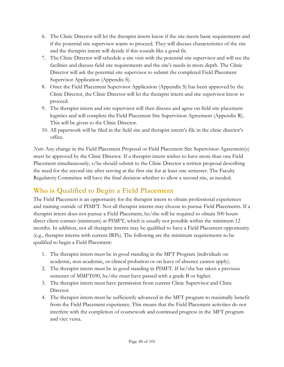- 6. The Clinic Director will let the therapist intern know if the site meets basic requirements and if the potential site supervisor wants to proceed. They will discuss characteristics of the site and the therapist intern will decide if this sounds like a good fit.
- 7. The Clinic Director will schedule a site visit with the potential site supervisor and will see the facilities and discuss field site requirements and the site's needs in more depth. The Clinic Director will ask the potential site supervisor to submit the completed Field Placement Supervisor Application (Appendix S).
- 8. Once the Field Placement Supervisor Application (Appendix S) has been approved by the Clinic Director, the Clinic Director will let the therapist intern and site supervisor know to proceed.
- 9. The therapist intern and site supervisor will then discuss and agree on field site placement logistics and will complete the Field Placement Site Supervision Agreement (Appendix R). This will be given to the Clinic Director.
- 10. All paperwork will be filed in the field site and therapist intern's file in the clinic director's office.

*Note*: Any change in the Field Placement Proposal or Field Placement Site Supervision Agreement(s) must be approved by the Clinic Director. If a therapist intern wishes to have more than one Field Placement simultaneously, s/he should submit to the Clinic Director a written proposal describing the need for the second site after serving at the first site for at least one semester. The Faculty Regulatory Committee will have the final decision whether to allow a second site, as needed.

## **Who is Qualified to Begin a Field Placement**

The Field Placement is an opportunity for the therapist intern to obtain professional experiences and training outside of PIMFT. Not all therapist interns may choose to pursue Field Placements. If a therapist intern does not pursue a Field Placement, he/she will be required to obtain 500 hours direct client contact (minimum) at PIMFT, which is usually not possible within the minimum 12 months. In addition, not all therapist interns may be qualified to have a Field Placement opportunity (e.g., therapist interns with current IRPs). The following are the minimum requirements to be qualified to begin a Field Placement:

- 1. The therapist intern must be in good standing in the MFT Program (individuals on academic, non-academic, or clinical probation or on leave of absence cannot apply).
- 2. The therapist intern must be in good standing in PIMFT. If he/she has taken a previous semester of MMFT690, he/she must have passed with a grade B or higher.
- 3. The therapist intern must have permission from current Clinic Supervisor and Clinic Director.
- 4. The therapist intern must be sufficiently advanced in the MFT program to maximally benefit from the Field Placement experience. This means that the Field Placement activities do not interfere with the completion of coursework and continued progress in the MFT program and vice versa.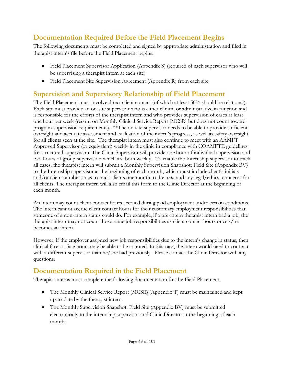### **Documentation Required Before the Field Placement Begins**

The following documents must be completed and signed by appropriate administration and filed in therapist intern's file before the Field Placement begins:

- Field Placement Supervisor Application (Appendix S) (required of each supervisor who will be supervising a therapist intern at each site)
- Field Placement Site Supervision Agreement (Appendix R) from each site

### **Supervision and Supervisory Relationship of Field Placement**

The Field Placement must involve direct client contact (of which at least 50% should be relational). Each site must provide an on-site supervisor who is either clinical or administrative in function and is responsible for the efforts of the therapist intern and who provides supervision of cases at least one hour per week (record on Monthly Clinical Service Report [MCSR] but does not count toward program supervision requirements). \*\*The on-site supervisor needs to be able to provide sufficient oversight and accurate assessment and evaluation of the intern's progress, as well as safety oversight for all clients seen at the site. The therapist intern must also continue to meet with an AAMFT Approved Supervisor (or equivalent) weekly in the clinic in compliance with COAMFTE guidelines for structured supervision. The Clinic Supervisor will provide one hour of individual supervision and two hours of group supervision which are both weekly. To enable the Internship supervisor to track all cases, the therapist intern will submit a Monthly Supervision Snapshot: Field Site (Appendix BV) to the Internship supervisor at the beginning of each month, which must include client's initials and/or client number so as to track clients one month to the next and any legal/ethical concerns for all clients. The therapist intern will also email this form to the Clinic Director at the beginning of each month.

An intern may count client contact hours accrued during paid employment under certain conditions. The intern cannot accrue client contact hours for their customary employment responsibilities that someone of a non-intern status could do. For example, if a pre-intern therapist intern had a job, the therapist intern may not count those same job responsibilities as client contact hours once s/he becomes an intern.

However, if the employer assigned new job responsibilities due to the intern's change in status, then clinical face-to-face hours may be able to be counted. In this case, the intern would need to contract with a different supervisor than he/she had previously. Please contact the Clinic Director with any questions.

### **Documentation Required in the Field Placement**

Therapist interns must complete the following documentation for the Field Placement:

- The Monthly Clinical Service Report (MCSR) (Appendix T) must be maintained and kept up-to-date by the therapist intern.
- The Monthly Supervision Snapshot: Field Site (Appendix BV) must be submitted electronically to the internship supervisor and Clinic Director at the beginning of each month.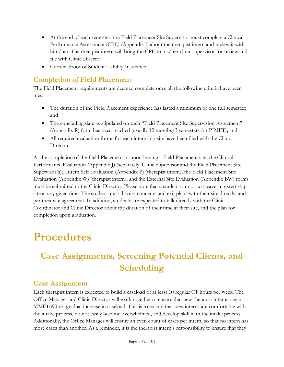- At the end of each semester, the Field Placement Site Supervisor must complete a Clinical Performance Assessment (CPE) (Appendix J) about the therapist intern and review it with him/her. The therapist intern will bring the CPE to his/her clinic supervisor for review and file with Clinic Director.
- Current Proof of Student Liability Insurance

#### **Completion of Field Placement**

The Field Placement requirements are deemed complete once all the following criteria have been met:

- The duration of the Field Placement experience has lasted a minimum of one full semester; and
- The concluding date as stipulated on each "Field Placement Site Supervision Agreement" (Appendix R) form has been reached (usually 12 months/3 semesters for PIMFT); and
- All required evaluation forms for each internship site have been filed with the Clinic Director.

At the completion of the Field Placement or upon leaving a Field Placement site, the Clinical Performance Evaluation (Appendix J) (separately, Clinic Supervisor and the Field Placement Site Supervisor(s)); Intern Self Evaluation (Appendix P) (therapist intern); the Field Placement Site Evaluation (Appendix W) (therapist intern); and the External Site Evaluation (Appendix BW) forms must be submitted to the Clinic Director. Please note that a student cannot just leave an externship site at any given time. The student must discuss concerns and exit plans with their site directly, and per their site agreement. In addition, students are expected to talk directly with the Clinic Coordinator and Clinic Director about the duration of their time at their site, and the plan for completion upon graduation.

# **Procedures**

# **Case Assignments, Screening Potential Clients, and Scheduling**

#### **Case Assignment**

Each therapist intern is expected to build a caseload of at least 10 regular CT hours per week. The Office Manager and Clinic Director will work together to ensure that new therapist interns begin MMFT690 via gradual increase in caseload. This is to ensure that new interns are comfortable with the intake process, do not easily become overwhelmed, and develop skill with the intake process. Additionally, the Office Manager will ensure an even count of cases per intern, so that no intern has more cases than another. As a reminder, it is the therapist intern's responsibility to ensure that they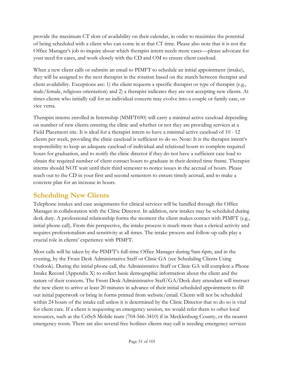provide the maximum CT slots of availability on their calendar, in order to maximize the potential of being scheduled with a client who can come in at that CT time. Please also note that it is not the Office Manager's job to inquire about which therapist intern needs more cases—please advocate for your need for cases, and work closely with the CD and OM to ensure client caseload.

When a new client calls or submits an email to PIMFT to schedule an initial appointment (intake), they will be assigned to the next therapist in the rotation based on the match between therapist and client availability. Exceptions are: 1) the client requests a specific therapist or type of therapist (e.g., male/female, religious orientation) and 2) a therapist indicates they are not accepting new clients. At times clients who initially call for an individual concern may evolve into a couple or family case, or vice versa.

Therapist interns enrolled in Internship (MMFT690) will carry a minimal active caseload depending on number of new clients entering the clinic and whether or not they are providing services at a Field Placement site. It is ideal for a therapist intern to have a minimal active caseload of 10 - 12 clients per week, providing the clinic caseload is sufficient to do so. Note: It is the therapist intern's responsibility to keep an adequate caseload of individual and relational hours to complete required hours for graduation, and to notify the clinic director if they do not have a sufficient case load to obtain the required number of client contact hours to graduate in their desired time frame. Therapist interns should NOT wait until their third semester to notice issues in the accrual of hours. Please reach out to the CD in your first and second semesters to ensure timely accrual, and to make a concrete plan for an increase in hours.

#### **Scheduling New Clients**

Telephone intakes and case assignments for clinical services will be handled through the Office Manager in collaboration with the Clinic Director. In addition, new intakes may be scheduled during desk duty. A professional relationship forms the moment the client makes contact with PIMFT (e.g., initial phone call). From this perspective, the intake process is much more than a clerical activity and requires professionalism and sensitivity at all times. The intake process and follow-up calls play a crucial role in clients' experience with PIMFT.

Most calls will be taken by the PIMFT's full-time Office Manager during 9am-6pm, and in the evening, by the Front Desk Administrative Staff or Clinic GA (see Scheduling Clients Using Outlook). During the initial phone call, the Administrative Staff or Clinic GA will complete a Phone Intake Record (Appendix X) to collect basic demographic information about the client and the nature of their concern. The Front Desk Administrative Staff/GA/Desk duty attendant will instruct the new client to arrive at least 20 minutes in advance of their initial scheduled appointment to fill out initial paperwork or bring in forms printed from website/email. Clients will not be scheduled within 24 hours of the intake call unless it is determined by the Clinic Director that to do so is vital for client care. If a client is requesting an emergency session, we would refer them to other local resources, such as the CriSyS Mobile team (704-566-3410) if in Mecklenburg County, or the nearest emergency room. There are also several free hotlines clients may call is needing emergency services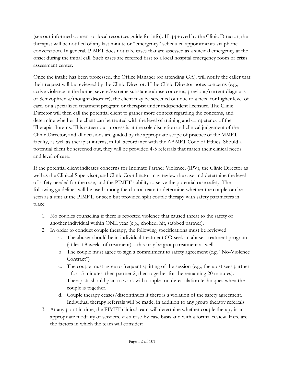(see our informed consent or local resources guide for info). If approved by the Clinic Director, the therapist will be notified of any last minute or "emergency" scheduled appointments via phone conversation. In general, PIMFT does not take cases that are assessed as a suicidal emergency at the onset during the initial call. Such cases are referred first to a local hospital emergency room or crisis assessment center.

Once the intake has been processed, the Office Manager (or attending GA), will notify the caller that their request will be reviewed by the Clinic Director. If the Clinic Director notes concerns (e.g., active violence in the home, severe/extreme substance abuse concerns, previous/current diagnosis of Schizophrenia/thought disorder), the client may be screened out due to a need for higher level of care, or a specialized treatment program or therapist under independent licensure. The Clinic Director will then call the potential client to gather more context regarding the concerns, and determine whether the client can be treated with the level of training and competency of the Therapist Interns. This screen-out process is at the sole discretion and clinical judgement of the Clinic Director, and all decisions are guided by the appropriate scope of practice of the MMFT faculty, as well as therapist interns, in full accordance with the AAMFT Code of Ethics. Should a potential client be screened out, they will be provided 4-5 referrals that match their clinical needs and level of care.

If the potential client indicates concerns for Intimate Partner Violence, (IPV), the Clinic Director as well as the Clinical Supervisor, and Clinic Coordinator may review the case and determine the level of safety needed for the case, and the PIMFT's ability to serve the potential case safety. The following guidelines will be used among the clinical team to determine whether the couple can be seen as a unit at the PIMFT, or seen but provided split couple therapy with safety parameters in place:

- 1. No couples counseling if there is reported violence that caused threat to the safety of another individual within ONE year (e.g., choked, hit, stabbed partner).
- 2. In order to conduct couple therapy, the following specifications must be reviewed:
	- a. The abuser should be in individual treatment OR seek an abuser treatment program (at least 8 weeks of treatment)—this may be group treatment as well.
	- b. The couple must agree to sign a commitment to safety agreement (e.g. "No-Violence Contract")
	- c. The couple must agree to frequent splitting of the session (e.g., therapist sees partner 1 for 15 minutes, then partner 2, then together for the remaining 20 minutes). Therapists should plan to work with couples on de-escalation techniques when the couple is together.
	- d. Couple therapy ceases/discontinues if there is a violation of the safety agreement. Individual therapy referrals will be made, in addition to any group therapy referrals.
- 3. At any point in time, the PIMFT clinical team will determine whether couple therapy is an appropriate modality of services, via a case-by-case basis and with a formal review. Here are the factors in which the team will consider: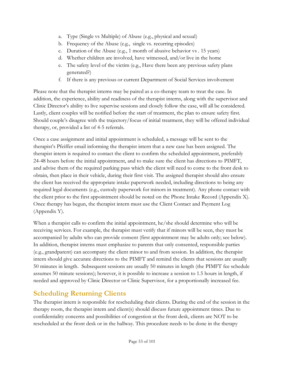- a. Type (Single vs Multiple) of Abuse (e.g., physical and sexual)
- b. Frequency of the Abuse (e.g., single vs. recurring episodes)
- c. Duration of the Abuse (e.g., 1 month of abusive behavior vs . 15 years)
- d. Whether children are involved, have witnessed, and/or live in the home
- e. The safety level of the victim (e.g., Have there been any previous safety plans generated?)
- f. If there is any previous or current Department of Social Services involvement

Please note that the therapist interns may be paired as a co-therapy team to treat the case. In addition, the experience, ability and readiness of the therapist interns, along with the supervisor and Clinic Director's ability to live supervise sessions and closely follow the case, will all be considered. Lastly, client couples will be notified before the start of treatment, the plan to ensure safety first. Should couple's disagree with the trajectory/focus of initial treatment, they will be offered individual therapy, or, provided a list of 4-5 referrals.

Once a case assignment and initial appointment is scheduled, a message will be sent to the therapist's Pfeiffer email informing the therapist intern that a new case has been assigned. The therapist intern is required to contact the client to confirm the scheduled appointment, preferably 24-48 hours before the initial appointment, and to make sure the client has directions to PIMFT, and advise them of the required parking pass which the client will need to come to the front desk to obtain, then place in their vehicle, during their first visit. The assigned therapist should also ensure the client has received the appropriate intake paperwork needed, including directions to being any required legal documents (e.g., custody paperwork for minors in treatment). Any phone contact with the client prior to the first appointment should be noted on the Phone Intake Record (Appendix X). Once therapy has begun, the therapist intern must use the Client Contact and Payment Log (Appendix Y).

When a therapist calls to confirm the initial appointment, he/she should determine who will be receiving services. For example, the therapist must verify that if minors will be seen, they must be accompanied by adults who can provide consent (first appointment may be adults only; see below). In addition, therapist interns must emphasize to parents that only consented, responsible parties (e.g., grandparent) can accompany the client minor to and from session. In addition, the therapist intern should give accurate directions to the PIMFT and remind the clients that sessions are usually 50 minutes in length. Subsequent sessions are usually 50 minutes in length (the PIMFT fee schedule assumes 50 minute sessions); however, it is possible to increase a session to 1.5 hours in length, if needed and approved by Clinic Director or Clinic Supervisor, for a proportionally increased fee.

### **Scheduling Returning Clients**

The therapist intern is responsible for rescheduling their clients. During the end of the session in the therapy room, the therapist intern and client(s) should discuss future appointment times. Due to confidentiality concerns and possibilities of congestion at the front desk, clients are NOT to be rescheduled at the front desk or in the hallway. This procedure needs to be done in the therapy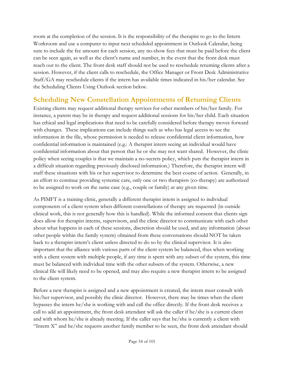room at the completion of the session. It is the responsibility of the therapist to go to the Intern Workroom and use a computer to input next scheduled appointment in Outlook Calendar, being sure to include the fee amount for each session, any no-show fees that must be paid before the client can be seen again, as well as the client's name and number, in the event that the front desk must reach out to the client. The front desk staff should not be used to reschedule returning clients after a session. However, if the client calls to reschedule, the Office Manager or Front Desk Administrative Staff/GA may reschedule clients if the intern has available times indicated in his/her calendar. See the Scheduling Clients Using Outlook section below.

#### **Scheduling New Constellation Appointments of Returning Clients**

Existing clients may request additional therapy services for other members of his/her family. For instance, a parent may be in therapy and request additional sessions for his/her child. Each situation has ethical and legal implications that need to be carefully considered before therapy moves forward with changes. These implications can include things such as who has legal access to see the information in the file, whose permission is needed to release confidential client information, how confidential information is maintained (e.g.: A therapist intern seeing an individual would have confidential information about that person that he or she may not want shared. However, the clinic policy when seeing couples is that we maintain a no-secrets policy, which puts the therapist intern in a difficult situation regarding previously disclosed information.) Therefore, the therapist intern will staff these situations with his or her supervisor to determine the best course of action. Generally, in an effort to continue providing systemic care, only one or two therapists (co-therapy) are authorized to be assigned to work on the same case (e.g., couple or family) at any given time.

As PIMFT is a training clinic, generally a different therapist intern is assigned to individual components of a client system when different constellations of therapy are requested (in outside clinical work, this is not generally how this is handled). While the informed consent that clients sign does allow for therapist interns, supervisors, and the clinic director to communicate with each other about what happens in each of these sessions, discretion should be used, and any information (about other people within the family system) obtained from these conversations should NOT be taken back to a therapist intern's client unless directed to do so by the clinical supervisor. It is also important that the alliance with various parts of the client system be balanced, thus when working with a client system with multiple people, if any time is spent with any subset of the system, this time must be balanced with individual time with the other subsets of the system. Otherwise, a new clinical file will likely need to be opened, and may also require a new therapist intern to be assigned to the client system.

Before a new therapist is assigned and a new appointment is created, the intern must consult with his/her supervisor, and possibly the clinic director. However, there may be times when the client bypasses the intern he/she is working with and call the office directly. If the front desk receives a call to add an appointment, the front desk attendant will ask the caller if he/she is a current client and with whom he/she is already meeting. If the caller says that he/she is currently a client with "Intern X" and he/she requests another family member to be seen, the front desk attendant should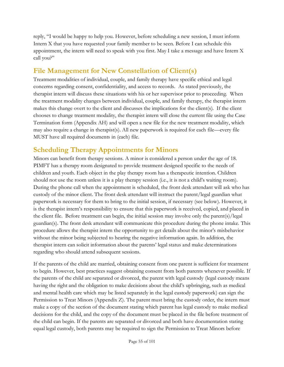reply, "I would be happy to help you. However, before scheduling a new session, I must inform Intern X that you have requested your family member to be seen. Before I can schedule this appointment, the intern will need to speak with you first. May I take a message and have Intern X call you?"

### **File Management for New Constellation of Client(s)**

Treatment modalities of individual, couple, and family therapy have specific ethical and legal concerns regarding consent, confidentiality, and access to records. As stated previously, the therapist intern will discuss these situations with his or her supervisor prior to proceeding. When the treatment modality changes between individual, couple, and family therapy, the therapist intern makes this change overt to the client and discusses the implications for the client(s). If the client chooses to change treatment modality, the therapist intern will close the current file using the Case Termination form (Appendix AH) and will open a new file for the new treatment modality, which may also require a change in therapist(s). All new paperwork is required for each file—every file MUST have all required documents in (each) file.

#### **Scheduling Therapy Appointments for Minors**

Minors can benefit from therapy sessions. A minor is considered a person under the age of 18. PIMFT has a therapy room designated to provide treatment designed specific to the needs of children and youth. Each object in the play therapy room has a therapeutic intention. Children should not use the room unless it is a play therapy session (i.e., it is not a child's waiting room). During the phone call when the appointment is scheduled, the front desk attendant will ask who has custody of the minor client. The front desk attendant will instruct the parent/legal guardian what paperwork is necessary for them to bring to the initial session, if necessary (see below). However, it is the therapist intern's responsibility to ensure that this paperwork is received, copied, and placed in the client file. Before treatment can begin, the initial session may involve only the parent(s)/legal guardian(s). The front desk attendant will communicate this procedure during the phone intake. This procedure allows the therapist intern the opportunity to get details about the minor's misbehavior without the minor being subjected to hearing the negative information again. In addition, the therapist intern can solicit information about the parents' legal status and make determinations regarding who should attend subsequent sessions.

If the parents of the child are married, obtaining consent from one parent is sufficient for treatment to begin. However, best practices suggest obtaining consent from both parents whenever possible. If the parents of the child are separated or divorced, the parent with legal custody (legal custody means having the right and the obligation to make decisions about the child's upbringing, such as medical and mental health care which may be listed separately in the legal custody paperwork) can sign the Permission to Treat Minors (Appendix Z). The parent must bring the custody order, the intern must make a copy of the section of the document stating which parent has legal custody to make medical decisions for the child, and the copy of the document must be placed in the file before treatment of the child can begin. If the parents are separated or divorced and both have documentation stating equal legal custody, both parents may be required to sign the Permission to Treat Minors before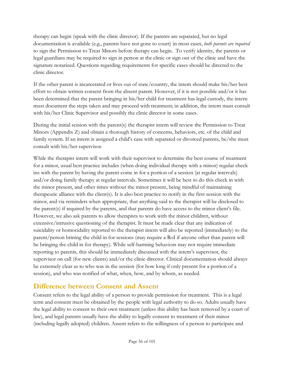therapy can begin (speak with the clinic director). If the parents are separated, but no legal documentation is available (e.g., parents have not gone to court) in most cases, *both parents are required* to sign the Permission to Treat Minors before therapy can begin. To verify identity, the parents or legal guardians may be required to sign in person at the clinic or sign out of the clinic and have the signature notarized. Questions regarding requirements for specific cases should be directed to the clinic director.

If the other parent is incarcerated or lives out of state/country, the intern should make his/her best effort to obtain written consent from the absent parent. However, if it is not possible and/or it has been determined that the parent bringing in his/her child for treatment has legal custody, the intern must document the steps taken and may proceed with treatment; in addition, the intern must consult with his/her Clinic Supervisor and possibly the clinic director in some cases.

During the initial session with the parent(s) the therapist intern will review the Permission to Treat Minors (Appendix Z) and obtain a thorough history of concerns, behaviors, etc. of the child and family system. If an intern is assigned a child's case with separated or divorced parents, he/she must consult with his/her supervisor.

While the therapist intern will work with their supervisor to determine the best course of treatment for a minor, usual best practice includes (when doing individual therapy with a minor) regular check ins with the parent by having the parent come in for a portion of a session (at regular intervals) and/or doing family therapy at regular intervals. Sometimes it will be best to do this check in with the minor present, and other times without the minor present, being mindful of maintaining therapeutic alliance with the client(s). It is also best practice to notify in the first session with the minor, and via reminders when appropriate, that anything said to the therapist will be disclosed to the parent(s) if required by the parents, and that parents do have access to the minor client's file. However, we also ask parents to allow therapists to work with the minor children, without extensive/intrusive questioning of the therapist. It must be made clear that any indication of suicidality or homocidality reported to the therapist intern will also be reported (immediately) to the parent/person brining the child in for sessions (may require a RoI if anyone other than parent will be bringing the child in for therapy). While self-harming behaviors may not require immediate reporting to parents, this should be immediately discussed with the intern's supervisor, the supervisor on call (for new clients) and/or the clinic director. Clinical documentation should always be extremely clear as to who was in the session (for how long if only present for a portion of a session), and who was notified of what, when, how, and by whom, as needed.

#### **Difference between Consent and Assent**

Consent refers to the legal ability of a person to provide permission for treatment. This is a legal term and consent must be obtained by the people with legal authority to do so. Adults usually have the legal ability to consent to their own treatment (unless this ability has been removed by a court of law), and legal parents usually have the ability to legally consent to treatment of their minor (including legally adopted) children. Assent refers to the willingness of a person to participate and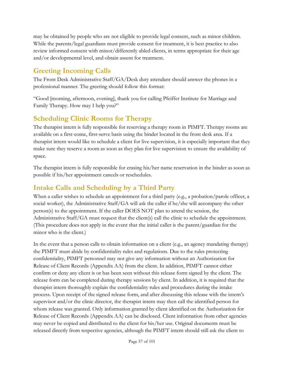may be obtained by people who are not eligible to provide legal consent, such as minor children. While the parents/legal guardians must provide consent for treatment, it is best practice to also review informed consent with minor/differently abled clients, in terms appropriate for their age and/or developmental level, and obtain assent for treatment.

### **Greeting Incoming Calls**

The Front Desk Administrative Staff/GA/Desk duty attendant should answer the phones in a professional manner. The greeting should follow this format:

"Good [morning, afternoon, evening], thank you for calling Pfeiffer Institute for Marriage and Family Therapy. How may I help you?"

#### **Scheduling Clinic Rooms for Therapy**

The therapist intern is fully responsible for reserving a therapy room in PIMFT. Therapy rooms are available on a first-come, first-serve basis using the binder located in the front desk area. If a therapist intern would like to schedule a client for live supervision, it is especially important that they make sure they reserve a room as soon as they plan for live supervision to ensure the availability of space.

The therapist intern is fully responsible for erasing his/her name reservation in the binder as soon as possible if his/her appointment cancels or reschedules.

### **Intake Calls and Scheduling by a Third Party**

When a caller wishes to schedule an appointment for a third party (e.g., a probation/parole officer, a social worker), the Administrative Staff/GA will ask the caller if he/she will accompany the other person(s) to the appointment. If the caller DOES NOT plan to attend the session, the Administrative Staff/GA must request that the client(s) call the clinic to schedule the appointment. (This procedure does not apply in the event that the initial caller is the parent/guardian for the minor who is the client.)

In the event that a person calls to obtain information on a client (e.g., an agency mandating therapy) the PIMFT must abide by confidentiality rules and regulations. Due to the rules protecting confidentiality, PIMFT personnel may not give any information without an Authorization for Release of Client Records (Appendix AA) from the client. In addition, PIMFT cannot either confirm or deny any client is or has been seen without this release form signed by the client. The release form can be completed during therapy sessions by client. In addition, it is required that the therapist intern thoroughly explain the confidentiality rules and procedures during the intake process. Upon receipt of the signed release form, and after discussing this release with the intern's supervisor and/or the clinic director, the therapist intern may then call the identified person for whom release was granted. Only information granted by client identified on the Authorization for Release of Client Records (Appendix AA) can be disclosed. Client information from other agencies may never be copied and distributed to the client for his/her use. Original documents must be released directly from respective agencies, although the PIMFT intern should still ask the client to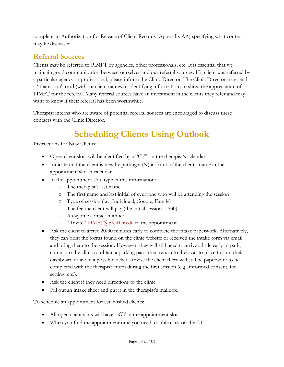complete an Authorization for Release of Client Records (Appendix AA) specifying what content may be discussed.

# **Referral Sources**

Clients may be referred to PIMFT by agencies, other professionals, etc. It is essential that we maintain good communication between ourselves and our referral sources. If a client was referred by a particular agency or professional, please inform the Clinic Director. The Clinic Director may send a "thank you" card (without client names or identifying information) to show the appreciation of PIMFT for the referral. Many referral sources have an investment in the clients they refer and may want to know if their referral has been worthwhile.

Therapist interns who are aware of potential referral sources are encouraged to discuss these contacts with the Clinic Director.

# **Scheduling Clients Using Outlook**

#### Instructions for New Clients:

- Open client slots will be identified by a "CT" on the therapist's calendar.
- Indicate that the client is new by putting a  $(N)$  in front of the client's name in the appointment slot in calendar.
- In the appointment slot, type in this information:
	- o The therapist's last name
	- o The first name and last initial of everyone who will be attending the session
	- o Type of session (i.e., Individual, Couple, Family)
	- o The fee the client will pay (the initial session is \$30)
	- o A daytime contact number
	- o "Invite" [PIMFT@pfeiffer.edu](mailto:PIMFT@pfeiffer.edu) to the appointment
- Ask the client to arrive 20-30 minutes early to complete the intake paperwork. Alternatively, they can print the forms found on [the](http://www.pfeifferreach.org/ClientForms) clinic website or received the intake form via email and bring them to the session. However, they will still need to arrive a little early to park, come into the clinic to obtain a parking pass, then return to their car to place this on their dashboard to avoid a possible ticket. Advise the client there will still be paperwork to be completed with the therapist intern during the first session (e.g., informed consent, fee setting, etc.).
- Ask the client if they need directions to the clinic.
- Fill out an intake sheet and put it in the therapist's mailbox.

#### To schedule an appointment for established clients:

- All open client slots will have a **CT** in the appointment slot.
- When you find the appointment time you need, double click on the CT.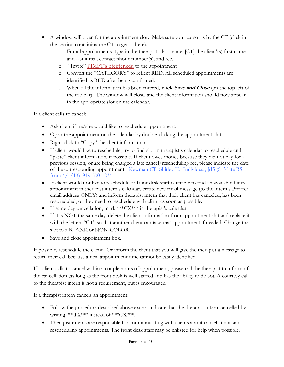- A window will open for the appointment slot. Make sure your cursor is by the CT (click in the section containing the CT to get it there).
	- o For all appointments, type in the therapist's last name, [CT] the client'(s) first name and last initial, contact phone number(s), and fee.
	- o "Invite" [PIMFT@pfeiffer.edu](mailto:PIMFT@pfeiffer.edu) to the appointment
	- o Convert the "CATEGORY" to reflect RED. All scheduled appointments are identified as RED after being confirmed.
	- o When all the information has been entered, **click Save and Close** (on the top left of the toolbar). The window will close, and the client information should now appear in the appropriate slot on the calendar.

#### If a client calls to cancel:

- Ask client if he/she would like to reschedule appointment.
- Open the appointment on the calendar by double-clicking the appointment slot.
- Right-click to "Copy" the client information.
- If client would like to reschedule, try to find slot in therapist's calendar to reschedule and "paste" client information, if possible. If client owes money because they did not pay for a previous session, or are being charged a late cancel/rescheduling fee, please indicate the date of the corresponding appointment: Newman CT: Shirley H., Individual, \$15 (\$15 late RS from 4/1/13), 919-500-1234.
- If client would not like to reschedule or front desk staff is unable to find an available future appointment in therapist intern's calendar, create new email message (to the intern's Pfeiffer email address ONLY) and inform therapist intern that their client has canceled, has been rescheduled, or they need to reschedule with client as soon as possible.
- If same day cancellation, mark \*\*\*CX\*\*\* in therapist's calendar.
- If it is NOT the same day, delete the client information from appointment slot and replace it with the letters "CT" so that another client can take that appointment if needed. Change the slot to a BLANK or NON-COLOR.
- Save and close appointment box.

If possible, reschedule the client. Or inform the client that you will give the therapist a message to return their call because a new appointment time cannot be easily identified.

If a client calls to cancel within a couple hours of appointment, please call the therapist to inform of the cancellation (as long as the front desk is well staffed and has the ability to do so). A courtesy call to the therapist intern is not a requirement, but is encouraged.

If a therapist intern cancels an appointment:

- Follow the procedure described above except indicate that the therapist intern cancelled by writing \*\*\*TX\*\*\* instead of \*\*\*CX\*\*\*.
- Therapist interns are responsible for communicating with clients about cancellations and rescheduling appointments. The front desk staff may be enlisted for help when possible.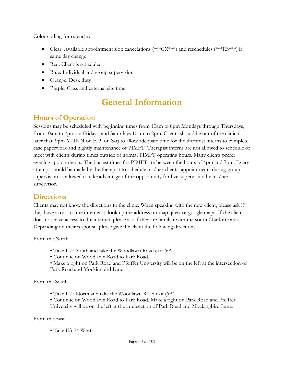#### Color coding for calendar:

- Clear: Available appointment slot; cancelations (\*\*\*CX\*\*\*) and reschedules (\*\*\*RS\*\*\*) if same day change
- Red: Client is scheduled
- Blue: Individual and group supervision
- Orange: Desk duty
- Purple: Class and external site time

# **General Information**

#### **Hours of Operation**

Sessions may be scheduled with beginning times from 10am to 8pm Mondays through Thursdays, from 10am to 7pm on Fridays, and Saturdays 10am to 2pm. Clients should be out of the clinic no later than 9pm M-Th (4 on F, 3: on Sat) to allow adequate time for the therapist interns to complete case paperwork and nightly maintenance of PIMFT. Therapist interns are not allowed to schedule or meet with clients during times outside of normal PIMFT operating hours. Many clients prefer evening appointments. The busiest times for PIMFT are between the hours of 4pm and 7pm. Every attempt should be made by the therapist to schedule his/her clients' appointments during group supervision as allowed to take advantage of the opportunity for live supervision by his/her supervisor.

#### **Directions**

Clients may not know the directions to the clinic. When speaking with the new client, please ask if they have access to the internet to look up the address on map quest or google maps. If the client does not have access to the internet, please ask if they are familiar with the south Charlotte area. Depending on their response, please give the client the following directions:

From the North

- Take I-77 South and take the Woodlawn Road exit (6A).
- Continue on Woodlawn Road to Park Road.
- Make a right on Park Road and Pfeiffer University will be on the left at the intersection of Park Road and Mockingbird Lane

From the South

- Take I-77 North and take the Woodlawn Road exit (6A).
- Continue on Woodlawn Road to Park Road. Make a right on Park Road and Pfeiffer University will be on the left at the intersection of Park Road and Mockingbird Lane.

#### From the East

• Take US-74 West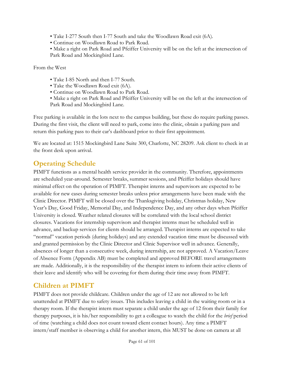- Take I-277 South then I-77 South and take the Woodlawn Road exit (6A).
- Continue on Woodlawn Road to Park Road.
- Make a right on Park Road and Pfeiffer University will be on the left at the intersection of Park Road and Mockingbird Lane.

From the West

- Take I-85 North and then I-77 South.
- Take the Woodlawn Road exit (6A).
- Continue on Woodlawn Road to Park Road.
- Make a right on Park Road and Pfeiffer University will be on the left at the intersection of Park Road and Mockingbird Lane.

Free parking is available in the lots next to the campus building, but these do require parking passes. During the first visit, the client will need to park, come into the clinic, obtain a parking pass and return this parking pass to their car's dashboard prior to their first appointment.

We are located at: 1515 Mockingbird Lane Suite 300, Charlotte, NC 28209. Ask client to check in at the front desk upon arrival.

## **Operating Schedule**

PIMFT functions as a mental health service provider in the community. Therefore, appointments are scheduled year-around. Semester breaks, summer sessions, and Pfeiffer holidays should have minimal effect on the operation of PIMFT. Therapist interns and supervisors are expected to be available for new cases during semester breaks unless prior arrangements have been made with the Clinic Director. PIMFT will be closed over the Thanksgiving holiday, Christmas holiday, New Year's Day, Good Friday, Memorial Day, and Independence Day, and any other days when Pfeiffer University is closed. Weather related closures will be correlated with the local school district closures. Vacations for internship supervisors and therapist interns must be scheduled well in advance, and backup services for clients should be arranged. Therapist interns are expected to take "normal" vacation periods (during holidays) and any extended vacation time must be discussed with and granted permission by the Clinic Director and Clinic Supervisor well in advance. Generally, absences of longer than a consecutive week, during internship, are not approved. A Vacation/Leave of Absence Form (Appendix AB) must be completed and approved BEFORE travel arrangements are made. Additionally, it is the responsibility of the therapist intern to inform their active clients of their leave and identify who will be covering for them during their time away from PIMFT.

#### **Children at PIMFT**

PIMFT does not provide childcare. Children under the age of 12 are not allowed to be left unattended at PIMFT due to safety issues. This includes leaving a child in the waiting room or in a therapy room. If the therapist intern must separate a child under the age of 12 from their family for therapy purposes, it is his/her responsibility to get a colleague to watch the child for the *brief* period of time (watching a child does not count toward client contact hours). Any time a PIMFT intern/staff member is observing a child for another intern, this MUST be done on camera at all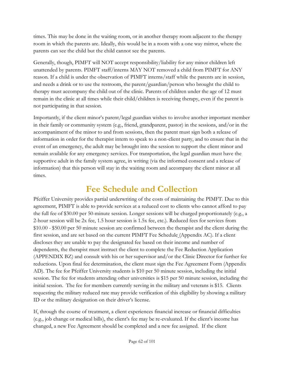times. This may be done in the waiting room, or in another therapy room adjacent to the therapy room in which the parents are. Ideally, this would be in a room with a one way mirror, where the parents can see the child but the child cannot see the parents.

Generally, though, PIMFT will NOT accept responsibility/liability for any minor children left unattended by parents. PIMFT staff/interns MAY NOT removed a child from PIMFT for ANY reason. If a child is under the observation of PIMFT interns/staff while the parents are in session, and needs a drink or to use the restroom, the parent/guardian/person who brought the child to therapy must accompany the child out of the clinic. Parents of children under the age of 12 must remain in the clinic at all times while their child/children is receiving therapy, even if the parent is not participating in that session.

Importantly, if the client minor's parent/legal guardian wishes to involve another important member in their family or community system (e.g., friend, grandparent, pastor) in the sessions, and/or in the accompaniment of the minor to and from sessions, then the parent must sign both a release of information in order for the therapist intern to speak to a non-client party, and to ensure that in the event of an emergency, the adult may be brought into the session to support the client minor and remain available for any emergency services. For transportation, the legal guardian must have the supportive adult in the family system agree, in writing (via the informed consent and a release of information) that this person will stay in the waiting room and accompany the client minor at all times.

# **Fee Schedule and Collection**

Pfeiffer University provides partial underwriting of the costs of maintaining the PIMFT. Due to this agreement, PIMFT is able to provide services at a reduced cost to clients who cannot afford to pay the full fee of \$30.00 per 50-minute session. Longer sessions will be charged proportionately (e.g., a 2-hour session will be 2x fee, 1.5 hour session is 1.5x fee, etc.). Reduced fees for services from \$10.00 - \$50.00 per 50 minute session are confirmed between the therapist and the client during the first session, and are set based on the current PIMFT Fee Schedule (Appendix AC). If a client discloses they are unable to pay the designated fee based on their income and number of dependents, the therapist must instruct the client to complete the Fee Reduction Application (APPENDIX BZ) and consult with his or her supervisor and/or the Clinic Director for further fee reductions. Upon final fee determination, the client must sign the Fee Agreement Form (Appendix AD). The fee for Pfeiffer University students is \$10 per 50 minute session, including the initial session. The fee for students attending other universities is \$15 per 50 minute session, including the initial session. The fee for members currently serving in the military and veterans is \$15. Clients requesting the military reduced rate may provide verification of this eligibility by showing a military ID or the military designation on their driver's license.

If, through the course of treatment, a client experiences financial increase or financial difficulties (e.g., job change or medical bills), the client's fee may be re-evaluated. If the client's income has changed, a new Fee Agreement should be completed and a new fee assigned. If the client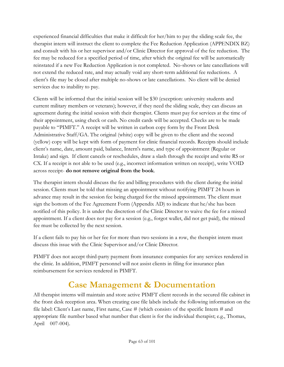experienced financial difficulties that make it difficult for her/him to pay the sliding scale fee, the therapist intern will instruct the client to complete the Fee Reduction Application (APPENDIX BZ) and consult with his or her supervisor and/or Clinic Director for approval of the fee reduction. The fee may be reduced for a specified period of time, after which the original fee will be automatically reinstated if a new Fee Reduction Application is not completed. No-shows or late cancellations will not extend the reduced rate, and may actually void any short-term additional fee reductions. A client's file may be closed after multiple no-shows or late cancellations. No client will be denied services due to inability to pay.

Clients will be informed that the initial session will be \$30 (exception: university students and current military members or veterans); however, if they need the sliding scale, they can discuss an agreement during the initial session with their therapist. Clients must pay for services at the time of their appointment, using check or cash. No credit cards will be accepted. Checks are to be made payable to "PIMFT." A receipt will be written in carbon copy form by the Front Desk Administrative Staff/GA. The original (white) copy will be given to the client and the second (yellow) copy will be kept with form of payment for clinic financial records. Receipts should include client's name, date, amount paid, balance, Intern's name, and type of appointment (Regular or Intake) and sign. If client cancels or reschedules, draw a slash through the receipt and write RS or CX. If a receipt is not able to be used (e.g., incorrect information written on receipt), write VOID across receipt- **do not remove original from the book**.

The therapist intern should discuss the fee and billing procedures with the client during the initial session. Clients must be told that missing an appointment without notifying PIMFT 24 hours in advance may result in the session fee being charged for the missed appointment. The client must sign the bottom of the Fee Agreement Form (Appendix AD) to indicate that he/she has been notified of this policy. It is under the discretion of the Clinic Director to waive the fee for a missed appointment. If a client does not pay for a session (e.g., forgot wallet, did not get paid), the missed fee must be collected by the next session.

If a client fails to pay his or her fee for more than two sessions in a row, the therapist intern must discuss this issue with the Clinic Supervisor and/or Clinic Director.

PIMFT does not accept third-party payment from insurance companies for any services rendered in the clinic. In addition, PIMFT personnel will not assist clients in filing for insurance plan reimbursement for services rendered in PIMFT.

# **Case Management & Documentation**

All therapist interns will maintain and store active PIMFT client records in the secured file cabinet in the front desk reception area. When creating case file labels include the following information on the file label: Client's Last name, First name, Case # (which consists of the specific Intern # and appropriate file number based what number that client is for the individual therapist; e.g., Thomas, April 007-004).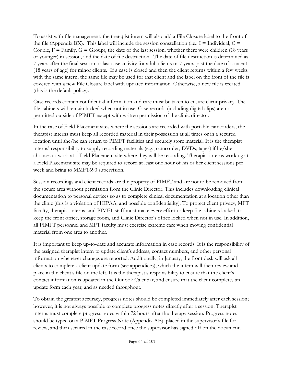To assist with file management, the therapist intern will also add a File Closure label to the front of the file (Appendix BX). This label will include the session constellation (i.e.:  $I =$  Individual,  $C =$ Couple,  $F =$  Family,  $G =$  Group), the date of the last session, whether there were children (18 years or younger) in session, and the date of file destruction. The date of file destruction is determined as 7 years after the final session or last case activity for adult clients or 7 years past the date of consent (18 years of age) for minor clients. If a case is closed and then the client returns within a few weeks with the same intern, the same file may be used for that client and the label on the front of the file is covered with a new File Closure label with updated information. Otherwise, a new file is created (this is the default policy).

Case records contain confidential information and care must be taken to ensure client privacy. The file cabinets will remain locked when not in use. Case records (including digital clips) are not permitted outside of PIMFT except with written permission of the clinic director.

In the case of Field Placement sites where the sessions are recorded with portable camcorders, the therapist interns must keep all recorded material in their possession at all times or in a secured location until she/he can return to PIMFT facilities and securely store material. It is the therapist interns' responsibility to supply recording materials (e.g., camcorder, DVDs, tapes) if he/she chooses to work at a Field Placement site where they will be recording. Therapist interns working at a Field Placement site may be required to record at least one hour of his or her client sessions per week and bring to MMFT690 supervision.

Session recordings and client records are the property of PIMFT and are not to be removed from the secure area without permission from the Clinic Director. This includes downloading clinical documentation to personal devices so as to complete clinical documentation at a location other than the clinic (this is a violation of HIPAA, and possible confidentiality). To protect client privacy, MFT faculty, therapist interns, and PIMFT staff must make every effort to keep file cabinets locked, to keep the front office, storage room, and Clinic Director's office locked when not in use. In addition, all PIMFT personnel and MFT faculty must exercise extreme care when moving confidential material from one area to another.

It is important to keep up-to-date and accurate information in case records. It is the responsibility of the assigned therapist intern to update client's address, contact numbers, and other personal information whenever changes are reported. Additionally, in January, the front desk will ask all clients to complete a client update form (see appendices), which the intern will then review and place in the client's file on the left. It is the therapist's responsibility to ensure that the client's contact information is updated in the Outlook Calendar, and ensure that the client completes an update form each year, and as needed throughout.

To obtain the greatest accuracy, progress notes should be completed immediately after each session; however, it is not always possible to complete progress notes directly after a session. Therapist interns must complete progress notes within 72 hours after the therapy session. Progress notes should be typed on a PIMFT Progress Note (Appendix AE), placed in the supervisor's file for review, and then secured in the case record once the supervisor has signed off on the document.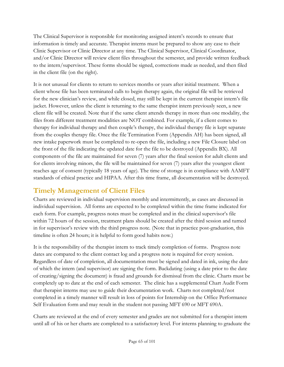The Clinical Supervisor is responsible for monitoring assigned intern's records to ensure that information is timely and accurate. Therapist interns must be prepared to show any case to their Clinic Supervisor or Clinic Director at any time. The Clinical Supervisor, Clinical Coordinator, and/or Clinic Director will review client files throughout the semester, and provide written feedback to the intern/supervisor. These forms should be signed, corrections made as needed, and then filed in the client file (on the right).

It is not unusual for clients to return to services months or years after initial treatment. When a client whose file has been terminated calls to begin therapy again, the original file will be retrieved for the new clinician's review, and while closed, may still be kept in the current therapist intern's file jacket. However, unless the client is returning to the same therapist intern previously seen, a new client file will be created. Note that if the same client attends therapy in more than one modality, the files from different treatment modalities are NOT combined. For example, if a client comes to therapy for individual therapy and then couple's therapy, the individual therapy file is kept separate from the couples therapy file. Once the file Termination Form (Appendix AH) has been signed, all new intake paperwork must be completed to re-open the file, including a new File Closure label on the front of the file indicating the updated date for the file to be destroyed (Appendix BX). All components of the file are maintained for seven (7) years after the final session for adult clients and for clients involving minors, the file will be maintained for seven (7) years after the youngest client reaches age of consent (typically 18 years of age). The time of storage is in compliance with AAMFT standards of ethical practice and HIPAA. After this time frame, all documentation will be destroyed.

### **Timely Management of Client Files**

Charts are reviewed in individual supervision monthly and intermittently, as cases are discussed in individual supervision. All forms are expected to be completed within the time frame indicated for each form. For example, progress notes must be completed and in the clinical supervisor's file within 72 hours of the session, treatment plans should be created after the third session and turned in for supervisor's review with the third progress note. (Note that in practice post-graduation, this timeline is often 24 hours; it is helpful to form good habits now.)

It is the responsibility of the therapist intern to track timely completion of forms. Progress note dates are compared to the client contact log and a progress note is required for every session. Regardless of date of completion, all documentation must be signed and dated in ink, using the date of which the intern (and supervisor) are signing the form. Backdating (using a date prior to the date of creating/signing the document) is fraud and grounds for dismissal from the clinic. Charts must be completely up to date at the end of each semester. The clinic has a supplemental Chart Audit Form that therapist interns may use to guide their documentation work. Charts not completed/not completed in a timely manner will result in loss of points for Internship on the Office Performance Self Evaluation form and may result in the student not passing MFT 690 or MFT 690A.

Charts are reviewed at the end of every semester and grades are not submitted for a therapist intern until all of his or her charts are completed to a satisfactory level. For interns planning to graduate the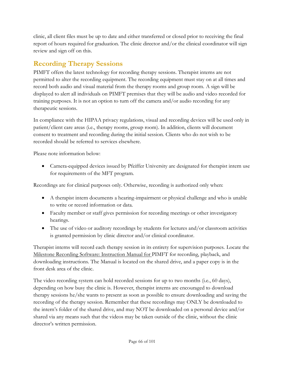clinic, all client files must be up to date and either transferred or closed prior to receiving the final report of hours required for graduation. The clinic director and/or the clinical coordinator will sign review and sign off on this.

# **Recording Therapy Sessions**

PIMFT offers the latest technology for recording therapy sessions. Therapist interns are not permitted to alter the recording equipment. The recording equipment must stay on at all times and record both audio and visual material from the therapy rooms and group room. A sign will be displayed to alert all individuals on PIMFT premises that they will be audio and video recorded for training purposes. It is not an option to turn off the camera and/or audio recording for any therapeutic sessions.

In compliance with the HIPAA privacy regulations, visual and recording devices will be used only in patient/client care areas (i.e., therapy rooms, group room). In addition, clients will document consent to treatment and recording during the initial session. Clients who do not wish to be recorded should be referred to services elsewhere.

Please note information below:

• Camera-equipped devices issued by Pfeiffer University are designated for therapist intern use for requirements of the MFT program.

Recordings are for clinical purposes only. Otherwise, recording is authorized only when:

- A therapist intern documents a hearing-impairment or physical challenge and who is unable to write or record information or data.
- Faculty member or staff gives permission for recording meetings or other investigatory hearings.
- The use of video or auditory recordings by students for lectures and/or classroom activities is granted permission by clinic director and/or clinical coordinator.

Therapist interns will record each therapy session in its entirety for supervision purposes. Locate the Milestone Recording Software: Instruction Manual for PIMFT for recording, playback, and downloading instructions. The Manual is located on the shared drive, and a paper copy is in the front desk area of the clinic.

The video recording system can hold recorded sessions for up to two months (i.e., 60 days), depending on how busy the clinic is. However, therapist interns are encouraged to download therapy sessions he/she wants to present as soon as possible to ensure downloading and saving the recording of the therapy session. Remember that these recordings may ONLY be downloaded to the intern's folder of the shared drive, and may NOT be downloaded on a personal device and/or shared via any means such that the videos may be taken outside of the clinic, without the clinic director's written permission.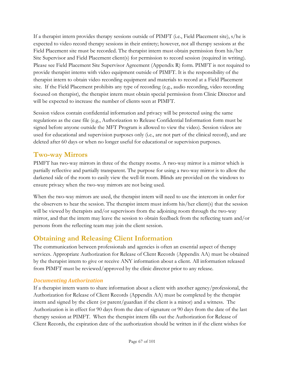If a therapist intern provides therapy sessions outside of PIMFT (i.e., Field Placement site), s/he is expected to video record therapy sessions in their entirety; however, not all therapy sessions at the Field Placement site must be recorded. The therapist intern must obtain permission from his/her Site Supervisor and Field Placement client(s) for permission to record session (required in writing). Please see Field Placement Site Supervisor Agreement (Appendix R) form. PIMFT is not required to provide therapist interns with video equipment outside of PIMFT. It is the responsibility of the therapist intern to obtain video recording equipment and materials to record at a Field Placement site. If the Field Placement prohibits any type of recording (e.g., audio recording, video recording focused on therapist), the therapist intern must obtain special permission from Clinic Director and will be expected to increase the number of clients seen at PIMFT*.*

Session videos contain confidential information and privacy will be protected using the same regulations as the case file (e.g., Authorization to Release Confidential Information form must be signed before anyone outside the MFT Program is allowed to view the video). Session videos are used for educational and supervision purposes only (i.e., are not part of the clinical record), and are deleted after 60 days or when no longer useful for educational or supervision purposes.

#### **Two-way Mirrors**

PIMFT has two-way mirrors in three of the therapy rooms. A two-way mirror is a mirror which is partially reflective and partially transparent. The purpose for using a two-way mirror is to allow the darkened side of the room to easily view the well-lit room. Blinds are provided on the windows to ensure privacy when the two-way mirrors are not being used.

When the two-way mirrors are used, the therapist intern will need to use the intercom in order for the observers to hear the session. The therapist intern must inform his/her client(s) that the session will be viewed by therapists and/or supervisors from the adjoining room through the two-way mirror, and that the intern may leave the session to obtain feedback from the reflecting team and/or persons from the reflecting team may join the client session.

### **Obtaining and Releasing Client Information**

The communication between professionals and agencies is often an essential aspect of therapy services. Appropriate Authorization for Release of Client Records (Appendix AA) must be obtained by the therapist intern to give or receive ANY information about a client. All information released from PIMFT must be reviewed/approved by the clinic director prior to any release.

#### *Documenting Authorization*

If a therapist intern wants to share information about a client with another agency/professional, the Authorization for Release of Client Records (Appendix AA) must be completed by the therapist intern and signed by the client (or parent/guardian if the client is a minor) and a witness. The Authorization is in effect for 90 days from the date of signature or 90 days from the date of the last therapy session at PIMFT. When the therapist intern fills out the Authorization for Release of Client Records, the expiration date of the authorization should be written in if the client wishes for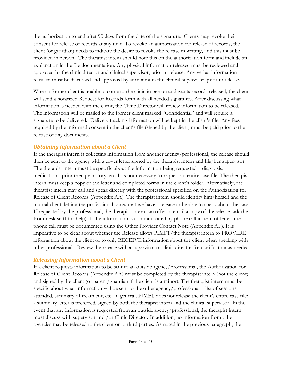the authorization to end after 90 days from the date of the signature. Clients may revoke their consent for release of records at any time. To revoke an authorization for release of records, the client (or guardian) needs to indicate the desire to revoke the release in writing, and this must be provided in person. The therapist intern should note this on the authorization form and include an explanation in the file documentation. Any physical information released must be reviewed and approved by the clinic director and clinical supervisor, prior to release. Any verbal information released must be discussed and approved by at minimum the clinical supervisor, prior to release.

When a former client is unable to come to the clinic in person and wants records released, the client will send a notarized Request for Records form with all needed signatures. After discussing what information is needed with the client, the Clinic Director will review information to be released. The information will be mailed to the former client marked "Confidential" and will require a signature to be delivered. Delivery tracking information will be kept in the client's file. Any fees required by the informed consent in the client's file (signed by the client) must be paid prior to the release of any documents.

#### *Obtaining Information about a Client*

If the therapist intern is collecting information from another agency/professional, the release should then be sent to the agency with a cover letter signed by the therapist intern and his/her supervisor. The therapist intern must be specific about the information being requested – diagnosis, medications, prior therapy history, etc. It is not necessary to request an entire case file. The therapist intern must keep a copy of the letter and completed forms in the client's folder. Alternatively, the therapist intern may call and speak directly with the professional specified on the Authorization for Release of Client Records (Appendix AA). The therapist intern should identify him/herself and the mutual client, letting the professional know that we have a release to be able to speak about the case. If requested by the professional, the therapist intern can offer to email a copy of the release (ask the front desk staff for help). If the information is communicated by phone call instead of letter, the phone call must be documented using the Other Provider Contact Note (Appendix AF). It is imperative to be clear about whether the Release allows PIMFT/the therapist intern to PROVIDE information about the client or to only RECEIVE information about the client when speaking with other professionals. Review the release with a supervisor or clinic director for clarification as needed.

#### *Releasing Information about a Client*

If a client requests information to be sent to an outside agency/professional, the Authorization for Release of Client Records (Appendix AA) must be completed by the therapist intern (not the client) and signed by the client (or parent/guardian if the client is a minor). The therapist intern must be specific about what information will be sent to the other agency/professional – list of sessions attended, summary of treatment, etc. In general, PIMFT does not release the client's entire case file; a summary letter is preferred, signed by both the therapist intern and the clinical supervisor. In the event that any information is requested from an outside agency/professional, the therapist intern must discuss with supervisor and /or Clinic Director. In addition, no information from other agencies may be released to the client or to third parties. As noted in the previous paragraph, the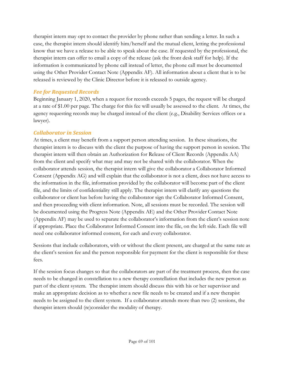therapist intern may opt to contact the provider by phone rather than sending a letter. In such a case, the therapist intern should identify him/herself and the mutual client, letting the professional know that we have a release to be able to speak about the case. If requested by the professional, the therapist intern can offer to email a copy of the release (ask the front desk staff for help). If the information is communicated by phone call instead of letter, the phone call must be documented using the Other Provider Contact Note (Appendix AF). All information about a client that is to be released is reviewed by the Clinic Director before it is released to outside agency.

#### *Fee for Requested Records*

Beginning January 1, 2020, when a request for records exceeds 5 pages, the request will be charged at a rate of \$1.00 per page. The charge for this fee will usually be assessed to the client. At times, the agency requesting records may be charged instead of the client (e.g., Disability Services offices or a lawyer).

#### *Collaborator in Session*

At times, a client may benefit from a support person attending session. In these situations, the therapist intern is to discuss with the client the purpose of having the support person in session. The therapist intern will then obtain an Authorization for Release of Client Records (Appendix AA) from the client and specify what may and may not be shared with the collaborator. When the collaborator attends session, the therapist intern will give the collaborator a Collaborator Informed Consent (Appendix AG) and will explain that the collaborator is not a client, does not have access to the information in the file, information provided by the collaborator will become part of the client file, and the limits of confidentiality still apply. The therapist intern will clarify any questions the collaborator or client has before having the collaborator sign the Collaborator Informed Consent, and then proceeding with client information. Note, all sessions must be recorded. The session will be documented using the Progress Note (Appendix AE) and the Other Provider Contact Note (Appendix AF) may be used to separate the collaborator's information from the client's session note if appropriate. Place the Collaborator Informed Consent into the file, on the left side. Each file will need one collaborator informed consent, for each and every collaborator.

Sessions that include collaborators, with or without the client present, are charged at the same rate as the client's session fee and the person responsible for payment for the client is responsible for these fees.

If the session focus changes so that the collaborators are part of the treatment process, then the case needs to be changed in constellation to a new therapy constellation that includes the new person as part of the client system. The therapist intern should discuss this with his or her supervisor and make an appropriate decision as to whether a new file needs to be created and if a new therapist needs to be assigned to the client system. If a collaborator attends more than two (2) sessions, the therapist intern should (re)consider the modality of therapy.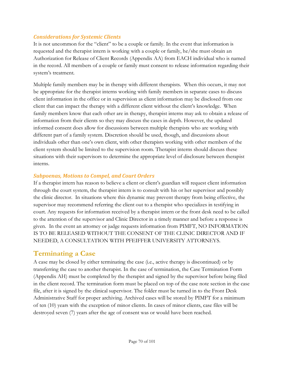#### *Considerations for Systemic Clients*

It is not uncommon for the "client" to be a couple or family. In the event that information is requested and the therapist intern is working with a couple or family, he/she must obtain an Authorization for Release of Client Records (Appendix AA) from EACH individual who is named in the record. All members of a couple or family must consent to release information regarding their system's treatment.

Multiple family members may be in therapy with different therapists. When this occurs, it may not be appropriate for the therapist interns working with family members in separate cases to discuss client information in the office or in supervision as client information may be disclosed from one client that can impact the therapy with a different client without the client's knowledge. When family members know that each other are in therapy, therapist interns may ask to obtain a release of information from their clients so they may discuss the cases in depth. However, the updated informed consent does allow for discussions between multiple therapists who are working with different part of a family system. Discretion should be used, though, and discussions about individuals other than one's own client, with other therapists working with other members of the client system should be limited to the supervision room. Therapist interns should discuss these situations with their supervisors to determine the appropriate level of disclosure between therapist interns.

#### *Subpoenas, Motions to Compel, and Court Orders*

If a therapist intern has reason to believe a client or client's guardian will request client information through the court system, the therapist intern is to consult with his or her supervisor and possibly the clinic director. In situations where this dynamic may prevent therapy from being effective, the supervisor may recommend referring the client out to a therapist who specializes in testifying in court. Any requests for information received by a therapist intern or the front desk need to be called to the attention of the supervisor and Clinic Director in a timely manner and before a response is given. In the event an attorney or judge requests information from PIMFT, NO INFORMATION IS TO BE RELEASED WITHOUT THE CONSENT OF THE CLINIC DIRECTOR AND IF NEEDED, A CONSULTATION WITH PFEIFFER UNIVERSITY ATTORNEYS.

#### **Terminating a Case**

A case may be closed by either terminating the case (i.e., active therapy is discontinued) or by transferring the case to another therapist. In the case of termination, the Case Termination Form (Appendix AH) must be completed by the therapist and signed by the supervisor before being filed in the client record. The termination form must be placed on top of the case note section in the case file, after it is signed by the clinical supervisor. The folder must be turned in to the Front Desk Administrative Staff for proper archiving. Archived cases will be stored by PIMFT for a minimum of ten (10) years with the exception of minor clients. In cases of minor clients, case files will be destroyed seven (7) years after the age of consent was or would have been reached.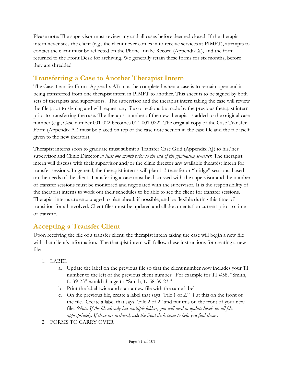Please note: The supervisor must review any and all cases before deemed closed. If the therapist intern never sees the client (e.g., the client never comes in to receive services at PIMFT), attempts to contact the client must be reflected on the Phone Intake Record (Appendix X), and the form returned to the Front Desk for archiving. We generally retain these forms for six months, before they are shredded.

### **Transferring a Case to Another Therapist Intern**

The Case Transfer Form (Appendix AI) must be completed when a case is to remain open and is being transferred from one therapist intern in PIMFT to another. This sheet is to be signed by both sets of therapists and supervisors. The supervisor and the therapist intern taking the case will review the file prior to signing and will request any file corrections be made by the previous therapist intern prior to transferring the case. The therapist number of the new therapist is added to the original case number (e.g., Case number 001-022 becomes 014-001-022). The original copy of the Case Transfer Form (Appendix AI) must be placed on top of the case note section in the case file and the file itself given to the new therapist.

Therapist interns soon to graduate must submit a Transfer Case Grid (Appendix AJ) to his/her supervisor and Clinic Director *at least one month prior to the end of the graduating semester*. The therapist intern will discuss with their supervisor and/or the clinic director any available therapist intern for transfer sessions. In general, the therapist interns will plan 1-3 transfer or "bridge" sessions, based on the needs of the client. Transferring a case must be discussed with the supervisor and the number of transfer sessions must be monitored and negotiated with the supervisor. It is the responsibility of the therapist interns to work out their schedules to be able to see the client for transfer sessions. Therapist interns are encouraged to plan ahead, if possible, and be flexible during this time of transition for all involved. Client files must be updated and all documentation current prior to time of transfer.

#### **Accepting a Transfer Client**

Upon receiving the file of a transfer client, the therapist intern taking the case will begin a new file with that client's information. The therapist intern will follow these instructions for creating a new file:

- 1. LABEL
	- a. Update the label on the previous file so that the client number now includes your TI number to the left of the previous client number. For example for TI #58, "Smith, L. 39-23" would change to "Smith, L. 58-39-23."
	- b. Print the label twice and start a new file with the same label.
	- c. On the previous file, create a label that says "File 1 of 2." Put this on the front of the file. Create a label that says "File 2 of 2" and put this on the front of your new file. *(Note: If the file already has multiple folders, you will need to update labels on all files appropriately. If these are archived, ask the front desk team to help you find them.)*
- 2. FORMS TO CARRY OVER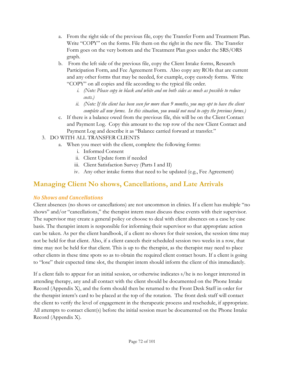- a. From the right side of the previous file, copy the Transfer Form and Treatment Plan. Write "COPY" on the forms. File them on the right in the new file. The Transfer Form goes on the very bottom and the Treatment Plan goes under the SRS/ORS graph.
- b. From the left side of the previous file, copy the Client Intake forms, Research Participation Form, and Fee Agreement Form. Also copy any ROIs that are current and any other forms that may be needed, for example, copy custody forms. Write "COPY" on all copies and file according to the typical file order.
	- *i. (Note: Please copy in black and white and on both sides as much as possible to reduce costs.)*
	- *ii. (Note: If the client has been seen for more than 9 months, you may opt to have the client complete all new forms. In this situation, you would not need to copy the previous forms.)*
- c. If there is a balance owed from the previous file, this will be on the Client Contact and Payment Log. Copy this amount to the top row of the new Client Contact and Payment Log and describe it as "Balance carried forward at transfer."
- 3. DO WITH ALL TRANSFER CLIENTS
	- a. When you meet with the client, complete the following forms:
		- i. Informed Consent
		- ii. Client Update form if needed
		- iii. Client Satisfaction Survey (Parts I and II)
		- iv. Any other intake forms that need to be updated (e.g., Fee Agreement)

### **Managing Client No shows, Cancellations, and Late Arrivals**

#### *No Shows and Cancellations*

Client absences (no shows or cancellations) are not uncommon in clinics. If a client has multiple "no shows" and/or "cancellations," the therapist intern must discuss these events with their supervisor. The supervisor may create a general policy or choose to deal with client absences on a case by case basis. The therapist intern is responsible for informing their supervisor so that appropriate action can be taken. As per the client handbook, if a client no shows for their session, the session time may not be held for that client. Also, if a client cancels their scheduled session two weeks in a row, that time may not be held for that client. This is up to the therapist, as the therapist may need to place other clients in these time spots so as to obtain the required client contact hours. If a client is going to "lose" their expected time slot, the therapist intern should inform the client of this immediately.

If a client fails to appear for an initial session, or otherwise indicates s/he is no longer interested in attending therapy, any and all contact with the client should be documented on the Phone Intake Record (Appendix X), and the form should then be returned to the Front Desk Staff in order for the therapist intern's card to be placed at the top of the rotation. The front desk staff will contact the client to verify the level of engagement in the therapeutic process and reschedule, if appropriate. All attempts to contact client(s) before the initial session must be documented on the Phone Intake Record (Appendix X).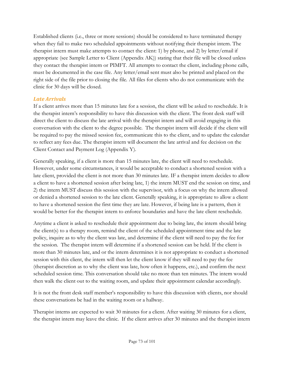Established clients (i.e., three or more sessions) should be considered to have terminated therapy when they fail to make two scheduled appointments without notifying their therapist intern. The therapist intern must make attempts to contact the client: 1) by phone, and 2) by letter/email if appropriate (see Sample Letter to Client (Appendix AK)) stating that their file will be closed unless they contact the therapist intern or PIMFT. All attempts to contact the client, including phone calls, must be documented in the case file. Any letter/email sent must also be printed and placed on the right side of the file prior to closing the file. All files for clients who do not communicate with the clinic for 30 days will be closed.

#### *Late Arrivals*

If a client arrives more than 15 minutes late for a session, the client will be asked to reschedule. It is the therapist intern's responsibility to have this discussion with the client. The front desk staff will direct the client to discuss the late arrival with the therapist intern and will avoid engaging in this conversation with the client to the degree possible. The therapist intern will decide if the client will be required to pay the missed session fee, communicate this to the client, and to update the calendar to reflect any fees due. The therapist intern will document the late arrival and fee decision on the Client Contact and Payment Log (Appendix Y).

Generally speaking, if a client is more than 15 minutes late, the client will need to reschedule. However, under some circumstances, it would be acceptable to conduct a shortened session with a late client, provided the client is not more than 30 minutes late. IF a therapist intern decides to allow a client to have a shortened session after being late, 1) the intern MUST end the session on time, and 2) the intern MUST discuss this session with the supervisor, with a focus on why the intern allowed or denied a shortened session to the late client. Generally speaking, it is appropriate to allow a client to have a shortened session the first time they are late. However, if being late is a pattern, then it would be better for the therapist intern to enforce boundaries and have the late client reschedule.

Anytime a client is asked to reschedule their appointment due to being late, the intern should bring the client(s) to a therapy room, remind the client of the scheduled appointment time and the late policy, inquire as to why the client was late, and determine if the client will need to pay the fee for the session. The therapist intern will determine if a shortened session can be held. If the client is more than 30 minutes late, and or the intern determines it is not appropriate to conduct a shortened session with this client, the intern will then let the client know if they will need to pay the fee (therapist discretion as to why the client was late, how often it happens, etc.), and confirm the next scheduled session time. This conversation should take no more than ten minutes. The intern would then walk the client out to the waiting room, and update their appointment calendar accordingly.

It is not the front desk staff member's responsibility to have this discussion with clients, nor should these conversations be had in the waiting room or a hallway.

Therapist interns are expected to wait 30 minutes for a client. After waiting 30 minutes for a client, the therapist intern may leave the clinic. If the client arrives after 30 minutes and the therapist intern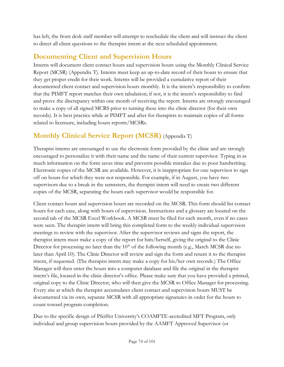has left, the front desk staff member will attempt to reschedule the client and will instruct the client to direct all client questions to the therapist intern at the next scheduled appointment.

## **Documenting Client and Supervision Hours**

Interns will document client contact hours and supervision hours using the Monthly Clinical Service Report (MCSR) (Appendix T). Interns must keep an up-to-date record of their hours to ensure that they get proper credit for their work. Interns will be provided a cumulative report of their documented client contact and supervision hours monthly. It is the intern's responsibility to confirm that the PIMFT report matches their own tabulation; if not, it is the intern's responsibility to find and prove the discrepancy within one month of receiving the report. Interns are strongly encouraged to make a copy of all signed MCRS prior to turning these into the clinic director (for their own records). It is best practice while at PIMFT and after for therapists to maintain copies of all forms related to licensure, including hours reports/MCSRs.

## **Monthly Clinical Service Report (MCSR)** (Appendix T)

Therapist interns are encouraged to use the electronic form provided by the clinic and are strongly encouraged to personalize it with their name and the name of their current supervisor. Typing in as much information on the form saves time and prevents possible mistakes due to poor handwriting. Electronic copies of the MCSR are available. However, it is inappropriate for one supervisor to sign off on hours for which they were not responsible. For example, if in August, you have two supervisors due to a break in the semesters, the therapist intern will need to create two different copies of the MCSR, separating the hours each supervisor would be responsible for.

Client contact hours and supervision hours are recorded on the MCSR. This form should list contact hours for each case, along with hours of supervision. Instructions and a glossary are located on the second tab of the MCSR Excel Workbook. A MCSR must be filed for each month, even if no cases were seen. The therapist intern will bring this completed form to the weekly individual supervision meetings to review with the supervisor. After the supervisor reviews and signs the report, the therapist intern must make a copy of the report for him/herself, giving the original to the Clinic Director for processing no later than the  $10<sup>th</sup>$  of the following month (e.g., March MCSR due no later than April 10). The Clinic Director will review and sign the form and return it to the therapist intern, if requested. (The therapist intern may make a copy for his/her own records.) The Office Manager will then enter the hours into a computer database and file the original in the therapist intern's file, located in the clinic director's office. Please make sure that you have provided a printed, original copy to the Clinic Director, who will then give the MCSR to Office Manager for processing. Every site at which the therapist accumulates client contact and supervision hours MUST be documented via its own, separate MCSR with all appropriate signatures in order for the hours to count toward program completion.

Due to the specific design of Pfeiffer University's COAMFTE-accredited MFT Program, only individual and group supervision hours provided by the AAMFT Approved Supervisor (or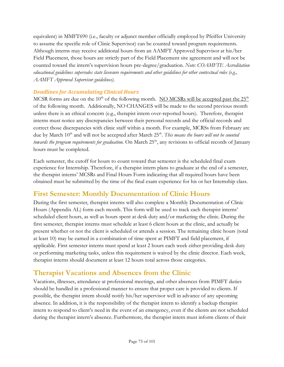equivalent) in MMFT690 (i.e., faculty or adjunct member officially employed by Pfeiffer University to assume the specific role of Clinic Supervisor) can be counted toward program requirements. Although interns may receive additional hours from an AAMFT Approved Supervisor at his/her Field Placement, those hours are strictly part of the Field Placement site agreement and will not be counted toward the intern's supervision hours pre-degree/graduation. *Note: COAMFTE Accreditation educational guidelines supersedes state licensure requirements and other guidelines for other contextual roles (e.g., AAMFT Approved Supervisor guidelines).*

#### *Deadlines for Accumulating Clinical Hours*

MCSR forms are due on the 10<sup>th</sup> of the following month. NO MCSRs will be accepted past the  $25<sup>th</sup>$ of the following month. Additionally, NO CHANGES will be made to the second previous month unless there is an ethical concern (e.g., therapist intern over-reported hours). Therefore, therapist interns must notice any discrepancies between their personal records and the official records and correct those discrepancies with clinic staff within a month. For example, MCRSs from February are due by March 10<sup>th</sup> and will not be accepted after March 25<sup>th</sup>. This means the hours will not be counted towards the program requirements for graduation. On March 25<sup>th</sup>, any revisions to official records of January hours must be completed.

Each semester, the cutoff for hours to count toward that semester is the scheduled final exam experience for Internship. Therefore, if a therapist intern plans to graduate at the end of a semester, the therapist interns' MCSRs and Final Hours Form indicating that all required hours have been obtained must be submitted by the time of the final exam experience for his or her Internship class.

## **First Semester: Monthly Documentation of Clinic Hours**

During the first semester, therapist interns will also complete a Monthly Documentation of Clinic Hours (Appendix AL) form each month. This form will be used to track each therapist interns' scheduled client hours, as well as hours spent at desk duty and/or marketing the clinic. During the first semester, therapist interns must schedule at least 6 client hours at the clinic, and actually be present whether or not the client is scheduled or attends a session. The remaining clinic hours (total at least 10) may be earned in a combination of time spent at PIMFT and field placement, if applicable. First semester interns must spend at least 2 hours each week either providing desk duty or performing marketing tasks, unless this requirement is waived by the clinic director. Each week, therapist interns should document at least 12 hours total across those categories.

## **Therapist Vacations and Absences from the Clinic**

Vacations, illnesses, attendance at professional meetings, and other absences from PIMFT duties should be handled in a professional manner to ensure that proper care is provided to clients. If possible, the therapist intern should notify his/her supervisor well in advance of any upcoming absence. In addition, it is the responsibility of the therapist intern to identify a backup therapist intern to respond to client's need in the event of an emergency, even if the clients are not scheduled during the therapist intern's absence. Furthermore, the therapist intern must inform clients of their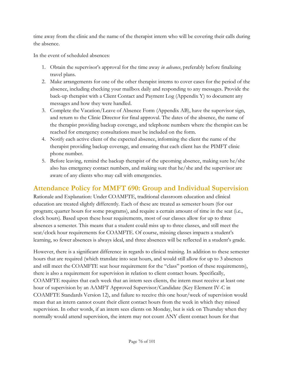time away from the clinic and the name of the therapist intern who will be covering their calls during the absence.

In the event of scheduled absences:

- 1. Obtain the supervisor's approval for the time away *in advance*, preferably before finalizing travel plans.
- 2. Make arrangements for one of the other therapist interns to cover cases for the period of the absence, including checking your mailbox daily and responding to any messages. Provide the back-up therapist with a Client Contact and Payment Log (Appendix Y) to document any messages and how they were handled.
- 3. Complete the Vacation/Leave of Absence Form (Appendix AB), have the supervisor sign, and return to the Clinic Director for final approval. The dates of the absence, the name of the therapist providing backup coverage, and telephone numbers where the therapist can be reached for emergency consultations must be included on the form.
- 4. Notify each active client of the expected absence, informing the client the name of the therapist providing backup coverage, and ensuring that each client has the PIMFT clinic phone number.
- 5. Before leaving, remind the backup therapist of the upcoming absence, making sure he/she also has emergency contact numbers, and making sure that he/she and the supervisor are aware of any clients who may call with emergencies.

## **Attendance Policy for MMFT 690: Group and Individual Supervision**

Rationale and Explanation: Under COAMFTE, traditional classroom education and clinical education are treated slightly differently. Each of these are treated as semester hours (for our program; quarter hours for some programs), and require a certain amount of time in the seat (i.e., clock hours). Based upon these hour requirements, most of our classes allow for up to three absences a semester. This means that a student could miss up to three classes, and still meet the seat/clock hour requirements for COAMFTE. Of course, missing classes impacts a student's learning, so fewer absences is always ideal, and three absences will be reflected in a student's grade.

However, there is a significant difference in regards to clinical training. In addition to these semester hours that are required (which translate into seat hours, and would still allow for up to 3 absences and still meet the COAMFTE seat hour requirement for the "class" portion of these requirements), there is also a requirement for supervision in relation to client contact hours. Specifically, COAMFTE requires that each week that an intern sees clients, the intern must receive at least one hour of supervision by an AAMFT Approved Supervisor/Candidate (Key Element IV-C in COAMFTE Standards Version 12), and failure to receive this one hour/week of supervision would mean that an intern cannot count their client contact hours from the week in which they missed supervision. In other words, if an intern sees clients on Monday, but is sick on Thursday when they normally would attend supervision, the intern may not count ANY client contact hours for that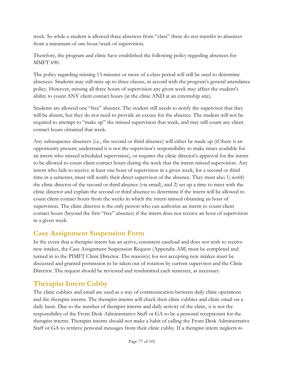week. So while a student is allowed three absences from "class" these do not transfer to absences from a minimum of one hour/week of supervision.

Therefore, the program and clinic have established the following policy regarding absences for MMFT 690.

The policy regarding missing 15 minutes or more of a class period will still be used to determine absences. Students may still miss up to three classes, in accord with the program's general attendance policy. However, missing all three hours of supervision any given week may affect the student's ability to count ANY client contact hours (at the clinic AND at an externship site).

Students are allowed one "free" absence. The student still needs to notify the supervisor that they will be absent, but they do not need to provide an excuse for the absence. The student will not be required to attempt to "make up" the missed supervision that week, and may still count any client contact hours obtained that week.

Any subsequence absences (i.e., the second or third absence) will either be made up (if there is an opportunity present; understand it is not the supervisor's responsibility to make times available for an intern who missed scheduled supervision), or requires the clinic director's approval for the intern to be allowed to count client contact hours during the week that the intern missed supervision. Any intern who fails to receive at least one hour of supervision in a given week, for a second or third time in a semester, must still notify their direct supervisor of the absence. They must also 1) notify the clinic director of the second or third absence (via email), and 2) set up a time to meet with the clinic director and explain the second or third absence to determine if the intern will be allowed to count client contact hours from the weeks in which the intern missed obtaining an hour of supervision. The clinic director is the only person who can authorize an intern to count client contact hours (beyond the first "free" absence) if the intern does not receive an hour of supervision in a given week.

#### **Case Assignment Suspension Form**

In the event that a therapist intern has an active, consistent caseload and does not wish to receive new intakes, the Case Assignment Suspension Request (Appendix AM) must be completed and turned in to the PIMFT Clinic Director. The reason(s) for not accepting new intakes must be discussed and granted permission to be taken out of rotation by current supervisor and the Clinic Director. The request should be reviewed and resubmitted each semester, as necessary.

## **Therapist Intern Cubby**

The clinic cubbies and email are used as a way of communication between daily clinic operations and the therapist interns. The therapist interns will check their clinic cubbies and clinic email on a daily basis. Due to the number of therapist interns and daily activity of the clinic, it is not the responsibility of the Front Desk Administrative Staff or GA to be a personal receptionist for the therapist interns. Therapist interns should not make a habit of calling the Front Desk Administrative Staff or GA to retrieve personal messages from their clinic cubby. If a therapist intern neglects to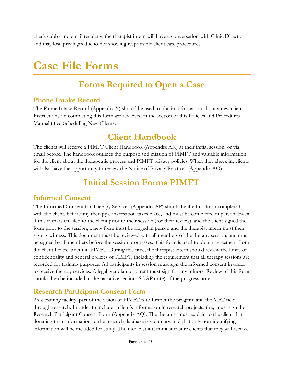check cubby and email regularly, the therapist intern will have a conversation with Clinic Director and may lose privileges due to not showing responsible client care procedures.

# **Case File Forms**

# **Forms Required to Open a Case**

#### **Phone Intake Record**

The Phone Intake Record (Appendix X) should be used to obtain information about a new client. Instructions on completing this form are reviewed in the section of this Policies and Procedures Manual titled [Scheduling New Clients.](#page-50-0)

## **Client Handbook**

The clients will receive a PIMFT Client Handbook (Appendix AN) at their initial session, or via email before. The handbook outlines the purpose and mission of PIMFT and valuable information for the client about the therapeutic process and PIMFT privacy policies. When they check in, clients will also have the opportunity to review the Notice of Privacy Practices (Appendix AO).

# **Initial Session Forms PIMFT**

#### **Informed Consent**

The Informed Consent for Therapy Services (Appendix AP) should be the first form completed with the client, before any therapy conversation takes place, and must be completed in person. Even if this form is emailed to the client prior to their session (for their review), and the client signed the form prior to the session, a new form must be singed in person and the therapist intern must then sign as witness. This document must be reviewed with all members of the therapy session, and must be signed by all members before the session progresses. This form is used to obtain agreement from the client for treatment in PIMFT. During this time, the therapist intern should review the limits of confidentiality and general policies of PIMFT, including the requirement that all therapy sessions are recorded for training purposes. All participants in session must sign the informed consent in order to receive therapy services. A legal guardian or parent must sign for any minors. Review of this form should then be included in the narrative section (SOAP note) of the progress note.

#### **Research Participant Consent Form**

As a training facility, part of the vision of PIMFT is to further the program and the MFT field through research. In order to include a client's information in research projects, they must sign the Research Participant Consent Form (Appendix AQ). The therapist must explain to the client that donating their information to the research database is voluntary, and that only non-identifying information will be included for study. The therapist intern must ensure clients that they will receive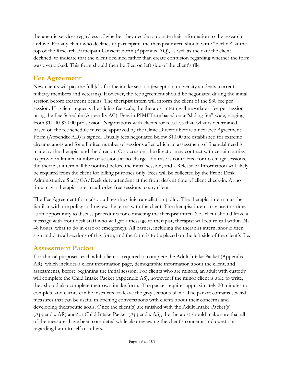therapeutic services regardless of whether they decide to donate their information to the research archive. For any client who declines to participate, the therapist intern should write "decline" at the top of the Research Participant Consent Form (Appendix AQ), as well as the date the client declined, to indicate that the client declined rather than create confusion regarding whether the form was overlooked. This form should then be filed on left side of the client's file.

#### **Fee Agreement**

New clients will pay the full \$30 for the intake session (exception: university students, current military members and veterans). However, the fee agreement should be negotiated during the initial session before treatment begins. The therapist intern will inform the client of the \$30 fee per session. If a client requests the sliding fee scale, the therapist intern will negotiate a fee per session using the Fee Schedule (Appendix AC). Fees in PIMFT are based on a "sliding fee" scale, ranging from \$10.00-\$30.00 per session. Negotiations with clients for fees less than what is determined based on the fee schedule must be approved by the Clinic Director before a new Fee Agreement Form (Appendix AD) is signed. Usually fees negotiated below \$10.00 are established for extreme circumstances and for a limited number of sessions after which an assessment of financial need is made by the therapist and the director. On occasion, the director may contract with certain parties to provide a limited number of sessions at no charge. If a case is contracted for no charge sessions, the therapist intern will be notified before the initial session, and a Release of Information will likely be required from the client for billing purposes only. Fees will be collected by the Front Desk Administrative Staff/GA/Desk duty attendant at the front desk at time of client check-in. At no time may a therapist intern authorize free sessions to any client.

The Fee Agreement form also outlines the clinic cancellation policy. The therapist intern must be familiar with the policy and review the terms with the client. The therapist intern may use this time as an opportunity to discuss procedures for contacting the therapist intern (i.e., client should leave a message with front desk staff who will get a message to therapist; therapist will return call within 24- 48 hours, what to do in case of emergency). All parties, including the therapist intern, should then sign and date all sections of this form, and the form is to be placed on the left side of the client's file.

#### **Assessment Packet**

For clinical purposes, each adult client is required to complete the Adult Intake Packet (Appendix AR), which includes a client information page, demographic information about the client, and assessments, before beginning the initial session. For clients who are minors, an adult with custody will complete the Child Intake Packet (Appendix AS), however if the minor client is able to write, they should also complete their own intake form. The packet requires approximately 20 minutes to complete and clients can be instructed to leave the gray sections blank. The packet contains several measures that can be useful in opening conversations with clients about their concerns and developing therapeutic goals. Once the client(s) are finished with the Adult Intake Packet(s) (Appendix AR) and/or Child Intake Packet (Appendix AS), the therapist should make sure that all of the measures have been completed while also reviewing the client's concerns and questions regarding harm to self or others.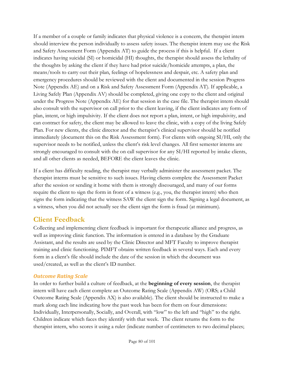If a member of a couple or family indicates that physical violence is a concern, the therapist intern should interview the person individually to assess safety issues. The therapist intern may use the Risk and Safety Assessment Form (Appendix AT) to guide the process if this is helpful. If a client indicates having suicidal (SI) or homicidal (HI) thoughts, the therapist should assess the lethality of the thoughts by asking the client if they have had prior suicide/homicide attempts, a plan, the means/tools to carry out their plan, feelings of hopelessness and despair, etc. A safety plan and emergency procedures should be reviewed with the client and documented in the session Progress Note (Appendix AE) and on a Risk and Safety Assessment Form (Appendix AT). If applicable, a Living Safely Plan (Appendix AV) should be completed, giving one copy to the client and original under the Progress Note (Appendix AE) for that session in the case file. The therapist intern should also consult with the supervisor on call prior to the client leaving, if the client indicates any form of plan, intent, or high impulsivity. If the client does not report a plan, intent, or high impulsivity, and can contract for safety, the client may be allowed to leave the clinic, with a copy of the living Safely Plan. For new clients, the clinic director and the therapist's clinical supervisor should be notified immediately (document this on the Risk Assessment form). For clients with ongoing SI/HI, only the supervisor needs to be notified, unless the client's risk level changes. All first semester interns are strongly encouraged to consult with the on call supervisor for any SI/HI reported by intake clients, and all other clients as needed, BEFORE the client leaves the clinic.

If a client has difficulty reading, the therapist may verbally administer the assessment packet. The therapist interns must be sensitive to such issues. Having clients complete the Assessment Packet after the session or sending it home with them is strongly discouraged, and many of our forms require the client to sign the form in front of a witness (e.g., you, the therapist intern) who then signs the form indicating that the witness SAW the client sign the form. Signing a legal document, as a witness, when you did not actually see the client sign the form is fraud (at minimum).

#### **Client Feedback**

Collecting and implementing client feedback is important for therapeutic alliance and progress, as well as improving clinic function. The information is entered in a database by the Graduate Assistant, and the results are used by the Clinic Director and MFT Faculty to improve therapist training and clinic functioning. PIMFT obtains written feedback in several ways. Each and every form in a client's file should include the date of the session in which the document was used/created, as well as the client's ID number.

#### *Outcome Rating Scale*

In order to further build a culture of feedback, at the **beginning of every session**, the therapist intern will have each client complete an Outcome Rating Scale (Appendix AW) (ORS; a Child Outcome Rating Scale (Appendix AX) is also available). The client should be instructed to make a mark along each line indicating how the past week has been for them on four dimensions: Individually, Interpersonally, Socially, and Overall, with "low" to the left and "high" to the right. Children indicate which faces they identify with that week. The client returns the form to the therapist intern, who scores it using a ruler (indicate number of centimeters to two decimal places;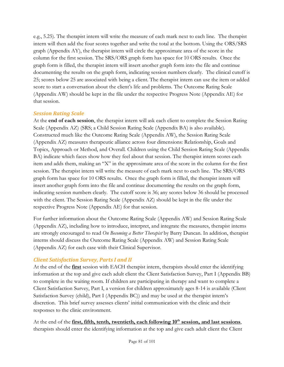e.g., 5.25). The therapist intern will write the measure of each mark next to each line. The therapist intern will then add the four scores together and write the total at the bottom. Using the ORS/SRS graph (Appendix AY), the therapist intern will circle the approximate area of the score in the column for the first session. The SRS/ORS graph form has space for 10 ORS results. Once the graph form is filled, the therapist intern will insert another graph form into the file and continue documenting the results on the graph form, indicating session numbers clearly. The clinical cutoff is 25; scores below 25 are associated with being a client. The therapist intern can use the item or added score to start a conversation about the client's life and problems. The Outcome Rating Scale (Appendix AW) should be kept in the file under the respective Progress Note (Appendix AE) for that session.

#### *Session Rating Scale*

At the **end of each session**, the therapist intern will ask each client to complete the Session Rating Scale (Appendix AZ) (SRS; a Child Session Rating Scale (Appendix BA) is also available). Constructed much like the Outcome Rating Scale (Appendix AW), the Session Rating Scale (Appendix AZ) measures therapeutic alliance across four dimensions: Relationship, Goals and Topics, Approach or Method, and Overall. Children using the Child Session Rating Scale (Appendix BA) indicate which faces show how they feel about that session. The therapist intern scores each item and adds them, making an "X" in the approximate area of the score in the column for the first session. The therapist intern will write the measure of each mark next to each line. The SRS/ORS graph form has space for 10 ORS results. Once the graph form is filled, the therapist intern will insert another graph form into the file and continue documenting the results on the graph form, indicating session numbers clearly. The cutoff score is 36; any scores below 36 should be processed with the client. The Session Rating Scale (Appendix AZ) should be kept in the file under the respective Progress Note (Appendix AE) for that session.

For further information about the Outcome Rating Scale (Appendix AW) and Session Rating Scale (Appendix AZ), including how to introduce, interpret, and integrate the measures, therapist interns are strongly encouraged to read *On Becoming a Better Therapist* by Barry Duncan. In addition, therapist interns should discuss the Outcome Rating Scale (Appendix AW) and Session Rating Scale (Appendix AZ) for each case with their Clinical Supervisor.

#### *Client Satisfaction Survey, Parts I and II*

At the end of the **first** session with EACH therapist intern, therapists should enter the identifying information at the top and give each adult client the Client Satisfaction Survey, Part I (Appendix BB) to complete in the waiting room. If children are participating in therapy and want to complete a Client Satisfaction Survey, Part I, a version for children approximately ages 8-14 is available (Client Satisfaction Survey (child), Part I (Appendix BC)) and may be used at the therapist intern's discretion. This brief survey assesses clients' initial communication with the clinic and their responses to the clinic environment.

At the end of the **first, fifth, tenth, twentieth, each following 10th session, and last sessions**, therapists should enter the identifying information at the top and give each adult client the Client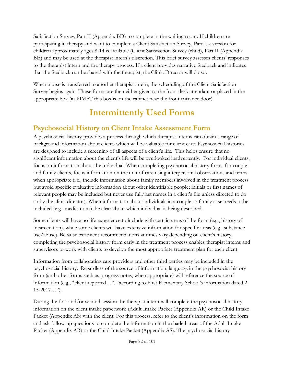Satisfaction Survey, Part II (Appendix BD) to complete in the waiting room. If children are participating in therapy and want to complete a Client Satisfaction Survey, Part I, a version for children approximately ages 8-14 is available (Client Satisfaction Survey (child), Part II (Appendix BE) and may be used at the therapist intern's discretion. This brief survey assesses clients' responses to the therapist intern and the therapy process. If a client provides narrative feedback and indicates that the feedback can be shared with the therapist, the Clinic Director will do so.

When a case is transferred to another therapist intern, the scheduling of the Client Satisfaction Survey begins again. These forms are then either given to the front desk attendant or placed in the appropriate box (in PIMFT this box is on the cabinet near the front entrance door).

# **Intermittently Used Forms**

## **Psychosocial History on Client Intake Assessment Form**

A psychosocial history provides a process through which therapist interns can obtain a range of background information about clients which will be valuable for client care. Psychosocial histories are designed to include a screening of all aspects of a client's life. This helps ensure that no significant information about the client's life will be overlooked inadvertently. For individual clients, focus on information about the individual. When completing psychosocial history forms for couple and family clients, focus information on the unit of care using interpersonal observations and terms when appropriate (i.e., include information about family members involved in the treatment process but avoid specific evaluative information about other identifiable people; initials or first names of relevant people may be included but never use full/last names in a client's file unless directed to do so by the clinic director). When information about individuals in a couple or family case needs to be included (e.g., medications), be clear about which individual is being described.

Some clients will have no life experience to include with certain areas of the form (e.g., history of incarceration), while some clients will have extensive information for specific areas (e.g., substance use/abuse). Because treatment recommendations at times vary depending on client's history, completing the psychosocial history form early in the treatment process enables therapist interns and supervisors to work with clients to develop the most appropriate treatment plan for each client.

Information from collaborating care providers and other third parties may be included in the psychosocial history. Regardless of the source of information, language in the psychosocial history form (and other forms such as progress notes, when appropriate) will reference the source of information (e.g., "client reported…", "according to First Elementary School's information dated 2-  $15-2017..."$ ).

During the first and/or second session the therapist intern will complete the psychosocial history information on the client intake paperwork (Adult Intake Packet (Appendix AR) or the Child Intake Packet (Appendix AS) with the client. For this process, refer to the client's information on the form and ask follow-up questions to complete the information in the shaded areas of the Adult Intake Packet (Appendix AR) or the Child Intake Packet (Appendix AS). The psychosocial history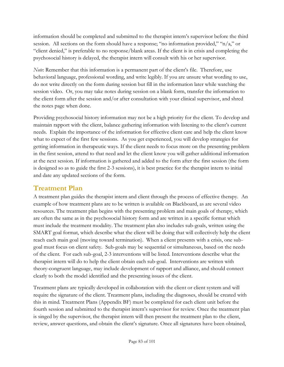information should be completed and submitted to the therapist intern's supervisor before the third session. All sections on the form should have a response; "no information provided," "n/a," or "client denied," is preferable to no response/blank areas. If the client is in crisis and completing the psychosocial history is delayed, the therapist intern will consult with his or her supervisor.

*Note*: Remember that this information is a permanent part of the client's file. Therefore, use behavioral language, professional wording, and write legibly. If you are unsure what wording to use, do not write directly on the form during session but fill in the information later while watching the session video. Or, you may take notes during session on a blank form, transfer the information to the client form after the session and/or after consultation with your clinical supervisor, and shred the notes page when done.

Providing psychosocial history information may not be a high priority for the client. To develop and maintain rapport with the client, balance gathering information with listening to the client's current needs. Explain the importance of the information for effective client care and help the client know what to expect of the first few sessions. As you get experienced, you will develop strategies for getting information in therapeutic ways. If the client needs to focus more on the presenting problem in the first session, attend to that need and let the client know you will gather additional information at the next session. If information is gathered and added to the form after the first session (the form is designed so as to guide the first 2-3 sessions), it is best practice for the therapist intern to initial and date any updated sections of the form.

## **Treatment Plan**

A treatment plan guides the therapist intern and client through the process of effective therapy. An example of how treatment plans are to be written is available on Blackboard, as are several video resources. The treatment plan begins with the presenting problem and main goals of therapy, which are often the same as in the psychosocial history form and are written in a specific format which must include the treatment modality. The treatment plan also includes sub-goals, written using the SMART goal format, which describe what the client will be doing that will collectively help the client reach each main goal (moving toward termination). When a client presents with a crisis, one subgoal must focus on client safety. Sub-goals may be sequential or simultaneous, based on the needs of the client. For each sub-goal, 2-3 interventions will be listed. Interventions describe what the therapist intern will do to help the client obtain each sub-goal. Interventions are written with theory-congruent language, may include development of rapport and alliance, and should connect clearly to both the model identified and the presenting issues of the client.

Treatment plans are typically developed in collaboration with the client or client system and will require the signature of the client. Treatment plans, including the diagnoses, should be created with this in mind. Treatment Plans (Appendix BF) must be completed for each client unit before the fourth session and submitted to the therapist intern's supervisor for review. Once the treatment plan is singed by the supervisor, the therapist intern will then present the treatment plan to the client, review, answer questions, and obtain the client's signature. Once all signatures have been obtained,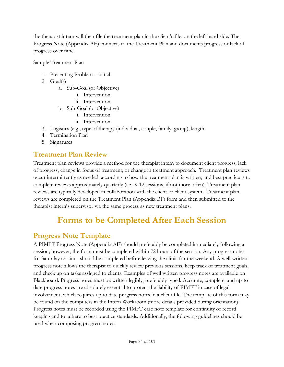the therapist intern will then file the treatment plan in the client's file, on the left hand side. The Progress Note (Appendix AE) connects to the Treatment Plan and documents progress or lack of progress over time.

Sample Treatment Plan

- 1. Presenting Problem initial
- 2. Goal(s)
	- a. Sub-Goal (or Objective)
		- i. Intervention
		- ii. Intervention
	- b. Sub-Goal (or Objective)
		- i. Intervention
		- ii. Intervention
- 3. Logistics (e.g., type of therapy (individual, couple, family, group), length
- 4. Termination Plan
- 5. Signatures

#### **Treatment Plan Review**

Treatment plan reviews provide a method for the therapist intern to document client progress, lack of progress, change in focus of treatment, or change in treatment approach. Treatment plan reviews occur intermittently as needed, according to how the treatment plan is written, and best practice is to complete reviews approximately quarterly (i.e., 9-12 sessions, if not more often). Treatment plan reviews are typically developed in collaboration with the client or client system. Treatment plan reviews are completed on the Treatment Plan (Appendix BF) form and then submitted to the therapist intern's supervisor via the same process as new treatment plans.

# **Forms to be Completed After Each Session**

#### **Progress Note Template**

A PIMFT Progress Note (Appendix AE) should preferably be completed immediately following a session; however, the form must be completed within 72 hours of the session. Any progress notes for Saturday sessions should be completed before leaving the clinic for the weekend. A well-written progress note allows the therapist to quickly review previous sessions, keep track of treatment goals, and check up on tasks assigned to clients. Examples of well written progress notes are available on Blackboard. Progress notes must be written legibly, preferably typed. Accurate, complete, and up-todate progress notes are absolutely essential to protect the liability of PIMFT in case of legal involvement, which requires up to date progress notes in a client file. The template of this form may be found on the computers in the Intern Workroom (more details provided during orientation). Progress notes must be recorded using the PIMFT case note template for continuity of record keeping and to adhere to best practice standards. Additionally, the following guidelines should be used when composing progress notes: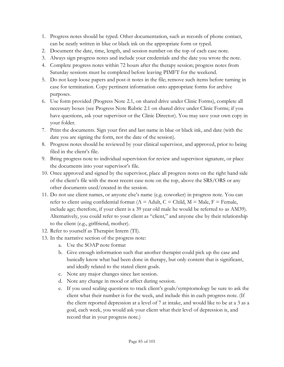- 1. Progress notes should be typed. Other documentation, such as records of phone contact, can be neatly written in blue or black ink on the appropriate form or typed.
- 2. Document the date, time, length, and session number on the top of each case note.
- 3. Always sign progress notes and include your credentials and the date you wrote the note.
- 4. Complete progress notes within 72 hours after the therapy session; progress notes from Saturday sessions must be completed before leaving PIMFT for the weekend.
- 5. Do not keep loose papers and post-it notes in the file; remove such items before turning in case for termination. Copy pertinent information onto appropriate forms for archive purposes.
- 6. Use form provided (Progress Note 2.1, on shared drive under Clinic Forms), complete all necessary boxes (see Progress Note Rubric 2.1 on shared drive under Clinic Forms; if you have questions, ask your supervisor or the Clinic Director). You may save your own copy in your folder.
- 7. Print the documents. Sign your first and last name in blue or black ink, and date (with the date you are signing the form, not the date of the session).
- 8. Progress notes should be reviewed by your clinical supervisor, and approved, prior to being filed in the client's file.
- 9. Bring progress note to individual supervision for review and supervisor signature, or place the documents into your supervisor's file.
- 10. Once approved and signed by the supervisor, place all progress notes on the right hand side of the client's file with the most recent case note on the top, above the SRS/ORS or any other documents used/created in the session.
- 11. Do not use client names, or anyone else's name (e.g. coworker) in progress note. You can refer to client using confidential format ( $A =$  Adult,  $C =$  Child,  $M =$  Male,  $F =$  Female, include age; therefore, if your client is a 39 year old male he would be referred to as AM39). Alternatively, you could refer to your client as "client," and anyone else by their relationship to the client (e.g., girlfriend, mother).
- 12. Refer to yourself as Therapist Intern (TI).
- 13. In the narrative section of the progress note:
	- a. Use the SOAP note format
	- b. Give enough information such that another therapist could pick up the case and basically know what had been done in therapy, but only content that is significant, and ideally related to the stated client goals.
	- c. Note any major changes since last session.
	- d. Note any change in mood or affect during session.
	- e. If you used scaling questions to track client's goals/symptomology be sure to ask the client what their number is for the week, and include this in each progress note. (If the client reported depression at a level of 7 at intake, and would like to be at a 3 as a goal, each week, you would ask your client what their level of depression is, and record that in your progress note.)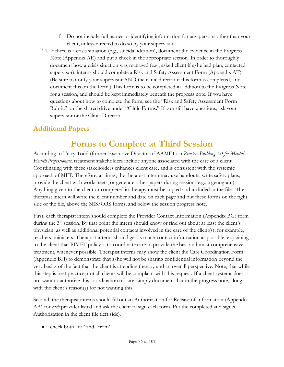- f. Do not include full names or identifying information for any persons other than your client, unless directed to do so by your supervisor
- 14. If there is a crisis situation (e.g., suicidal ideation), document the evidence in the Progress Note (Appendix AE) and put a check in the appropriate section. In order to thoroughly document how a crisis situation was managed (e.g., asked client if s/he had plan, contacted supervisor), interns should complete a Risk and Safety Assessment Form (Appendix AT). (Be sure to notify your supervisor AND the clinic director if this form is completed, and document this on the form.) This form is to be completed in addition to the Progress Note for a session, and should be kept immediately beneath the progress note. If you have questions about how to complete the form, see the "Risk and Safety Assessment Form Rubric" on the shared drive under "Clinic Forms." If you still have questions, ask your supervisor or the Clinic Director.

## **Additional Papers**

# **Forms to Complete at Third Session**

According to Tracy Todd (former Executive Director of AAMFT) in *Practice Building 2.0 for Mental Health Professionals*, treatment stakeholders include anyone associated with the care of a client. Coordinating with these stakeholders enhances client care, and is consistent with the systemic approach of MFT. Therefore, at times, the therapist intern may use handouts, write safety plans, provide the client with worksheets, or generate other papers during session (e.g., a genogram). Anything given to the client or completed in therapy must be copied and included in the file. The therapist intern will write the client number and date on each page and put these forms on the right side of the file, above the SRS/ORS forms, and below the session progress note.

First, each therapist intern should complete the Provider Contact Information (Appendix BG) form during the  $3<sup>rd</sup>$  session. By that point the intern should know or find out about at least the client's physician, as well as additional potential contacts involved in the care of the client(s); for example, teachers, ministers. Therapist interns should get as much contact information as possible, explaining to the client that PIMFT policy is to coordinate care to provide the best and most comprehensive treatment, whenever possible. Therapist interns may show the client the Care Coordination Form (Appendix BH) to demonstrate that s/he will not be sharing confidential information beyond the very basics of the fact that the client is attending therapy and an overall perspective. Note, that while this step is best practice, not all clients will be complaint with this request. If a client systems does not want to authorize this coordination of care, simply document that in the progress note, along with the client's reason(s) for not wanting this.

Second, the therapist interns should fill out an Authorization for Release of Information (Appendix AA) for *each* provider listed and ask the client to sign each form. Put the completed and signed Authorization in the client file (left side).

• check both "to" and "from"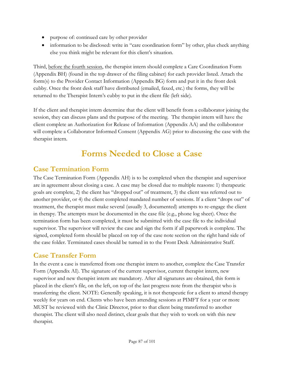- purpose of: continued care by other provider
- information to be disclosed: write in "care coordination form" by other, plus check anything else you think might be relevant for this client's situation.

Third, before the fourth session, the therapist intern should complete a Care Coordination Form (Appendix BH) (found in the top drawer of the filing cabinet) for each provider listed. Attach the form(s) to the Provider Contact Information (Appendix BG) form and put it in the front desk cubby. Once the front desk staff have distributed (emailed, faxed, etc.) the forms, they will be returned to the Therapist Intern's cubby to put in the client file (left side).

If the client and therapist intern determine that the client will benefit from a collaborator joining the session, they can discuss plans and the purpose of the meeting. The therapist intern will have the client complete an Authorization for Release of Information (Appendix AA) and the collaborator will complete a Collaborator Informed Consent (Appendix AG) prior to discussing the case with the therapist intern.

# **Forms Needed to Close a Case**

#### **Case Termination Form**

The Case Termination Form (Appendix AH) is to be completed when the therapist and supervisor are in agreement about closing a case. A case may be closed due to multiple reasons: 1) therapeutic goals are complete, 2) the client has "dropped out" of treatment, 3) the client was referred out to another provider, or 4) the client completed mandated number of sessions. If a client "drops out" of treatment, the therapist must make several (usually 3, documented) attempts to re-engage the client in therapy. The attempts must be documented in the case file (e.g., phone log sheet). Once the termination form has been completed, it must be submitted with the case file to the individual supervisor. The supervisor will review the case and sign the form if all paperwork is complete. The signed, completed form should be placed on top of the case note section on the right hand side of the case folder. Terminated cases should be turned in to the Front Desk Administrative Staff.

#### **Case Transfer Form**

In the event a case is transferred from one therapist intern to another, complete the Case Transfer Form (Appendix AI). The signature of the current supervisor, current therapist intern, new supervisor and new therapist intern are mandatory. After all signatures are obtained, this form is placed in the client's file, on the left, on top of the last progress note from the therapist who is transferring the client. NOTE: Generally speaking, it is not therapeutic for a client to attend therapy weekly for years on end. Clients who have been attending sessions at PIMFT for a year or more MUST be reviewed with the Clinic Director, prior to that client being transferred to another therapist. The client will also need distinct, clear goals that they wish to work on with this new therapist.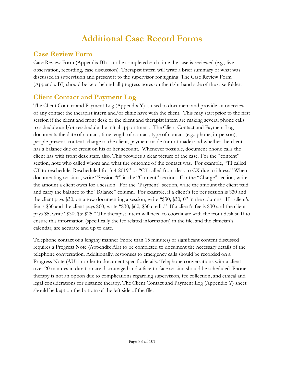# **Additional Case Record Forms**

#### **Case Review Form**

Case Review Form (Appendix BI) is to be completed each time the case is reviewed (e.g., live observation, recording, case discussion). Therapist intern will write a brief summary of what was discussed in supervision and present it to the supervisor for signing. The Case Review Form (Appendix BI) should be kept behind all progress notes on the right hand side of the case folder.

## **Client Contact and Payment Log**

The Client Contact and Payment Log (Appendix Y) is used to document and provide an overview of any contact the therapist intern and/or clinic have with the client. This may start prior to the first session if the client and front desk or the client and therapist intern are making several phone calls to schedule and/or reschedule the initial appointment. The Client Contact and Payment Log documents the date of contact, time length of contact, type of contact (e.g., phone, in-person), people present, content, charge to the client, payment made (or not made) and whether the client has a balance due or credit on his or her account. Whenever possible, document phone calls the client has with front desk staff, also. This provides a clear picture of the case. For the "content" section, note who called whom and what the outcome of the contact was. For example, "TI called CT to reschedule. Rescheduled for 3-4-2019" or "CT called front desk to CX due to illness." When documenting sessions, write "Session #" in the "Content" section. For the "Charge" section, write the amount a client owes for a session. For the "Payment" section, write the amount the client paid and carry the balance to the "Balance" column. For example, if a client's fee per session is \$30 and the client pays \$30, on a row documenting a session, write "\$30; \$30; 0" in the columns. If a client's fee is \$30 and the client pays \$60, write "\$30; \$60; \$30 credit." If a client's fee is \$30 and the client pays \$5, write "\$30; \$5; \$25." The therapist intern will need to coordinate with the front desk staff to ensure this information (specifically the fee related information) in the file, and the clinician's calendar, are accurate and up to date.

Telephone contact of a lengthy manner (more than 15 minutes) or significant content discussed requires a Progress Note (Appendix AE) to be completed to document the necessary details of the telephone conversation. Additionally, responses to emergency calls should be recorded on a Progress Note (AU) in order to document specific details. Telephone conversations with a client over 20 minutes in duration are discouraged and a face-to-face session should be scheduled. Phone therapy is not an option due to complications regarding supervision, fee collection, and ethical and legal considerations for distance therapy. The Client Contact and Payment Log (Appendix Y) sheet should be kept on the bottom of the left side of the file.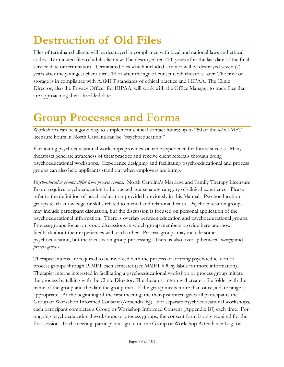# **Destruction of Old Files**

Files of terminated clients will be destroyed in compliance with local and national laws and ethical codes. Terminated files of adult clients will be destroyed ten (10) years after the last date of the final service date or termination. Terminated files which included a minor will be destroyed seven (7) years after the youngest client turns 18 or after the age of consent, whichever is later. The time of storage is in compliance with AAMFT standards of ethical practice and HIPAA. The Clinic Director, also the Privacy Officer for HIPAA, will work with the Office Manager to track files that are approaching their shredded date.

# **Group Processes and Forms**

Workshops can be a good way to supplement clinical contact hours; up to 250 of the *total* LMFT licensure hours in North Carolina can be "psychoeducation."

Facilitating psychoeducational workshops provides valuable experience for future success. Many therapists generate awareness of their practice and receive client referrals through doing psychoeducational workshops. Experience designing and facilitating psychoeducational and process groups can also help applicants stand out when employers are hiring.

*Psychoeducation groups differ from process groups.* North Carolina's Marriage and Family Therapy Licensure Board requires psychoeducation to be tracked as a separate category of clinical experience. Please refer to the definition of psychoeducation provided previously in this Manual. Psychoeducation groups teach knowledge or skills related to mental and relational health. Psychoeducation groups may include participant discussion, but the discussion is focused on personal application of the psychoeducational information. There is overlap between education and psychoeducational groups. Process groups focus on group discussions in which group members provide here-and-now feedback about their experiences with each other. Process groups may include some psychoeducation, but the focus is on group processing. There is also overlap between *therapy* and *process groups*.

Therapist interns are required to be involved with the process of offering psychoeducation or process groups through PIMFT each semester (see MMFT 690 syllabus for more information). Therapist interns interested in facilitating a psychoeducational workshop or process group initiate the process by talking with the Clinic Director. The therapist intern will create a file folder with the name of the group and the date the group met. If the group meets more than once, a date range is appropriate. At the beginning of the first meeting, the therapist intern gives all participants the Group or Workshop Informed Consent (Appendix BJ). For separate psychoeducational workshops, each participant completes a Group or Workshop Informed Consent (Appendix BJ) each time. For ongoing psychoeducational workshops or process groups, the consent form is only required for the first session. Each meeting, participants sign in on the Group or Workshop Attendance Log for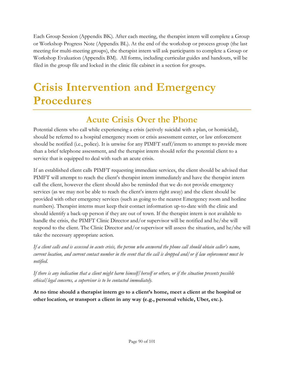Each Group Session (Appendix BK). After each meeting, the therapist intern will complete a Group or Workshop Progress Note (Appendix BL). At the end of the workshop or process group (the last meeting for multi-meeting groups), the therapist intern will ask participants to complete a Group or Workshop Evaluation (Appendix BM). All forms, including curricular guides and handouts, will be filed in the group file and locked in the clinic file cabinet in a section for groups.

# **Crisis Intervention and Emergency Procedures**

## **Acute Crisis Over the Phone**

Potential clients who call while experiencing a crisis (actively suicidal with a plan, or homicidal), should be referred to a hospital emergency room or crisis assessment center, or law enforcement should be notified (i.e., police). It is unwise for any PIMFT staff/intern to attempt to provide more than a brief telephone assessment, and the therapist intern should refer the potential client to a service that is equipped to deal with such an acute crisis.

If an established client calls PIMFT requesting immediate services, the client should be advised that PIMFT will attempt to reach the client's therapist intern immediately and have the therapist intern call the client, however the client should also be reminded that we do not provide emergency services (as we may not be able to reach the client's intern right away) and the client should be provided with other emergency services (such as going to the nearest Emergency room and hotline numbers). Therapist interns must keep their contact information up-to-date with the clinic and should identify a back-up person if they are out of town. If the therapist intern is not available to handle the crisis, the PIMFT Clinic Director and/or supervisor will be notified and he/she will respond to the client. The Clinic Director and/or supervisor will assess the situation, and he/she will take the necessary appropriate action.

*If a client calls and is assessed in acute crisis, the person who answered the phone call should obtain caller's name, current location, and current contact number in the event that the call is dropped and/or if law enforcement must be notified.*

*If there is any indication that a client might harm himself/herself or others, or if the situation presents possible ethical/legal concerns, a supervisor is to be contacted immediately.*

**At no time should a therapist intern go to a client's home, meet a client at the hospital or other location, or transport a client in any way (e.g., personal vehicle, Uber, etc.).**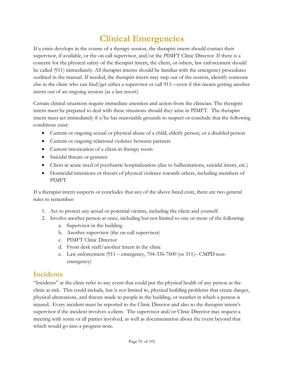# **Clinical Emergencies**

If a crisis develops in the course of a therapy session, the therapist intern should contact their supervisor, if available, or the on call supervisor, and/or the PIMFT Clinic Director. If there is a concern for the physical safety of the therapist intern, the client, or others, law enforcement should be called (911) immediately. All therapist interns should be familiar with the emergency procedures outlined in the manual. If needed, the therapist intern may step out of the session, identify someone else in the clinic who can find/get either a supervisor or call 911—even if this means getting another intern out of an ongoing session (as a last resort).

Certain clinical situations require immediate attention and action from the clinician. The therapist intern must be prepared to deal with these situations should they arise in PIMFT. The therapist intern must act immediately if s/he has reasonable grounds to suspect or conclude that the following conditions exist:

- Current or ongoing sexual or physical abuse of a child, elderly person, or a disabled person
- Current or ongoing relational violence between partners
- Current intoxication of a client in therapy room
- Suicidal threats or gestures
- Client in acute need of psychiatric hospitalization (due to hallucinations, suicidal intent, etc.)
- Homicidal intentions or threats of physical violence towards others, including members of PIMFT

If a therapist intern suspects or concludes that any of the above listed exist, there are two general rules to remember:

- 1. Act to protect any actual or potential victims, including the client and yourself.
- 2. Involve another person at once, including but not limited to one or more of the following:
	- a. Supervisor in the building
	- b. Another supervisor (the on-call supervisor)
	- c. PIMFT Clinic Director
	- d. Front desk staff/another intern in the clinic
	- e. Law enforcement (911 emergency, 704-336-7600 (or 311)– CMPD nonemergency)

#### **Incidents**

"Incidents" at the clinic refer to any event that could put the physical health of any person at the clinic at risk. This could include, but is not limited to, physical building problems that create danger, physical altercations, and threats made to people in the building, or weather in which a person is injured. Every incident must be reported to the Clinic Director and also to the therapist intern's supervisor if the incident involves a client. The supervisor and/or Clinic Director may request a meeting with some or all parties involved, as well as documentation about the event beyond that which would go into a progress note.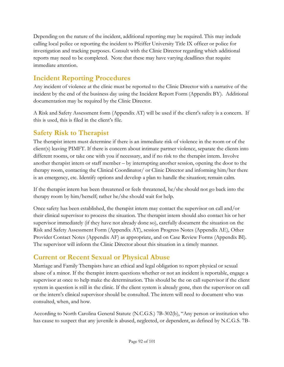Depending on the nature of the incident, additional reporting may be required. This may include calling local police or reporting the incident to Pfeiffer University Title IX officer or police for investigation and tracking purposes. Consult with the Clinic Director regarding which additional reports may need to be completed. Note that these may have varying deadlines that require immediate attention.

## **Incident Reporting Procedures**

Any incident of violence at the clinic must be reported to the Clinic Director with a narrative of the incident by the end of the business day using the Incident Report Form (Appendix BY). Additional documentation may be required by the Clinic Director.

A Risk and Safety Assessment form (Appendix AT) will be used if the client's safety is a concern. If this is used, this is filed in the client's file.

#### **Safety Risk to Therapist**

The therapist intern must determine if there is an immediate risk of violence in the room or of the client(s) leaving PIMFT. If there is concern about intimate partner violence, separate the clients into different rooms, or take one with you if necessary, and if no risk to the therapist intern. Involve another therapist intern or staff member – by interrupting another session, opening the door to the therapy room, contacting the Clinical Coordinator/ or Clinic Director and informing him/her there is an emergency, etc. Identify options and develop a plan to handle the situation; remain calm.

If the therapist intern has been threatened or feels threatened, he/she should not go back into the therapy room by him/herself; rather he/she should wait for help.

Once safety has been established, the therapist intern may contact the supervisor on call and/or their clinical supervisor to process the situation. The therapist intern should also contact his or her supervisor immediately (if they have not already done so), carefully document the situation on the Risk and Safety Assessment Form (Appendix AT), session Progress Notes (Appendix AE), Other Provider Contact Notes (Appendix AF) as appropriate, and on Case Review Forms (Appendix BI). The supervisor will inform the Clinic Director about this situation in a timely manner.

#### **Current or Recent Sexual or Physical Abuse**

Marriage and Family Therapists have an ethical and legal obligation to report physical or sexual abuse of a minor. If the therapist intern questions whether or not an incident is reportable, engage a supervisor at once to help make the determination. This should be the on call supervisor if the client system in question is still in the clinic. If the client system is already gone, then the supervisor on call or the intern's clinical supervisor should be consulted. The intern will need to document who was consulted, when, and how.

According to North Carolina General Statute (N.C.G.S.) 7B-302(b), "Any person or institution who has cause to suspect that any juvenile is abused, neglected, or dependent, as defined by N.C.G.S. 7B-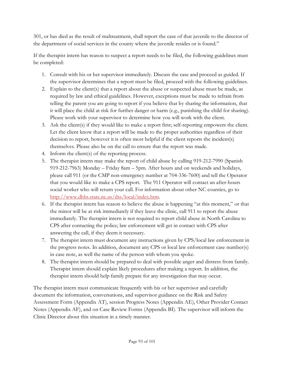301, or has died as the result of maltreatment, shall report the case of that juvenile to the director of the department of social services in the county where the juvenile resides or is found."

If the therapist intern has reason to suspect a report needs to be filed, the following guidelines must be completed:

- 1. Consult with his or her supervisor immediately. Discuss the case and proceed as guided. If the supervisor determines that a report must be filed, proceed with the following guidelines.
- 2. Explain to the client(s) that a report about the abuse or suspected abuse must be made, as required by law and ethical guidelines. However, exceptions must be made to refrain from telling the parent you are going to report if you believe that by sharing the information, that it will place the child at risk for further danger or harm (e.g., punishing the child for sharing). Please work with your supervisor to determine how you will work with the client.
- 3. Ask the client(s) if they would like to make a report first; self-reporting empowers the client. Let the client know that a report will be made to the proper authorities regardless of their decision to report, however it is often most helpful if the client reports the incident(s) themselves. Please also be on the call to ensure that the report was made.
- 4. Inform the client(s) of the reporting process.
- 5. The therapist intern may make the report of child abuse by calling 919-212-7990 (Spanish 919-212-7963) Monday – Friday 8am – 5pm. After hours and on weekends and holidays, please call 911 (or the CMP non-emergency number at 704-336-7600) and tell the Operator that you would like to make a CPS report. The 911 Operator will contact an after-hours social worker who will return your call. For information about other NC counties, go to [http://www.dhhs.state.nc.us/dss/local/index.htm.](http://www.dhhs.state.nc.us/dss/local/index.htm)
- 6. If the therapist intern has reason to believe the abuse is happening "at this moment," or that the minor will be at risk immediately if they leave the clinic, call 911 to report the abuse immediately. The therapist intern is not required to report child abuse in North Carolina to CPS after contacting the police; law enforcement will get in contact with CPS after answering the call, if they deem it necessary.
- 7. The therapist intern must document any instructions given by CPS/local law enforcement in the progress notes. In addition, document any CPS or local law enforcement case number(s) in case note, as well the name of the person with whom you spoke.
- 8. The therapist intern should be prepared to deal with possible anger and distress from family. Therapist intern should explain likely procedures after making a report. In addition, the therapist intern should help family prepare for any investigation that may occur.

The therapist intern must communicate frequently with his or her supervisor and carefully document the information, conversations, and supervisor guidance on the Risk and Safety Assessment Form (Appendix AT), session Progress Notes (Appendix AE), Other Provider Contact Notes (Appendix AF), and on Case Review Forms (Appendix BI). The supervisor will inform the Clinic Director about this situation in a timely manner.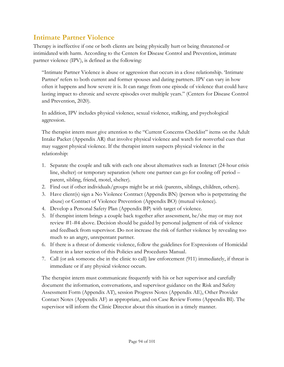#### **Intimate Partner Violence**

Therapy is ineffective if one or both clients are being physically hurt or being threatened or intimidated with harm. According to the Centers for Disease Control and Prevention, intimate partner violence (IPV), is defined as the following:

"Intimate Partner Violence is abuse or aggression that occurs in a close relationship. 'Intimate Partner' refers to both current and former spouses and dating partners. IPV can vary in how often it happens and how severe it is. It can range from one episode of violence that could have lasting impact to chronic and severe episodes over multiple years." (Centers for Disease Control and Prevention, 2020).

In addition, IPV includes physical violence, sexual violence, stalking, and psychological aggression.

The therapist intern must give attention to the "Current Concerns Checklist" items on the Adult Intake Packet (Appendix AR) that involve physical violence and watch for nonverbal cues that may suggest physical violence. If the therapist intern suspects physical violence in the relationship:

- 1. Separate the couple and talk with each one about alternatives such as Interact (24-hour crisis line, shelter) or temporary separation (where one partner can go for cooling off period – parent, sibling, friend, motel, shelter).
- 2. Find out if other individuals/groups might be at risk (parents, siblings, children, others).
- 3. Have client(s) sign a No Violence Contract (Appendix BN) (person who is perpetrating the abuse) or Contract of Violence Prevention (Appendix BO) (mutual violence).
- 4. Develop a Personal Safety Plan (Appendix BP) with target of violence.
- 5. If therapist intern brings a couple back together after assessment, he/she may or may not review #1-#4 above. Decision should be guided by personal judgment of risk of violence and feedback from supervisor. Do not increase the risk of further violence by revealing too much to an angry, unrepentant partner.
- 6. If there is a threat of domestic violence, follow the guidelines for Expressions of Homicidal Intent in a later section of this Policies and Procedures Manual.
- 7. Call (or ask someone else in the clinic to call) law enforcement (911) immediately, if threat is immediate or if any physical violence occurs.

The therapist intern must communicate frequently with his or her supervisor and carefully document the information, conversations, and supervisor guidance on the Risk and Safety Assessment Form (Appendix AT), session Progress Notes (Appendix AE), Other Provider Contact Notes (Appendix AF) as appropriate, and on Case Review Forms (Appendix BI). The supervisor will inform the Clinic Director about this situation in a timely manner.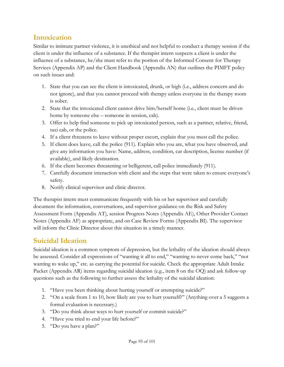#### **Intoxication**

Similar to intimate partner violence, it is unethical and not helpful to conduct a therapy session if the client is under the influence of a substance. If the therapist intern suspects a client is under the influence of a substance, he/she must refer to the portion of the Informed Consent for Therapy Services (Appendix AP) and the Client Handbook (Appendix AN) that outlines the PIMFT policy on such issues and:

- 1. State that you can see the client is intoxicated, drunk, or high (i.e., address concern and do not ignore), and that you cannot proceed with therapy unless everyone in the therapy room is sober.
- 2. State that the intoxicated client cannot drive him/herself home (i.e., client must be driven home by someone else – someone in session, cab).
- 3. Offer to help find someone to pick up intoxicated person, such as a partner, relative, friend, taxi cab, or the police.
- 4. If a client threatens to leave without proper escort, explain that you must call the police.
- 5. If client does leave, call the police (911). Explain who you are, what you have observed, and give any information you have: Name, address, condition, car description, license number (if available), and likely destination.
- 6. If the client becomes threatening or belligerent, call police immediately (911).
- 7. Carefully document interaction with client and the steps that were taken to ensure everyone's safety.
- 8. Notify clinical supervisor and clinic director.

The therapist intern must communicate frequently with his or her supervisor and carefully document the information, conversations, and supervisor guidance on the Risk and Safety Assessment Form (Appendix AT), session Progress Notes (Appendix AE), Other Provider Contact Notes (Appendix AF) as appropriate, and on Case Review Forms (Appendix BI). The supervisor will inform the Clinic Director about this situation in a timely manner.

#### **Suicidal Ideation**

Suicidal ideation is a common symptom of depression, but the lethality of the ideation should always be assessed. Consider all expressions of "wanting it all to end," "wanting to never come back," "not wanting to wake up," etc. as carrying the potential for suicide. Check the appropriate Adult Intake Packet (Appendix AR) items regarding suicidal ideation (e.g., item 8 on the OQ) and ask follow-up questions such as the following to further assess the lethality of the suicidal ideation:

- 1. "Have you been thinking about hurting yourself or attempting suicide?"
- 2. "On a scale from 1 to 10, how likely are you to hurt yourself?" (Anything over a 5 suggests a formal evaluation is necessary.)
- 3. "Do you think about ways to hurt yourself or commit suicide?"
- 4. "Have you tried to end your life before?"
- 5. "Do you have a plan?"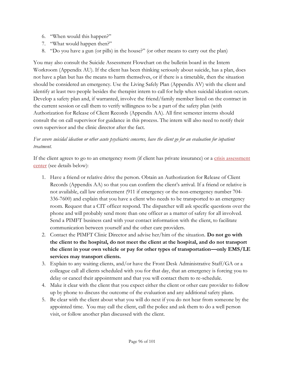- 6. "When would this happen?"
- 7. "What would happen then?"
- 8. "Do you have a gun (or pills) in the house?" (or other means to carry out the plan)

You may also consult the Suicide Assessment Flowchart on the bulletin board in the Intern Workroom (Appendix AU). If the client has been thinking seriously about suicide, has a plan, does not have a plan but has the means to harm themselves, or if there is a timetable, then the situation should be considered an emergency. Use the Living Safely Plan (Appendix AV) with the client and identify at least two people besides the therapist intern to call for help when suicidal ideation occurs. Develop a safety plan and, if warranted, involve the friend/family member listed on the contract in the current session or call them to verify willingness to be a part of the safety plan (with Authorization for Release of Client Records (Appendix AA). All first semester interns should consult the on call supervisor for guidance in this process. The intern will also need to notify their own supervisor and the clinic director after the fact.

#### *For severe suicidal ideation or other acute psychiatric concerns, have the client go for an evaluation for inpatient treatment.*

If the client agrees to go to an emergency room (if client has private insurance) or a [crisis assessment](#page-96-0)  [center](#page-96-0) (see details below):

- 1. Have a friend or relative drive the person. Obtain an Authorization for Release of Client Records (Appendix AA) so that you can confirm the client's arrival. If a friend or relative is not available, call law enforcement (911 if emergency or the non-emergency number 704- 336-7600) and explain that you have a client who needs to be transported to an emergency room. Request that a CIT officer respond. The dispatcher will ask specific questions over the phone and will probably send more than one officer as a matter of safety for all involved. Send a PIMFT business card with your contact information with the client, to facilitate communication between yourself and the other care providers.
- 2. Contact the PIMFT Clinic Director and advise her/him of the situation. **Do not go with the client to the hospital, do not meet the client at the hospital, and do not transport the client in your own vehicle or pay for other types of transportation—only EMS/LE services may transport clients.**
- 3. Explain to any waiting clients, and/or have the Front Desk Administrative Staff/GA or a colleague call all clients scheduled with you for that day, that an emergency is forcing you to delay or cancel their appointment and that you will contact them to re-schedule.
- 4. Make it clear with the client that you expect either the client or other care provider to follow up by phone to discuss the outcome of the evaluation and any additional safety plans.
- 5. Be clear with the client about what you will do next if you do not hear from someone by the appointed time. You may call the client, call the police and ask them to do a well person visit, or follow another plan discussed with the client.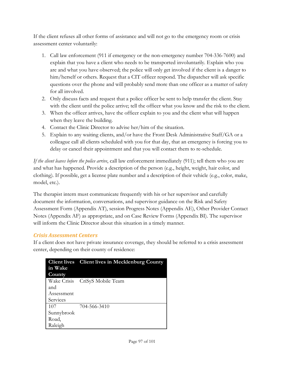If the client refuses all other forms of assistance and will not go to the emergency room or crisis assessment center voluntarily:

- 1. Call law enforcement (911 if emergency or the non-emergency number 704-336-7600) and explain that you have a client who needs to be transported involuntarily. Explain who you are and what you have observed; the police will only get involved if the client is a danger to him/herself or others. Request that a CIT officer respond. The dispatcher will ask specific questions over the phone and will probably send more than one officer as a matter of safety for all involved.
- 2. Only discuss facts and request that a police officer be sent to help transfer the client. Stay with the client until the police arrive; tell the officer what you know and the risk to the client.
- 3. When the officer arrives, have the officer explain to you and the client what will happen when they leave the building.
- 4. Contact the Clinic Director to advise her/him of the situation.
- 5. Explain to any waiting clients, and/or have the Front Desk Administrative Staff/GA or a colleague call all clients scheduled with you for that day, that an emergency is forcing you to delay or cancel their appointment and that you will contact them to re-schedule.

*If the client leaves before the police arrive*, call law enforcement immediately (911); tell them who you are and what has happened. Provide a description of the person (e.g., height, weight, hair color, and clothing). If possible, get a license plate number and a description of their vehicle (e.g., color, make, model, etc.).

The therapist intern must communicate frequently with his or her supervisor and carefully document the information, conversations, and supervisor guidance on the Risk and Safety Assessment Form (Appendix AT), session Progress Notes (Appendix AE), Other Provider Contact Notes (Appendix AF) as appropriate, and on Case Review Forms (Appendix BI). The supervisor will inform the Clinic Director about this situation in a timely manner.

#### *Crisis Assessment Centers*

If a client does not have private insurance coverage, they should be referred to a crisis assessment center, depending on their county of residence:

<span id="page-96-0"></span>

| in Wake    | <b>Client lives</b> Client lives in Mecklenburg County |
|------------|--------------------------------------------------------|
| County     |                                                        |
|            | Wake Crisis CriSyS Mobile Team                         |
| and        |                                                        |
| Assessment |                                                        |
| Services   |                                                        |
| 107        | 704-566-3410                                           |
| Sunnybrook |                                                        |
| Road,      |                                                        |
| Raleigh    |                                                        |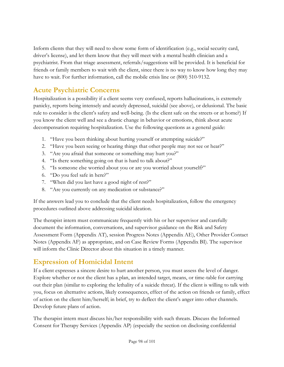Inform clients that they will need to show some form of identification (e.g., social security card, driver's license), and let them know that they will meet with a mental health clinician and a psychiatrist. From that triage assessment, referrals/suggestions will be provided. It is beneficial for friends or family members to wait with the client, since there is no way to know how long they may have to wait. For further information, call the mobile crisis line or  $(800)$  510-9132.

## **Acute Psychiatric Concerns**

Hospitalization is a possibility if a client seems very confused, reports hallucinations, is extremely panicky, reports being intensely and acutely depressed, suicidal (see above), or delusional. The basic rule to consider is the client's safety and well-being. (Is the client safe on the streets or at home?) If you know the client well and see a drastic change in behavior or emotions, think about acute decompensation requiring hospitalization. Use the following questions as a general guide:

- 1. "Have you been thinking about hurting yourself or attempting suicide?"
- 2. "Have you been seeing or hearing things that other people may not see or hear?"
- 3. "Are you afraid that someone or something may hurt you?"
- 4. "Is there something going on that is hard to talk about?"
- 5. "Is someone else worried about you or are you worried about yourself?"
- 6. "Do you feel safe in here?"
- 7. "When did you last have a good night of rest?"
- 8. "Are you currently on any medication or substance?"

If the answers lead you to conclude that the client needs hospitalization, follow the emergency procedures outlined above addressing suicidal ideation.

The therapist intern must communicate frequently with his or her supervisor and carefully document the information, conversations, and supervisor guidance on the Risk and Safety Assessment Form (Appendix AT), session Progress Notes (Appendix AE), Other Provider Contact Notes (Appendix AF) as appropriate, and on Case Review Forms (Appendix BI). The supervisor will inform the Clinic Director about this situation in a timely manner.

## **Expression of Homicidal Intent**

If a client expresses a sincere desire to hurt another person, you must assess the level of danger. Explore whether or not the client has a plan, an intended target, means, or time-table for carrying out their plan (similar to exploring the lethality of a suicide threat). If the client is willing to talk with you, focus on alternative actions, likely consequences, effect of the action on friends or family, effect of action on the client him/herself; in brief, try to deflect the client's anger into other channels. Develop future plans of action.

The therapist intern must discuss his/her responsibility with such threats. Discuss the Informed Consent for Therapy Services (Appendix AP) (especially the section on disclosing confidential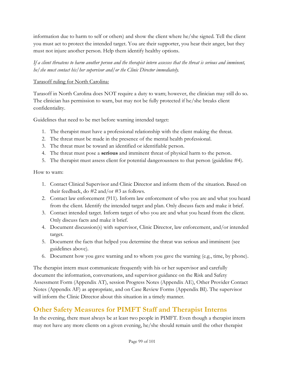information due to harm to self or others) and show the client where he/she signed. Tell the client you must act to protect the intended target. You are their supporter, you hear their anger, but they must not injure another person. Help them identify healthy options.

*If a client threatens to harm another person and the therapist intern assesses that the threat is serious and imminent, he/she must contact his/her supervisor and/or the Clinic Director immediately.*

#### Tarasoff ruling for North Carolina:

Tarasoff in North Carolina does NOT require a duty to warn; however, the clinician may still do so. The clinician has permission to warn, but may not be fully protected if he/she breaks client confidentiality.

Guidelines that need to be met before warning intended target:

- 1. The therapist must have a professional relationship with the client making the threat.
- 2. The threat must be made in the presence of the mental health professional.
- 3. The threat must be toward an identified or identifiable person.
- 4. The threat must pose a **serious** and imminent threat of physical harm to the person.
- 5. The therapist must assess client for potential dangerousness to that person (guideline #4).

How to warn:

- 1. Contact Clinical Supervisor and Clinic Director and inform them of the situation. Based on their feedback, do #2 and/or #3 as follows.
- 2. Contact law enforcement (911). Inform law enforcement of who you are and what you heard from the client. Identify the intended target and plan. Only discuss facts and make it brief.
- 3. Contact intended target. Inform target of who you are and what you heard from the client. Only discuss facts and make it brief.
- 4. Document discussion(s) with supervisor, Clinic Director, law enforcement, and/or intended target.
- 5. Document the facts that helped you determine the threat was serious and imminent (see guidelines above).
- 6. Document how you gave warning and to whom you gave the warning (e.g., time, by phone).

The therapist intern must communicate frequently with his or her supervisor and carefully document the information, conversations, and supervisor guidance on the Risk and Safety Assessment Form (Appendix AT), session Progress Notes (Appendix AE), Other Provider Contact Notes (Appendix AF) as appropriate, and on Case Review Forms (Appendix BI). The supervisor will inform the Clinic Director about this situation in a timely manner.

## **Other Safety Measures for PIMFT Staff and Therapist Interns**

In the evening, there must always be at least two people in PIMFT. Even though a therapist intern may not have any more clients on a given evening, he/she should remain until the other therapist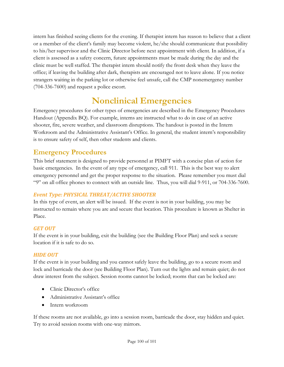intern has finished seeing clients for the evening. If therapist intern has reason to believe that a client or a member of the client's family may become violent, he/she should communicate that possibility to his/her supervisor and the Clinic Director before next appointment with client. In addition, if a client is assessed as a safety concern, future appointments must be made during the day and the clinic must be well staffed. The therapist intern should notify the front desk when they leave the office; if leaving the building after dark, therapists are encouraged not to leave alone. If you notice strangers waiting in the parking lot or otherwise feel unsafe, call the CMP nonemergency number (704-336-7600) and request a police escort.

# **Nonclinical Emergencies**

Emergency procedures for other types of emergencies are described in the Emergency Procedures Handout (Appendix BQ). For example, interns are instructed what to do in case of an active shooter, fire, severe weather, and classroom disruptions. The handout is posted in the Intern Workroom and the Administrative Assistant's Office. In general, the student intern's responsibility is to ensure safety of self, then other students and clients.

## **Emergency Procedures**

This brief statement is designed to provide personnel at PIMFT with a concise plan of action for basic emergencies. In the event of any type of emergency, call 911. This is the best way to alert emergency personnel and get the proper response to the situation. Please remember you must dial "9" on all office phones to connect with an outside line. Thus, you will dial 9-911, or 704-336-7600.

#### *Event Type: PHYSICAL THREAT/ACTIVE SHOOTER*

In this type of event, an alert will be issued. If the event is not in your building, you may be instructed to remain where you are and secure that location. This procedure is known as Shelter in Place.

#### *GET OUT*

If the event is in your building, exit the building (see the Building Floor Plan) and seek a secure location if it is safe to do so.

#### *HIDE OUT*

If the event is in your building and you cannot safely leave the building, go to a secure room and lock and barricade the door (see Building Floor Plan). Turn out the lights and remain quiet; do not draw interest from the subject. Session rooms cannot be locked; rooms that can be locked are:

- Clinic Director's office
- Administrative Assistant's office
- Intern workroom

If these rooms are not available, go into a session room, barricade the door, stay hidden and quiet. Try to avoid session rooms with one-way mirrors.